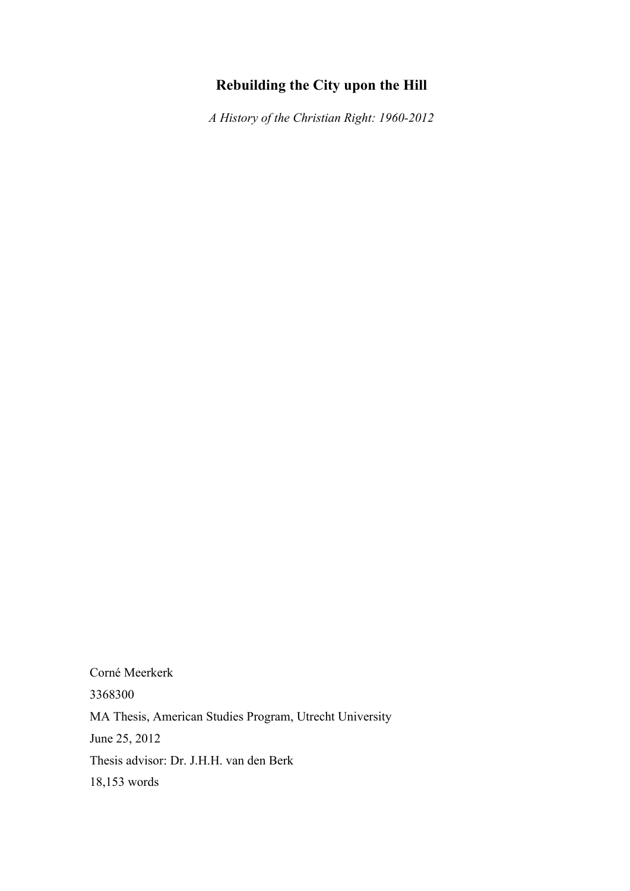# **Rebuilding the City upon the Hill**

*A History of the Christian Right: 1960-2012*

Corné Meerkerk 3368300 MA Thesis, American Studies Program, Utrecht University June 25, 2012 Thesis advisor: Dr. J.H.H. van den Berk 18,153 words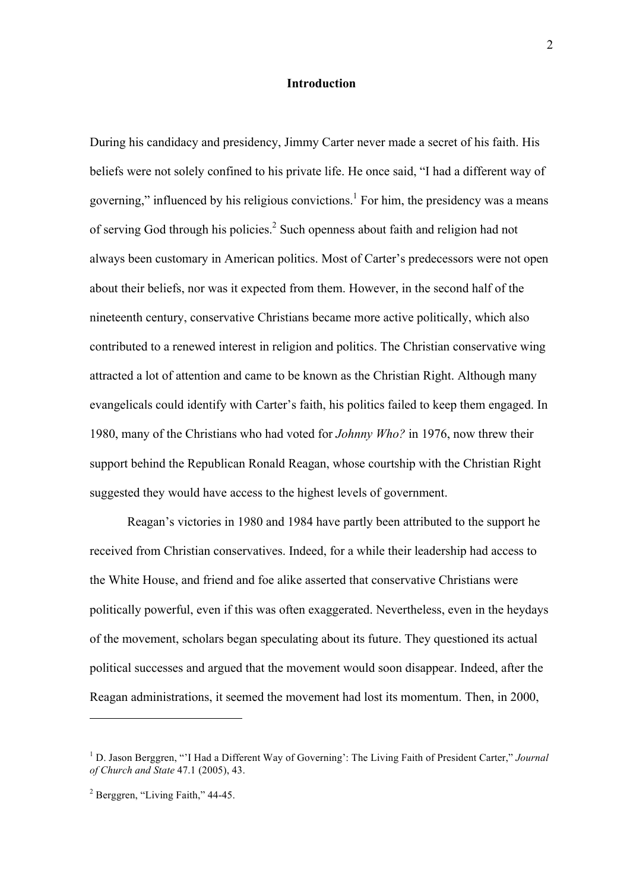### **Introduction**

During his candidacy and presidency, Jimmy Carter never made a secret of his faith. His beliefs were not solely confined to his private life. He once said, "I had a different way of governing," influenced by his religious convictions.<sup>1</sup> For him, the presidency was a means of serving God through his policies.2 Such openness about faith and religion had not always been customary in American politics. Most of Carter's predecessors were not open about their beliefs, nor was it expected from them. However, in the second half of the nineteenth century, conservative Christians became more active politically, which also contributed to a renewed interest in religion and politics. The Christian conservative wing attracted a lot of attention and came to be known as the Christian Right. Although many evangelicals could identify with Carter's faith, his politics failed to keep them engaged. In 1980, many of the Christians who had voted for *Johnny Who?* in 1976, now threw their support behind the Republican Ronald Reagan, whose courtship with the Christian Right suggested they would have access to the highest levels of government.

Reagan's victories in 1980 and 1984 have partly been attributed to the support he received from Christian conservatives. Indeed, for a while their leadership had access to the White House, and friend and foe alike asserted that conservative Christians were politically powerful, even if this was often exaggerated. Nevertheless, even in the heydays of the movement, scholars began speculating about its future. They questioned its actual political successes and argued that the movement would soon disappear. Indeed, after the Reagan administrations, it seemed the movement had lost its momentum. Then, in 2000,

<sup>&</sup>lt;sup>1</sup> D. Jason Berggren, "'I Had a Different Way of Governing': The Living Faith of President Carter," *Journal of Church and State* 47.1 (2005), 43.

<sup>2</sup> Berggren, "Living Faith," 44-45.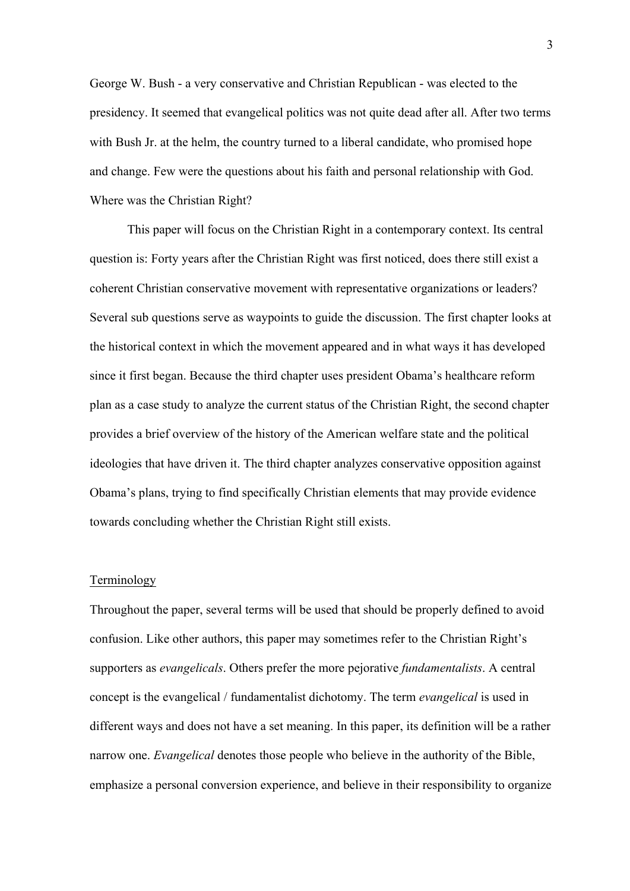George W. Bush - a very conservative and Christian Republican - was elected to the presidency. It seemed that evangelical politics was not quite dead after all. After two terms with Bush Jr. at the helm, the country turned to a liberal candidate, who promised hope and change. Few were the questions about his faith and personal relationship with God. Where was the Christian Right?

This paper will focus on the Christian Right in a contemporary context. Its central question is: Forty years after the Christian Right was first noticed, does there still exist a coherent Christian conservative movement with representative organizations or leaders? Several sub questions serve as waypoints to guide the discussion. The first chapter looks at the historical context in which the movement appeared and in what ways it has developed since it first began. Because the third chapter uses president Obama's healthcare reform plan as a case study to analyze the current status of the Christian Right, the second chapter provides a brief overview of the history of the American welfare state and the political ideologies that have driven it. The third chapter analyzes conservative opposition against Obama's plans, trying to find specifically Christian elements that may provide evidence towards concluding whether the Christian Right still exists.

#### Terminology

Throughout the paper, several terms will be used that should be properly defined to avoid confusion. Like other authors, this paper may sometimes refer to the Christian Right's supporters as *evangelicals*. Others prefer the more pejorative *fundamentalists*. A central concept is the evangelical / fundamentalist dichotomy. The term *evangelical* is used in different ways and does not have a set meaning. In this paper, its definition will be a rather narrow one. *Evangelical* denotes those people who believe in the authority of the Bible, emphasize a personal conversion experience, and believe in their responsibility to organize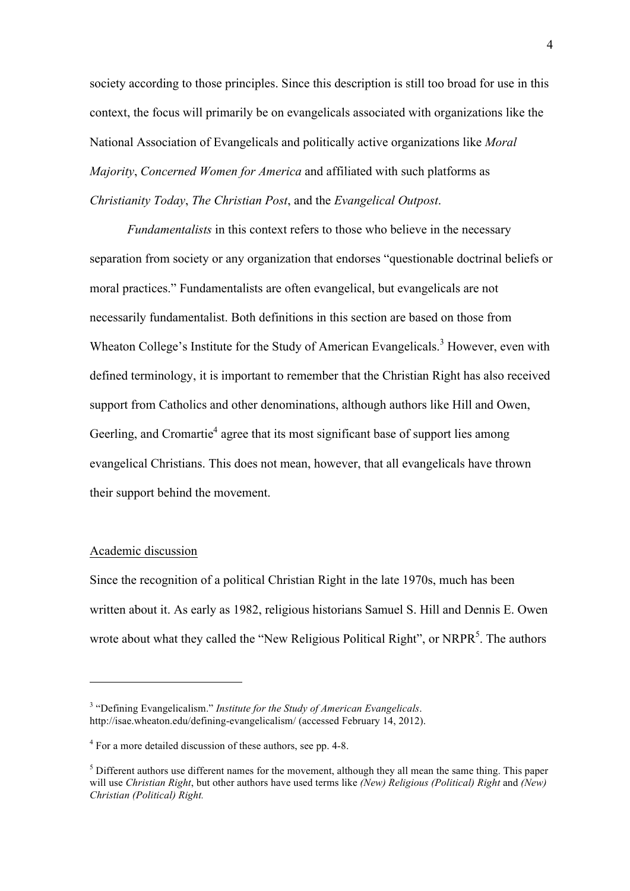society according to those principles. Since this description is still too broad for use in this context, the focus will primarily be on evangelicals associated with organizations like the National Association of Evangelicals and politically active organizations like *Moral Majority*, *Concerned Women for America* and affiliated with such platforms as *Christianity Today*, *The Christian Post*, and the *Evangelical Outpost*.

*Fundamentalists* in this context refers to those who believe in the necessary separation from society or any organization that endorses "questionable doctrinal beliefs or moral practices." Fundamentalists are often evangelical, but evangelicals are not necessarily fundamentalist. Both definitions in this section are based on those from Wheaton College's Institute for the Study of American Evangelicals.<sup>3</sup> However, even with defined terminology, it is important to remember that the Christian Right has also received support from Catholics and other denominations, although authors like Hill and Owen, Geerling, and Cromartie<sup>4</sup> agree that its most significant base of support lies among evangelical Christians. This does not mean, however, that all evangelicals have thrown their support behind the movement.

## Academic discussion

 $\overline{a}$ 

Since the recognition of a political Christian Right in the late 1970s, much has been written about it. As early as 1982, religious historians Samuel S. Hill and Dennis E. Owen wrote about what they called the "New Religious Political Right", or NRPR<sup>5</sup>. The authors

<sup>3</sup> "Defining Evangelicalism." *Institute for the Study of American Evangelicals*. http://isae.wheaton.edu/defining-evangelicalism/ (accessed February 14, 2012).

<sup>4</sup> For a more detailed discussion of these authors, see pp. 4-8.

 $<sup>5</sup>$  Different authors use different names for the movement, although they all mean the same thing. This paper</sup> will use *Christian Right*, but other authors have used terms like *(New) Religious (Political) Right* and *(New) Christian (Political) Right.*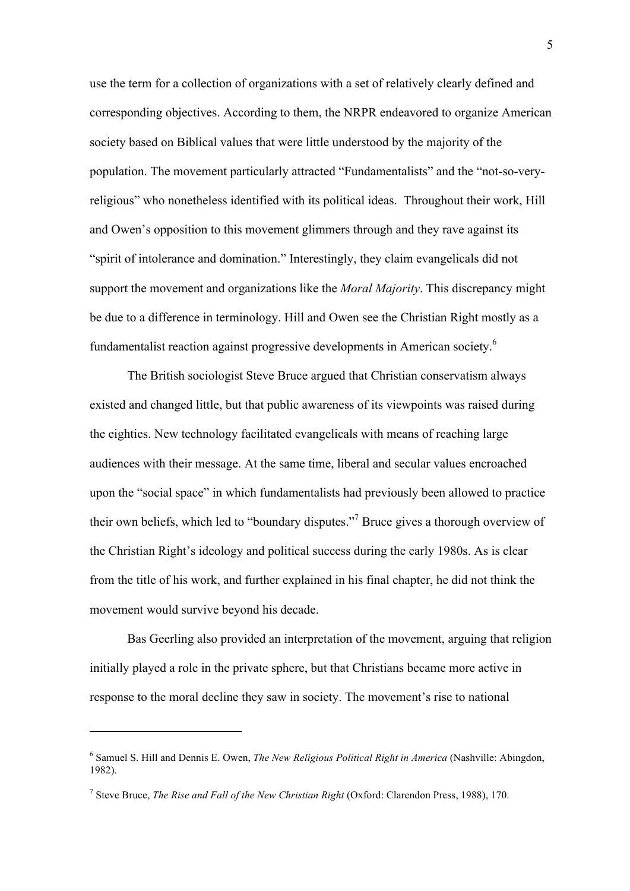use the term for a collection of organizations with a set of relatively clearly defined and corresponding objectives. According to them, the NRPR endeavored to organize American society based on Biblical values that were little understood by the majority of the population. The movement particularly attracted "Fundamentalists" and the "not-so-veryreligious" who nonetheless identified with its political ideas. Throughout their work, Hill and Owen's opposition to this movement glimmers through and they rave against its "spirit of intolerance and domination." Interestingly, they claim evangelicals did not support the movement and organizations like the *Moral Majority*. This discrepancy might be due to a difference in terminology. Hill and Owen see the Christian Right mostly as a fundamentalist reaction against progressive developments in American society.<sup>6</sup>

The British sociologist Steve Bruce argued that Christian conservatism always existed and changed little, but that public awareness of its viewpoints was raised during the eighties. New technology facilitated evangelicals with means of reaching large audiences with their message. At the same time, liberal and secular values encroached upon the "social space" in which fundamentalists had previously been allowed to practice their own beliefs, which led to "boundary disputes."<sup>7</sup> Bruce gives a thorough overview of the Christian Right's ideology and political success during the early 1980s. As is clear from the title of his work, and further explained in his final chapter, he did not think the movement would survive beyond his decade.

Bas Geerling also provided an interpretation of the movement, arguing that religion initially played a role in the private sphere, but that Christians became more active in response to the moral decline they saw in society. The movement's rise to national

<sup>6</sup> Samuel S. Hill and Dennis E. Owen, *The New Religious Political Right in America* (Nashville: Abingdon, 1982).

<sup>7</sup> Steve Bruce, *The Rise and Fall of the New Christian Right* (Oxford: Clarendon Press, 1988), 170.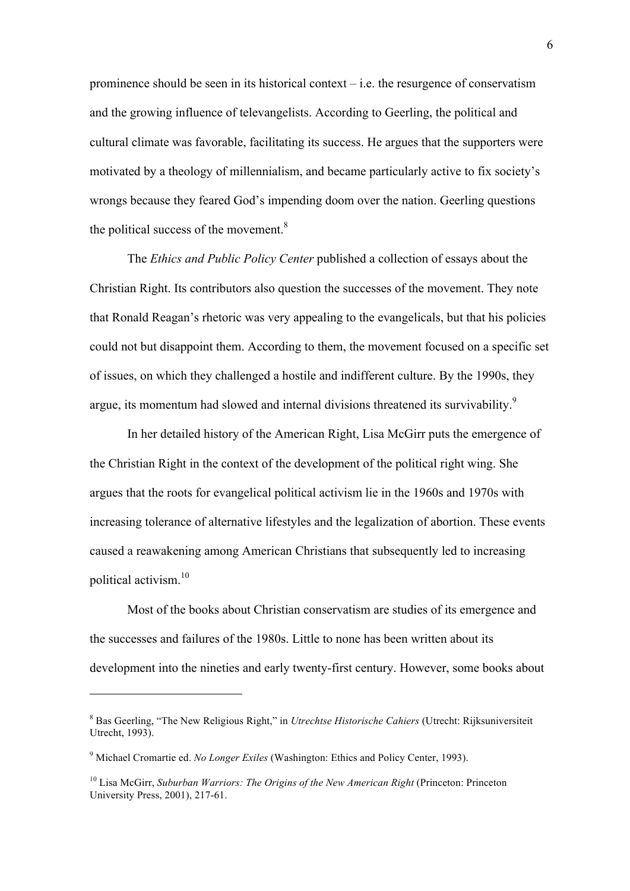prominence should be seen in its historical context – i.e. the resurgence of conservatism and the growing influence of televangelists. According to Geerling, the political and cultural climate was favorable, facilitating its success. He argues that the supporters were motivated by a theology of millennialism, and became particularly active to fix society's wrongs because they feared God's impending doom over the nation. Geerling questions the political success of the movement. $8<sup>8</sup>$ 

The *Ethics and Public Policy Center* published a collection of essays about the Christian Right. Its contributors also question the successes of the movement. They note that Ronald Reagan's rhetoric was very appealing to the evangelicals, but that his policies could not but disappoint them. According to them, the movement focused on a specific set of issues, on which they challenged a hostile and indifferent culture. By the 1990s, they argue, its momentum had slowed and internal divisions threatened its survivability.<sup>9</sup>

In her detailed history of the American Right, Lisa McGirr puts the emergence of the Christian Right in the context of the development of the political right wing. She argues that the roots for evangelical political activism lie in the 1960s and 1970s with increasing tolerance of alternative lifestyles and the legalization of abortion. These events caused a reawakening among American Christians that subsequently led to increasing political activism.10

Most of the books about Christian conservatism are studies of its emergence and the successes and failures of the 1980s. Little to none has been written about its development into the nineties and early twenty-first century. However, some books about

<sup>8</sup> Bas Geerling, "The New Religious Right," in *Utrechtse Historische Cahiers* (Utrecht: Rijksuniversiteit Utrecht, 1993).

<sup>9</sup> Michael Cromartie ed. *No Longer Exiles* (Washington: Ethics and Policy Center, 1993).

<sup>10</sup> Lisa McGirr, *Suburban Warriors: The Origins of the New American Right* (Princeton: Princeton University Press, 2001), 217-61.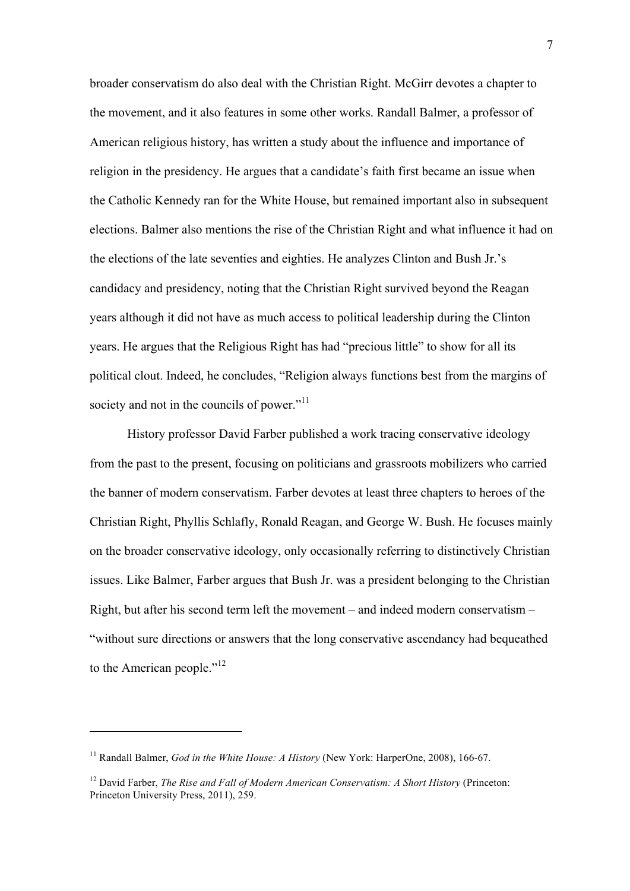broader conservatism do also deal with the Christian Right. McGirr devotes a chapter to the movement, and it also features in some other works. Randall Balmer, a professor of American religious history, has written a study about the influence and importance of religion in the presidency. He argues that a candidate's faith first became an issue when the Catholic Kennedy ran for the White House, but remained important also in subsequent elections. Balmer also mentions the rise of the Christian Right and what influence it had on the elections of the late seventies and eighties. He analyzes Clinton and Bush Jr.'s candidacy and presidency, noting that the Christian Right survived beyond the Reagan years although it did not have as much access to political leadership during the Clinton years. He argues that the Religious Right has had "precious little" to show for all its political clout. Indeed, he concludes, "Religion always functions best from the margins of society and not in the councils of power."<sup>11</sup>

History professor David Farber published a work tracing conservative ideology from the past to the present, focusing on politicians and grassroots mobilizers who carried the banner of modern conservatism. Farber devotes at least three chapters to heroes of the Christian Right, Phyllis Schlafly, Ronald Reagan, and George W. Bush. He focuses mainly on the broader conservative ideology, only occasionally referring to distinctively Christian issues. Like Balmer, Farber argues that Bush Jr. was a president belonging to the Christian Right, but after his second term left the movement – and indeed modern conservatism – "without sure directions or answers that the long conservative ascendancy had bequeathed to the American people."<sup>12</sup>

<sup>&</sup>lt;sup>11</sup> Randall Balmer, *God in the White House: A History* (New York: HarperOne, 2008), 166-67.

<sup>12</sup> David Farber, *The Rise and Fall of Modern American Conservatism: A Short History* (Princeton: Princeton University Press, 2011), 259.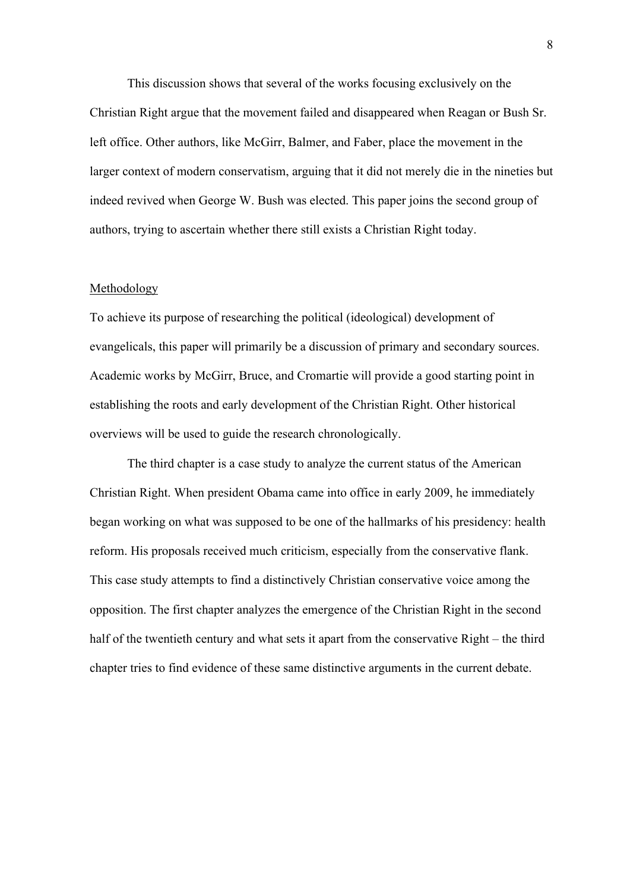This discussion shows that several of the works focusing exclusively on the Christian Right argue that the movement failed and disappeared when Reagan or Bush Sr. left office. Other authors, like McGirr, Balmer, and Faber, place the movement in the larger context of modern conservatism, arguing that it did not merely die in the nineties but indeed revived when George W. Bush was elected. This paper joins the second group of authors, trying to ascertain whether there still exists a Christian Right today.

#### Methodology

To achieve its purpose of researching the political (ideological) development of evangelicals, this paper will primarily be a discussion of primary and secondary sources. Academic works by McGirr, Bruce, and Cromartie will provide a good starting point in establishing the roots and early development of the Christian Right. Other historical overviews will be used to guide the research chronologically.

The third chapter is a case study to analyze the current status of the American Christian Right. When president Obama came into office in early 2009, he immediately began working on what was supposed to be one of the hallmarks of his presidency: health reform. His proposals received much criticism, especially from the conservative flank. This case study attempts to find a distinctively Christian conservative voice among the opposition. The first chapter analyzes the emergence of the Christian Right in the second half of the twentieth century and what sets it apart from the conservative Right – the third chapter tries to find evidence of these same distinctive arguments in the current debate.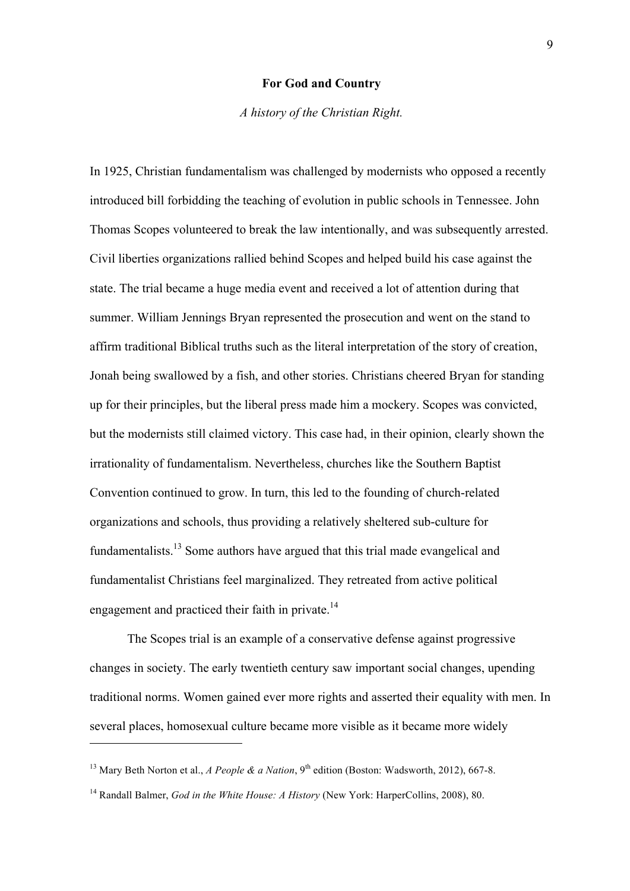#### **For God and Country**

*A history of the Christian Right.*

In 1925, Christian fundamentalism was challenged by modernists who opposed a recently introduced bill forbidding the teaching of evolution in public schools in Tennessee. John Thomas Scopes volunteered to break the law intentionally, and was subsequently arrested. Civil liberties organizations rallied behind Scopes and helped build his case against the state. The trial became a huge media event and received a lot of attention during that summer. William Jennings Bryan represented the prosecution and went on the stand to affirm traditional Biblical truths such as the literal interpretation of the story of creation, Jonah being swallowed by a fish, and other stories. Christians cheered Bryan for standing up for their principles, but the liberal press made him a mockery. Scopes was convicted, but the modernists still claimed victory. This case had, in their opinion, clearly shown the irrationality of fundamentalism. Nevertheless, churches like the Southern Baptist Convention continued to grow. In turn, this led to the founding of church-related organizations and schools, thus providing a relatively sheltered sub-culture for fundamentalists.13 Some authors have argued that this trial made evangelical and fundamentalist Christians feel marginalized. They retreated from active political engagement and practiced their faith in private.<sup>14</sup>

The Scopes trial is an example of a conservative defense against progressive changes in society. The early twentieth century saw important social changes, upending traditional norms. Women gained ever more rights and asserted their equality with men. In several places, homosexual culture became more visible as it became more widely

<sup>&</sup>lt;sup>13</sup> Mary Beth Norton et al., *A People & a Nation*, 9<sup>th</sup> edition (Boston: Wadsworth, 2012), 667-8.

<sup>14</sup> Randall Balmer, *God in the White House: A History* (New York: HarperCollins, 2008), 80.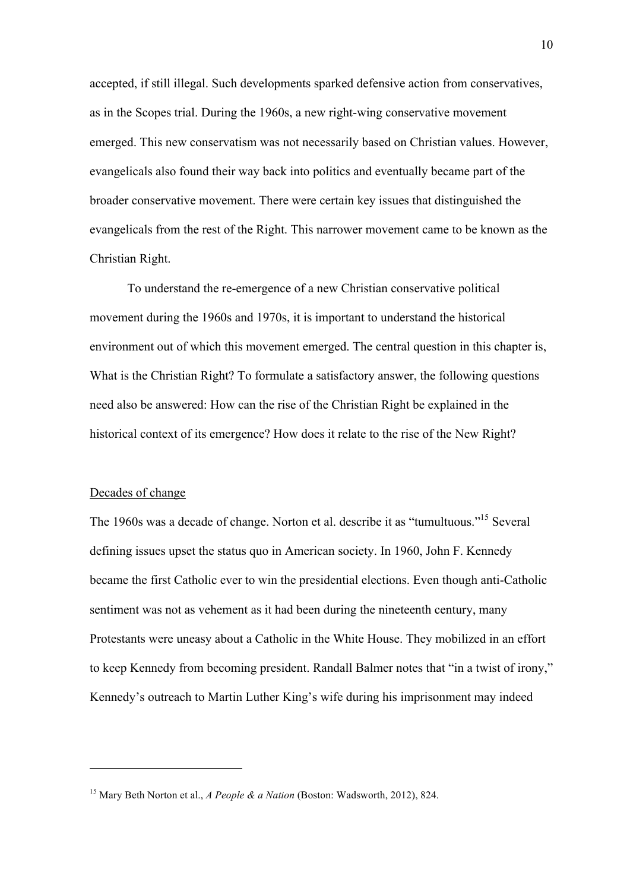accepted, if still illegal. Such developments sparked defensive action from conservatives, as in the Scopes trial. During the 1960s, a new right-wing conservative movement emerged. This new conservatism was not necessarily based on Christian values. However, evangelicals also found their way back into politics and eventually became part of the broader conservative movement. There were certain key issues that distinguished the evangelicals from the rest of the Right. This narrower movement came to be known as the Christian Right.

To understand the re-emergence of a new Christian conservative political movement during the 1960s and 1970s, it is important to understand the historical environment out of which this movement emerged. The central question in this chapter is, What is the Christian Right? To formulate a satisfactory answer, the following questions need also be answered: How can the rise of the Christian Right be explained in the historical context of its emergence? How does it relate to the rise of the New Right?

### Decades of change

 $\overline{a}$ 

The 1960s was a decade of change. Norton et al. describe it as "tumultuous."15 Several defining issues upset the status quo in American society. In 1960, John F. Kennedy became the first Catholic ever to win the presidential elections. Even though anti-Catholic sentiment was not as vehement as it had been during the nineteenth century, many Protestants were uneasy about a Catholic in the White House. They mobilized in an effort to keep Kennedy from becoming president. Randall Balmer notes that "in a twist of irony," Kennedy's outreach to Martin Luther King's wife during his imprisonment may indeed

<sup>15</sup> Mary Beth Norton et al., *A People & a Nation* (Boston: Wadsworth, 2012), 824.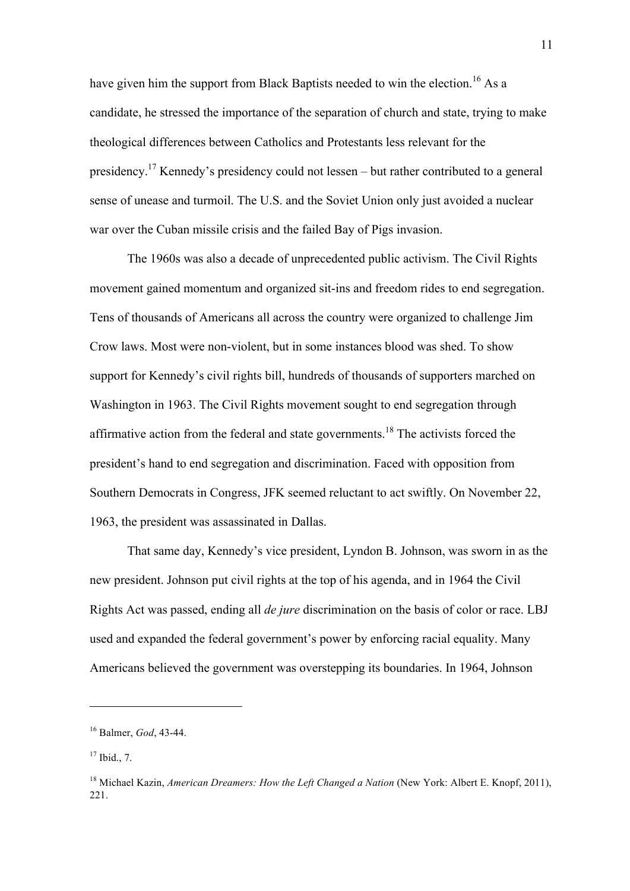have given him the support from Black Baptists needed to win the election.<sup>16</sup> As a candidate, he stressed the importance of the separation of church and state, trying to make theological differences between Catholics and Protestants less relevant for the presidency.<sup>17</sup> Kennedy's presidency could not lessen – but rather contributed to a general sense of unease and turmoil. The U.S. and the Soviet Union only just avoided a nuclear war over the Cuban missile crisis and the failed Bay of Pigs invasion.

The 1960s was also a decade of unprecedented public activism. The Civil Rights movement gained momentum and organized sit-ins and freedom rides to end segregation. Tens of thousands of Americans all across the country were organized to challenge Jim Crow laws. Most were non-violent, but in some instances blood was shed. To show support for Kennedy's civil rights bill, hundreds of thousands of supporters marched on Washington in 1963. The Civil Rights movement sought to end segregation through affirmative action from the federal and state governments.<sup>18</sup> The activists forced the president's hand to end segregation and discrimination. Faced with opposition from Southern Democrats in Congress, JFK seemed reluctant to act swiftly. On November 22, 1963, the president was assassinated in Dallas.

That same day, Kennedy's vice president, Lyndon B. Johnson, was sworn in as the new president. Johnson put civil rights at the top of his agenda, and in 1964 the Civil Rights Act was passed, ending all *de jure* discrimination on the basis of color or race. LBJ used and expanded the federal government's power by enforcing racial equality. Many Americans believed the government was overstepping its boundaries. In 1964, Johnson

<sup>16</sup> Balmer, *God*, 43-44.

 $17$  Ibid., 7.

<sup>18</sup> Michael Kazin, *American Dreamers: How the Left Changed a Nation* (New York: Albert E. Knopf, 2011), 221.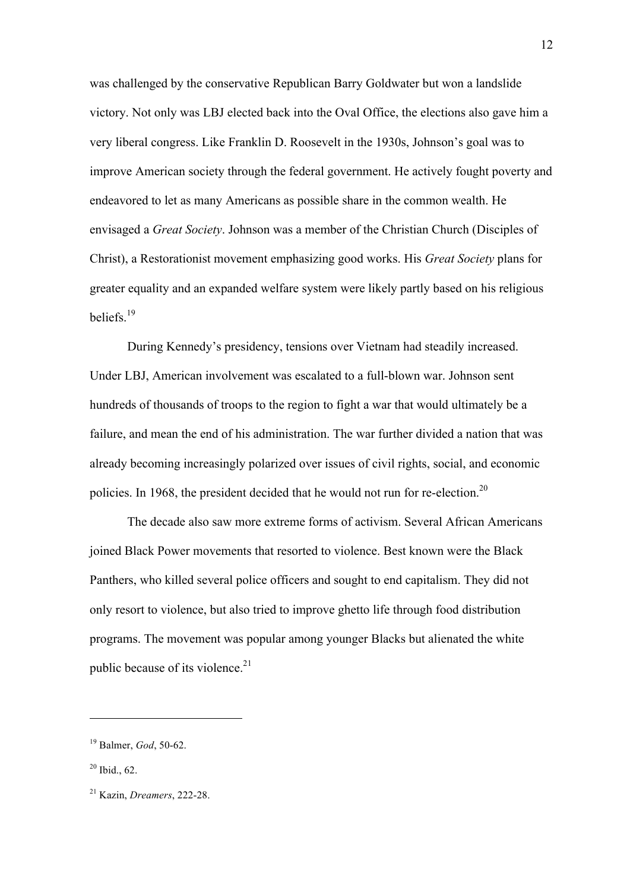was challenged by the conservative Republican Barry Goldwater but won a landslide victory. Not only was LBJ elected back into the Oval Office, the elections also gave him a very liberal congress. Like Franklin D. Roosevelt in the 1930s, Johnson's goal was to improve American society through the federal government. He actively fought poverty and endeavored to let as many Americans as possible share in the common wealth. He envisaged a *Great Society*. Johnson was a member of the Christian Church (Disciples of Christ), a Restorationist movement emphasizing good works. His *Great Society* plans for greater equality and an expanded welfare system were likely partly based on his religious beliefs.<sup>19</sup>

During Kennedy's presidency, tensions over Vietnam had steadily increased. Under LBJ, American involvement was escalated to a full-blown war. Johnson sent hundreds of thousands of troops to the region to fight a war that would ultimately be a failure, and mean the end of his administration. The war further divided a nation that was already becoming increasingly polarized over issues of civil rights, social, and economic policies. In 1968, the president decided that he would not run for re-election.<sup>20</sup>

The decade also saw more extreme forms of activism. Several African Americans joined Black Power movements that resorted to violence. Best known were the Black Panthers, who killed several police officers and sought to end capitalism. They did not only resort to violence, but also tried to improve ghetto life through food distribution programs. The movement was popular among younger Blacks but alienated the white public because of its violence. $21$ 

<sup>19</sup> Balmer, *God*, 50-62.

 $20$  Ibid., 62.

<sup>21</sup> Kazin, *Dreamers*, 222-28.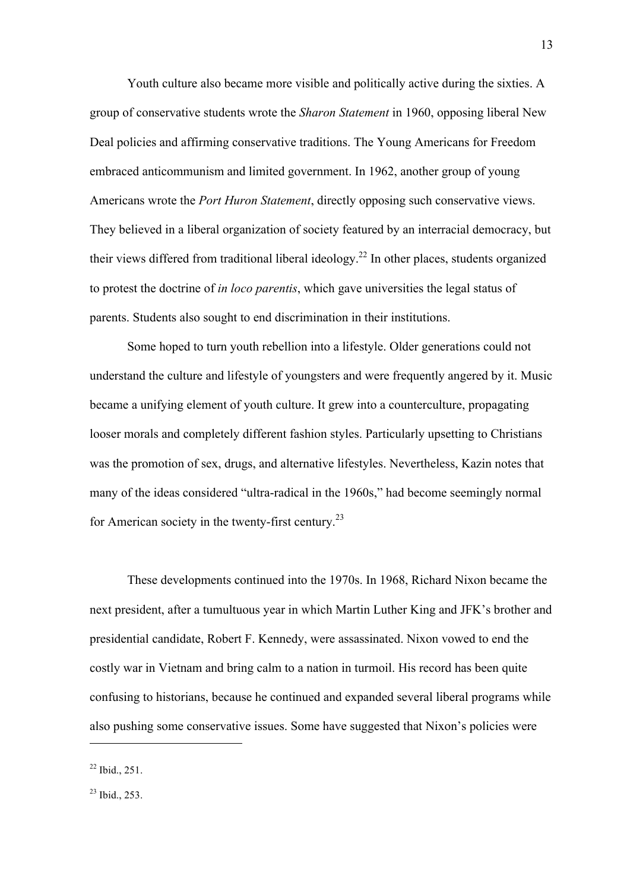Youth culture also became more visible and politically active during the sixties. A group of conservative students wrote the *Sharon Statement* in 1960, opposing liberal New Deal policies and affirming conservative traditions. The Young Americans for Freedom embraced anticommunism and limited government. In 1962, another group of young Americans wrote the *Port Huron Statement*, directly opposing such conservative views. They believed in a liberal organization of society featured by an interracial democracy, but their views differed from traditional liberal ideology.<sup>22</sup> In other places, students organized to protest the doctrine of *in loco parentis*, which gave universities the legal status of parents. Students also sought to end discrimination in their institutions.

Some hoped to turn youth rebellion into a lifestyle. Older generations could not understand the culture and lifestyle of youngsters and were frequently angered by it. Music became a unifying element of youth culture. It grew into a counterculture, propagating looser morals and completely different fashion styles. Particularly upsetting to Christians was the promotion of sex, drugs, and alternative lifestyles. Nevertheless, Kazin notes that many of the ideas considered "ultra-radical in the 1960s," had become seemingly normal for American society in the twenty-first century.<sup>23</sup>

These developments continued into the 1970s. In 1968, Richard Nixon became the next president, after a tumultuous year in which Martin Luther King and JFK's brother and presidential candidate, Robert F. Kennedy, were assassinated. Nixon vowed to end the costly war in Vietnam and bring calm to a nation in turmoil. His record has been quite confusing to historians, because he continued and expanded several liberal programs while also pushing some conservative issues. Some have suggested that Nixon's policies were

 $22$  Ibid., 251.

 $^{23}$  Ibid., 253.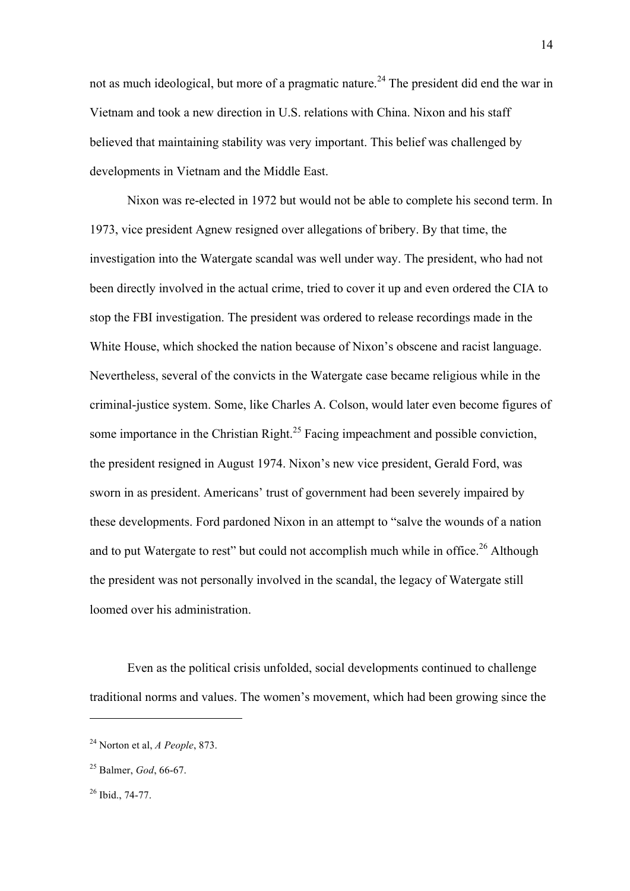not as much ideological, but more of a pragmatic nature.<sup>24</sup> The president did end the war in Vietnam and took a new direction in U.S. relations with China. Nixon and his staff believed that maintaining stability was very important. This belief was challenged by developments in Vietnam and the Middle East.

Nixon was re-elected in 1972 but would not be able to complete his second term. In 1973, vice president Agnew resigned over allegations of bribery. By that time, the investigation into the Watergate scandal was well under way. The president, who had not been directly involved in the actual crime, tried to cover it up and even ordered the CIA to stop the FBI investigation. The president was ordered to release recordings made in the White House, which shocked the nation because of Nixon's obscene and racist language. Nevertheless, several of the convicts in the Watergate case became religious while in the criminal-justice system. Some, like Charles A. Colson, would later even become figures of some importance in the Christian Right.<sup>25</sup> Facing impeachment and possible conviction, the president resigned in August 1974. Nixon's new vice president, Gerald Ford, was sworn in as president. Americans' trust of government had been severely impaired by these developments. Ford pardoned Nixon in an attempt to "salve the wounds of a nation and to put Watergate to rest" but could not accomplish much while in office.<sup>26</sup> Although the president was not personally involved in the scandal, the legacy of Watergate still loomed over his administration.

Even as the political crisis unfolded, social developments continued to challenge traditional norms and values. The women's movement, which had been growing since the

<sup>24</sup> Norton et al, *A People*, 873.

<sup>25</sup> Balmer, *God*, 66-67.

 $26$  Ibid., 74-77.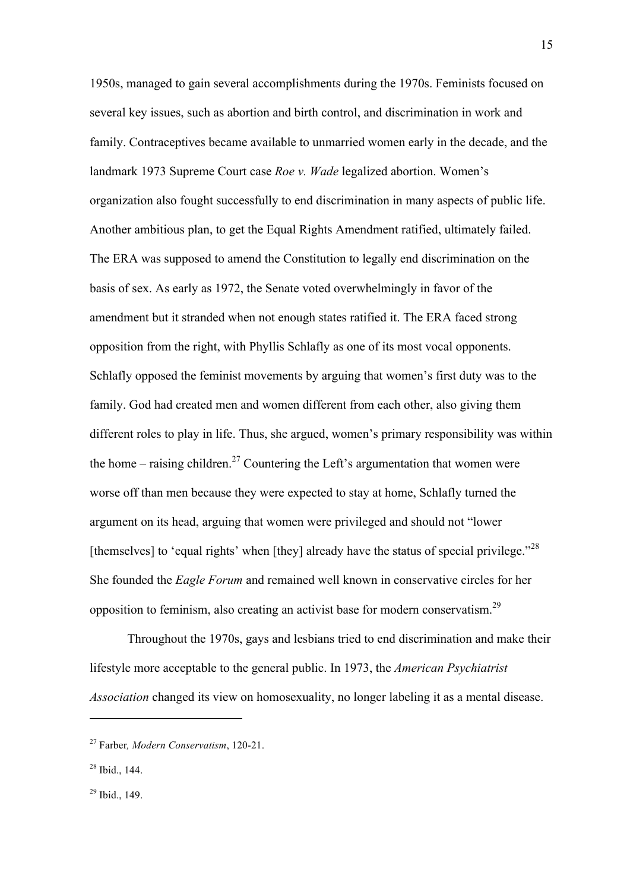1950s, managed to gain several accomplishments during the 1970s. Feminists focused on several key issues, such as abortion and birth control, and discrimination in work and family. Contraceptives became available to unmarried women early in the decade, and the landmark 1973 Supreme Court case *Roe v. Wade* legalized abortion. Women's organization also fought successfully to end discrimination in many aspects of public life. Another ambitious plan, to get the Equal Rights Amendment ratified, ultimately failed. The ERA was supposed to amend the Constitution to legally end discrimination on the basis of sex. As early as 1972, the Senate voted overwhelmingly in favor of the amendment but it stranded when not enough states ratified it. The ERA faced strong opposition from the right, with Phyllis Schlafly as one of its most vocal opponents. Schlafly opposed the feminist movements by arguing that women's first duty was to the family. God had created men and women different from each other, also giving them different roles to play in life. Thus, she argued, women's primary responsibility was within the home – raising children.<sup>27</sup> Countering the Left's argumentation that women were worse off than men because they were expected to stay at home, Schlafly turned the argument on its head, arguing that women were privileged and should not "lower [themselves] to 'equal rights' when [they] already have the status of special privilege."<sup>28</sup> She founded the *Eagle Forum* and remained well known in conservative circles for her opposition to feminism, also creating an activist base for modern conservatism.<sup>29</sup>

Throughout the 1970s, gays and lesbians tried to end discrimination and make their lifestyle more acceptable to the general public. In 1973, the *American Psychiatrist Association* changed its view on homosexuality, no longer labeling it as a mental disease.

<sup>27</sup> Farber*, Modern Conservatism*, 120-21.

 $28$  Ibid., 144.

 $29$  Ibid., 149.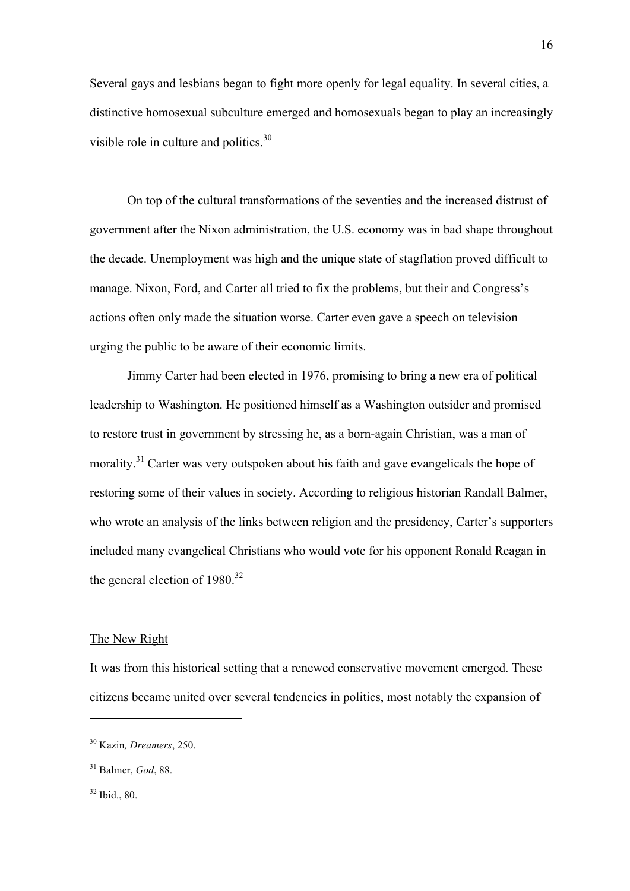Several gays and lesbians began to fight more openly for legal equality. In several cities, a distinctive homosexual subculture emerged and homosexuals began to play an increasingly visible role in culture and politics.<sup>30</sup>

On top of the cultural transformations of the seventies and the increased distrust of government after the Nixon administration, the U.S. economy was in bad shape throughout the decade. Unemployment was high and the unique state of stagflation proved difficult to manage. Nixon, Ford, and Carter all tried to fix the problems, but their and Congress's actions often only made the situation worse. Carter even gave a speech on television urging the public to be aware of their economic limits.

Jimmy Carter had been elected in 1976, promising to bring a new era of political leadership to Washington. He positioned himself as a Washington outsider and promised to restore trust in government by stressing he, as a born-again Christian, was a man of morality.<sup>31</sup> Carter was very outspoken about his faith and gave evangelicals the hope of restoring some of their values in society. According to religious historian Randall Balmer, who wrote an analysis of the links between religion and the presidency, Carter's supporters included many evangelical Christians who would vote for his opponent Ronald Reagan in the general election of  $1980.<sup>32</sup>$ 

## The New Right

It was from this historical setting that a renewed conservative movement emerged. These citizens became united over several tendencies in politics, most notably the expansion of

 $32$  Ibid., 80.

<sup>30</sup> Kazin*, Dreamers*, 250.

<sup>31</sup> Balmer, *God*, 88.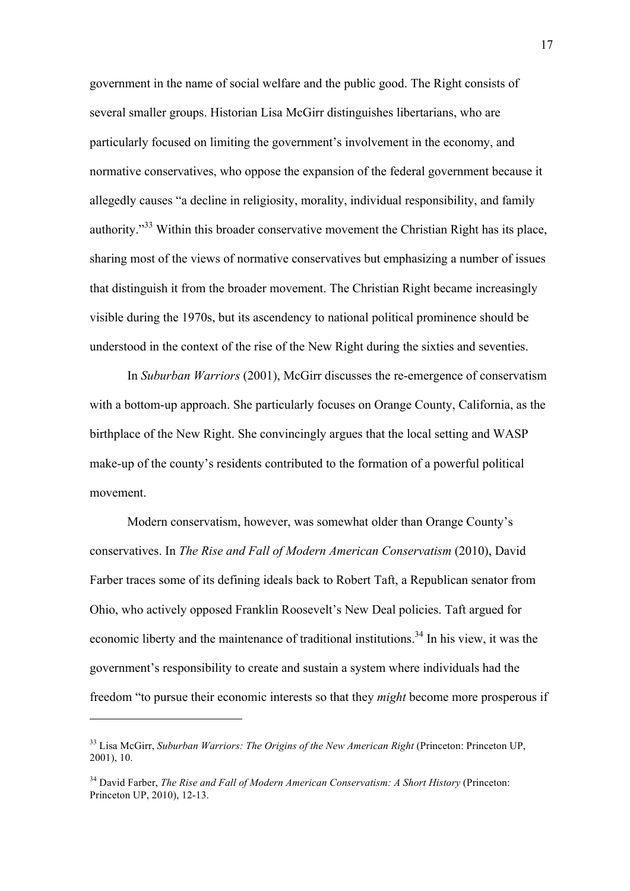government in the name of social welfare and the public good. The Right consists of several smaller groups. Historian Lisa McGirr distinguishes libertarians, who are particularly focused on limiting the government's involvement in the economy, and normative conservatives, who oppose the expansion of the federal government because it allegedly causes "a decline in religiosity, morality, individual responsibility, and family authority."<sup>33</sup> Within this broader conservative movement the Christian Right has its place, sharing most of the views of normative conservatives but emphasizing a number of issues that distinguish it from the broader movement. The Christian Right became increasingly visible during the 1970s, but its ascendency to national political prominence should be understood in the context of the rise of the New Right during the sixties and seventies.

In *Suburban Warriors* (2001), McGirr discusses the re-emergence of conservatism with a bottom-up approach. She particularly focuses on Orange County, California, as the birthplace of the New Right. She convincingly argues that the local setting and WASP make-up of the county's residents contributed to the formation of a powerful political movement.

Modern conservatism, however, was somewhat older than Orange County's conservatives. In *The Rise and Fall of Modern American Conservatism* (2010), David Farber traces some of its defining ideals back to Robert Taft, a Republican senator from Ohio, who actively opposed Franklin Roosevelt's New Deal policies. Taft argued for economic liberty and the maintenance of traditional institutions.<sup>34</sup> In his view, it was the government's responsibility to create and sustain a system where individuals had the freedom "to pursue their economic interests so that they *might* become more prosperous if

<sup>&</sup>lt;sup>33</sup> Lisa McGirr, *Suburban Warriors: The Origins of the New American Right* (Princeton: Princeton UP, 2001), 10.

<sup>&</sup>lt;sup>34</sup> David Farber, *The Rise and Fall of Modern American Conservatism: A Short History (Princeton:* Princeton UP, 2010), 12-13.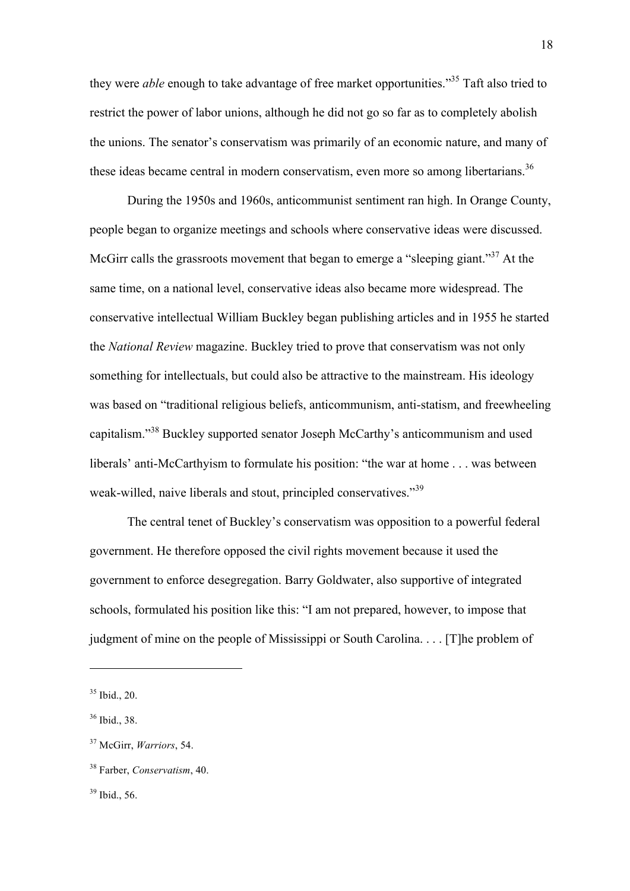they were *able* enough to take advantage of free market opportunities."35 Taft also tried to restrict the power of labor unions, although he did not go so far as to completely abolish the unions. The senator's conservatism was primarily of an economic nature, and many of these ideas became central in modern conservatism, even more so among libertarians.<sup>36</sup>

During the 1950s and 1960s, anticommunist sentiment ran high. In Orange County, people began to organize meetings and schools where conservative ideas were discussed. McGirr calls the grassroots movement that began to emerge a "sleeping giant."<sup>37</sup> At the same time, on a national level, conservative ideas also became more widespread. The conservative intellectual William Buckley began publishing articles and in 1955 he started the *National Review* magazine. Buckley tried to prove that conservatism was not only something for intellectuals, but could also be attractive to the mainstream. His ideology was based on "traditional religious beliefs, anticommunism, anti-statism, and freewheeling capitalism."38 Buckley supported senator Joseph McCarthy's anticommunism and used liberals' anti-McCarthyism to formulate his position: "the war at home . . . was between weak-willed, naive liberals and stout, principled conservatives."<sup>39</sup>

The central tenet of Buckley's conservatism was opposition to a powerful federal government. He therefore opposed the civil rights movement because it used the government to enforce desegregation. Barry Goldwater, also supportive of integrated schools, formulated his position like this: "I am not prepared, however, to impose that judgment of mine on the people of Mississippi or South Carolina. . . . [T]he problem of

<sup>35</sup> Ibid., 20.

<sup>36</sup> Ibid., 38.

<sup>37</sup> McGirr, *Warriors*, 54.

<sup>38</sup> Farber, *Conservatism*, 40.

 $39$  Ibid., 56.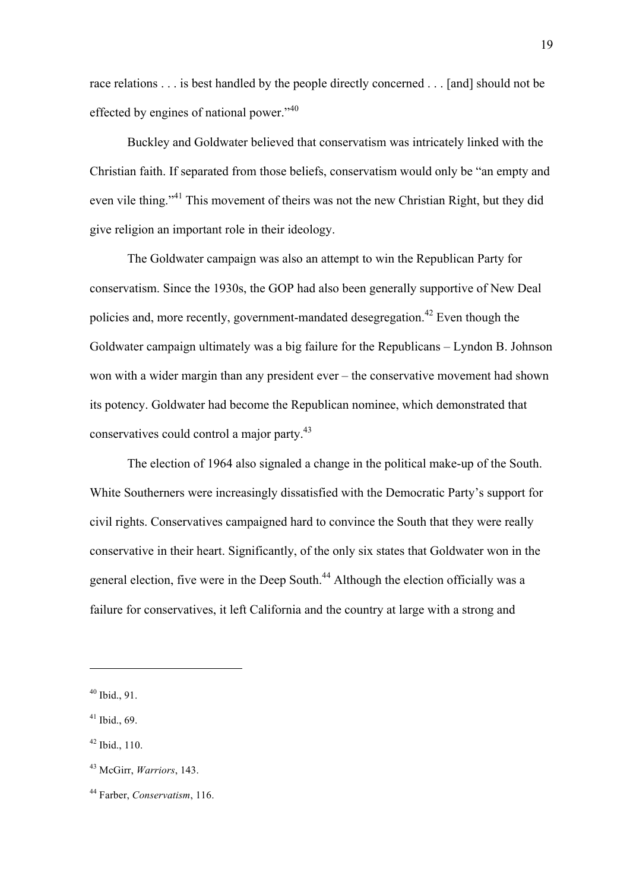race relations . . . is best handled by the people directly concerned . . . [and] should not be effected by engines of national power."<sup>40</sup>

Buckley and Goldwater believed that conservatism was intricately linked with the Christian faith. If separated from those beliefs, conservatism would only be "an empty and even vile thing."<sup>41</sup> This movement of theirs was not the new Christian Right, but they did give religion an important role in their ideology.

The Goldwater campaign was also an attempt to win the Republican Party for conservatism. Since the 1930s, the GOP had also been generally supportive of New Deal policies and, more recently, government-mandated desegregation.<sup>42</sup> Even though the Goldwater campaign ultimately was a big failure for the Republicans – Lyndon B. Johnson won with a wider margin than any president ever – the conservative movement had shown its potency. Goldwater had become the Republican nominee, which demonstrated that conservatives could control a major party.43

The election of 1964 also signaled a change in the political make-up of the South. White Southerners were increasingly dissatisfied with the Democratic Party's support for civil rights. Conservatives campaigned hard to convince the South that they were really conservative in their heart. Significantly, of the only six states that Goldwater won in the general election, five were in the Deep South.<sup>44</sup> Although the election officially was a failure for conservatives, it left California and the country at large with a strong and

 $40$  Ibid., 91.

 $41$  Ibid., 69.

 $42$  Ibid., 110.

<sup>43</sup> McGirr, *Warriors*, 143.

<sup>44</sup> Farber, *Conservatism*, 116.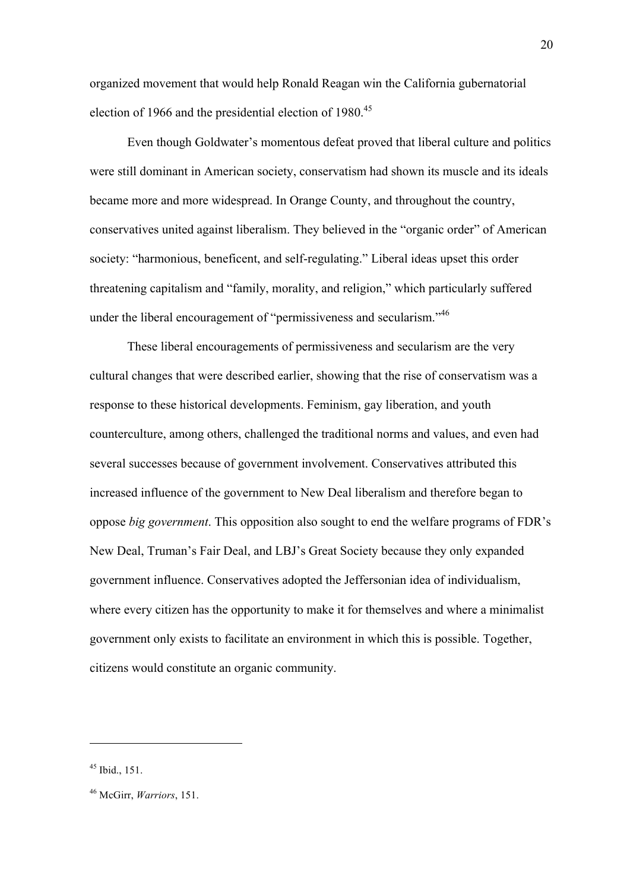organized movement that would help Ronald Reagan win the California gubernatorial election of 1966 and the presidential election of 1980.<sup>45</sup>

Even though Goldwater's momentous defeat proved that liberal culture and politics were still dominant in American society, conservatism had shown its muscle and its ideals became more and more widespread. In Orange County, and throughout the country, conservatives united against liberalism. They believed in the "organic order" of American society: "harmonious, beneficent, and self-regulating." Liberal ideas upset this order threatening capitalism and "family, morality, and religion," which particularly suffered under the liberal encouragement of "permissiveness and secularism."<sup>46</sup>

These liberal encouragements of permissiveness and secularism are the very cultural changes that were described earlier, showing that the rise of conservatism was a response to these historical developments. Feminism, gay liberation, and youth counterculture, among others, challenged the traditional norms and values, and even had several successes because of government involvement. Conservatives attributed this increased influence of the government to New Deal liberalism and therefore began to oppose *big government*. This opposition also sought to end the welfare programs of FDR's New Deal, Truman's Fair Deal, and LBJ's Great Society because they only expanded government influence. Conservatives adopted the Jeffersonian idea of individualism, where every citizen has the opportunity to make it for themselves and where a minimalist government only exists to facilitate an environment in which this is possible. Together, citizens would constitute an organic community.

<sup>45</sup> Ibid., 151.

<sup>46</sup> McGirr, *Warriors*, 151.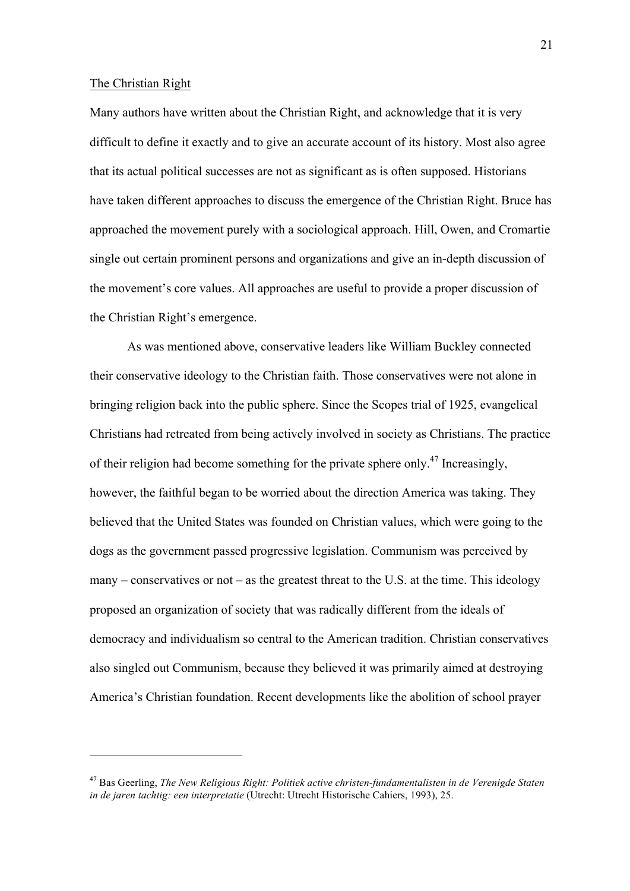#### The Christian Right

 $\overline{a}$ 

Many authors have written about the Christian Right, and acknowledge that it is very difficult to define it exactly and to give an accurate account of its history. Most also agree that its actual political successes are not as significant as is often supposed. Historians have taken different approaches to discuss the emergence of the Christian Right. Bruce has approached the movement purely with a sociological approach. Hill, Owen, and Cromartie single out certain prominent persons and organizations and give an in-depth discussion of the movement's core values. All approaches are useful to provide a proper discussion of the Christian Right's emergence.

As was mentioned above, conservative leaders like William Buckley connected their conservative ideology to the Christian faith. Those conservatives were not alone in bringing religion back into the public sphere. Since the Scopes trial of 1925, evangelical Christians had retreated from being actively involved in society as Christians. The practice of their religion had become something for the private sphere only.<sup>47</sup> Increasingly, however, the faithful began to be worried about the direction America was taking. They believed that the United States was founded on Christian values, which were going to the dogs as the government passed progressive legislation. Communism was perceived by many – conservatives or not – as the greatest threat to the U.S. at the time. This ideology proposed an organization of society that was radically different from the ideals of democracy and individualism so central to the American tradition. Christian conservatives also singled out Communism, because they believed it was primarily aimed at destroying America's Christian foundation. Recent developments like the abolition of school prayer

<sup>47</sup> Bas Geerling, *The New Religious Right: Politiek active christen-fundamentalisten in de Verenigde Staten in de jaren tachtig: een interpretatie* (Utrecht: Utrecht Historische Cahiers, 1993), 25.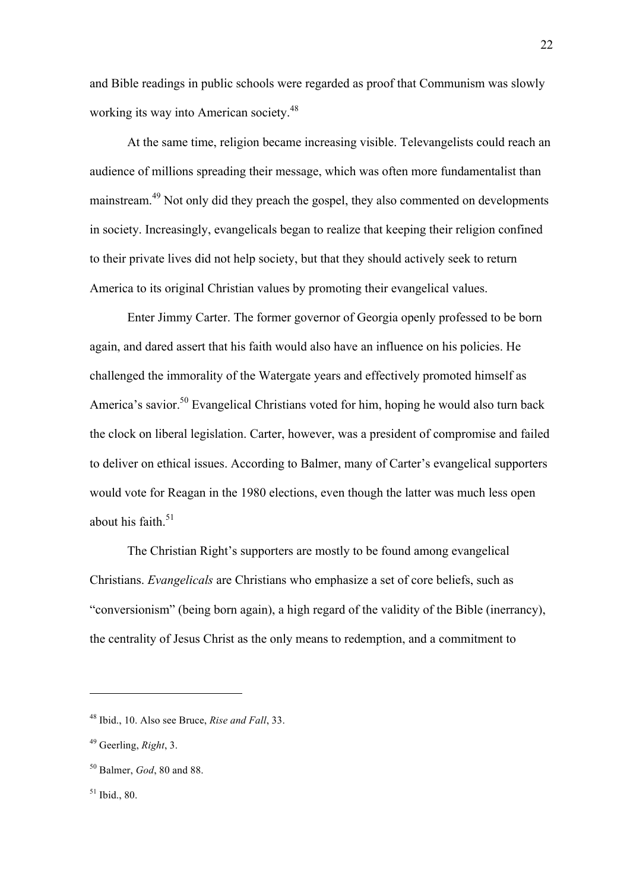and Bible readings in public schools were regarded as proof that Communism was slowly working its way into American society.<sup>48</sup>

At the same time, religion became increasing visible. Televangelists could reach an audience of millions spreading their message, which was often more fundamentalist than mainstream.<sup>49</sup> Not only did they preach the gospel, they also commented on developments in society. Increasingly, evangelicals began to realize that keeping their religion confined to their private lives did not help society, but that they should actively seek to return America to its original Christian values by promoting their evangelical values.

Enter Jimmy Carter. The former governor of Georgia openly professed to be born again, and dared assert that his faith would also have an influence on his policies. He challenged the immorality of the Watergate years and effectively promoted himself as America's savior.<sup>50</sup> Evangelical Christians voted for him, hoping he would also turn back the clock on liberal legislation. Carter, however, was a president of compromise and failed to deliver on ethical issues. According to Balmer, many of Carter's evangelical supporters would vote for Reagan in the 1980 elections, even though the latter was much less open about his faith. $51$ 

The Christian Right's supporters are mostly to be found among evangelical Christians. *Evangelicals* are Christians who emphasize a set of core beliefs, such as "conversionism" (being born again), a high regard of the validity of the Bible (inerrancy), the centrality of Jesus Christ as the only means to redemption, and a commitment to

<sup>48</sup> Ibid., 10. Also see Bruce, *Rise and Fall*, 33.

<sup>49</sup> Geerling, *Right*, 3.

<sup>50</sup> Balmer, *God*, 80 and 88.

 $51$  Ibid., 80.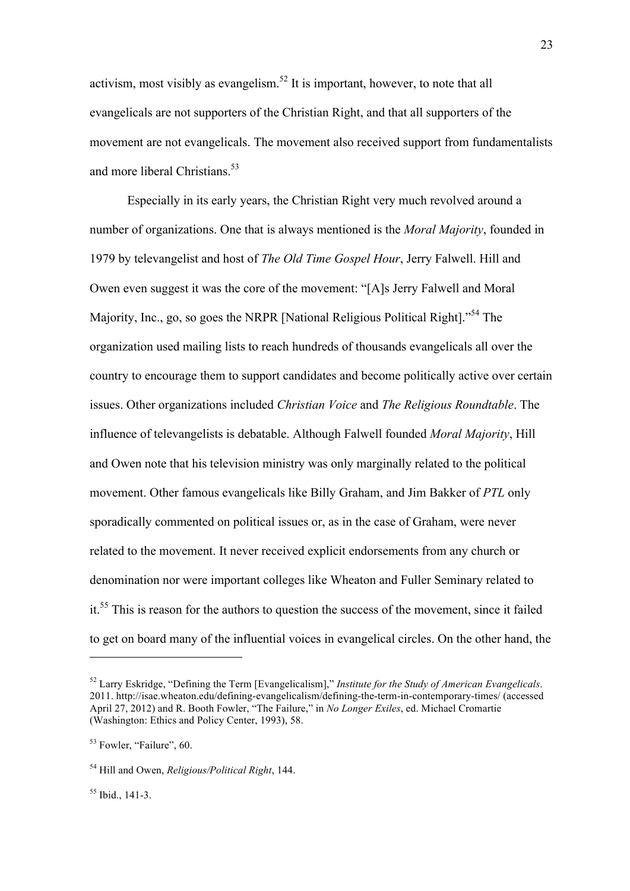activism, most visibly as evangelism.<sup>52</sup> It is important, however, to note that all evangelicals are not supporters of the Christian Right, and that all supporters of the movement are not evangelicals. The movement also received support from fundamentalists and more liberal Christians.<sup>53</sup>

Especially in its early years, the Christian Right very much revolved around a number of organizations. One that is always mentioned is the *Moral Majority*, founded in 1979 by televangelist and host of *The Old Time Gospel Hour*, Jerry Falwell. Hill and Owen even suggest it was the core of the movement: "[A]s Jerry Falwell and Moral Majority, Inc., go, so goes the NRPR [National Religious Political Right].<sup>54</sup> The organization used mailing lists to reach hundreds of thousands evangelicals all over the country to encourage them to support candidates and become politically active over certain issues. Other organizations included *Christian Voice* and *The Religious Roundtable*. The influence of televangelists is debatable. Although Falwell founded *Moral Majority*, Hill and Owen note that his television ministry was only marginally related to the political movement. Other famous evangelicals like Billy Graham, and Jim Bakker of *PTL* only sporadically commented on political issues or, as in the case of Graham, were never related to the movement. It never received explicit endorsements from any church or denomination nor were important colleges like Wheaton and Fuller Seminary related to it.55 This is reason for the authors to question the success of the movement, since it failed to get on board many of the influential voices in evangelical circles. On the other hand, the

 $55$  Ibid., 141-3.

<sup>52</sup> Larry Eskridge, "Defining the Term [Evangelicalism]," *Institute for the Study of American Evangelicals*. 2011. http://isae.wheaton.edu/defining-evangelicalism/defining-the-term-in-contemporary-times/ (accessed April 27, 2012) and R. Booth Fowler, "The Failure," in *No Longer Exiles*, ed. Michael Cromartie (Washington: Ethics and Policy Center, 1993), 58.

<sup>&</sup>lt;sup>53</sup> Fowler, "Failure", 60.

<sup>54</sup> Hill and Owen, *Religious/Political Right*, 144.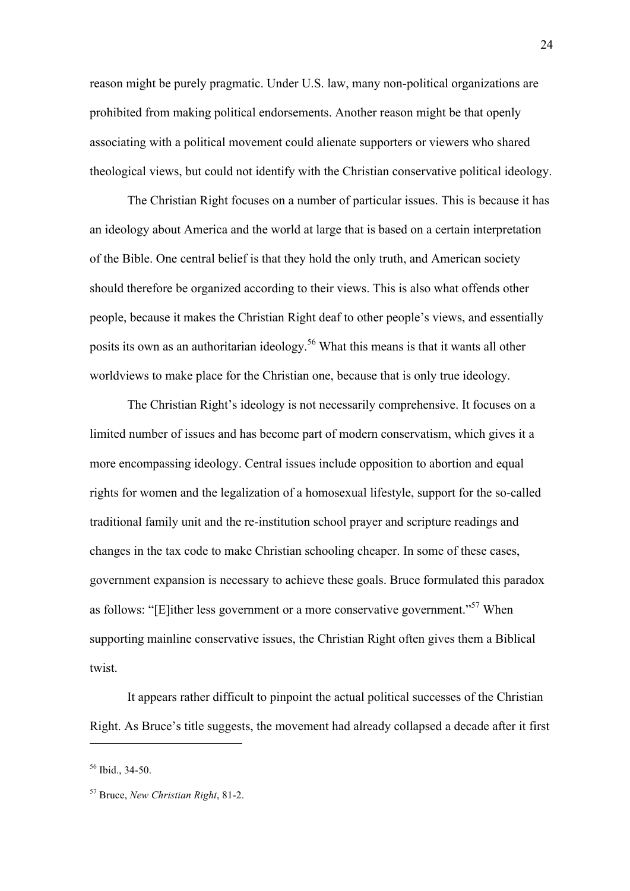reason might be purely pragmatic. Under U.S. law, many non-political organizations are prohibited from making political endorsements. Another reason might be that openly associating with a political movement could alienate supporters or viewers who shared theological views, but could not identify with the Christian conservative political ideology.

The Christian Right focuses on a number of particular issues. This is because it has an ideology about America and the world at large that is based on a certain interpretation of the Bible. One central belief is that they hold the only truth, and American society should therefore be organized according to their views. This is also what offends other people, because it makes the Christian Right deaf to other people's views, and essentially posits its own as an authoritarian ideology.<sup>56</sup> What this means is that it wants all other worldviews to make place for the Christian one, because that is only true ideology.

The Christian Right's ideology is not necessarily comprehensive. It focuses on a limited number of issues and has become part of modern conservatism, which gives it a more encompassing ideology. Central issues include opposition to abortion and equal rights for women and the legalization of a homosexual lifestyle, support for the so-called traditional family unit and the re-institution school prayer and scripture readings and changes in the tax code to make Christian schooling cheaper. In some of these cases, government expansion is necessary to achieve these goals. Bruce formulated this paradox as follows: "[E]ither less government or a more conservative government."<sup>57</sup> When supporting mainline conservative issues, the Christian Right often gives them a Biblical twist.

It appears rather difficult to pinpoint the actual political successes of the Christian Right. As Bruce's title suggests, the movement had already collapsed a decade after it first

<sup>56</sup> Ibid., 34-50.

<sup>57</sup> Bruce, *New Christian Right*, 81-2.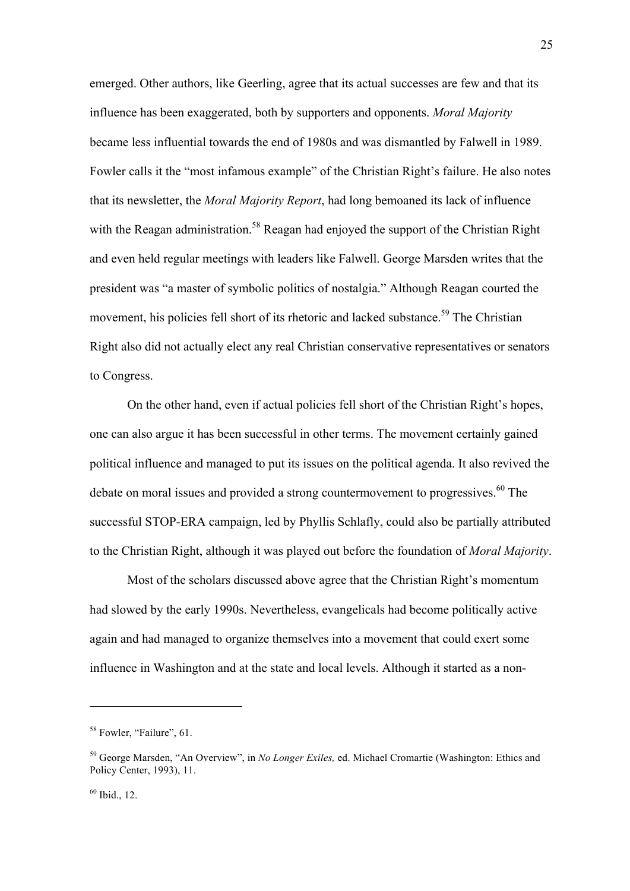emerged. Other authors, like Geerling, agree that its actual successes are few and that its influence has been exaggerated, both by supporters and opponents. *Moral Majority* became less influential towards the end of 1980s and was dismantled by Falwell in 1989. Fowler calls it the "most infamous example" of the Christian Right's failure. He also notes that its newsletter, the *Moral Majority Report*, had long bemoaned its lack of influence with the Reagan administration.<sup>58</sup> Reagan had enjoyed the support of the Christian Right and even held regular meetings with leaders like Falwell. George Marsden writes that the president was "a master of symbolic politics of nostalgia." Although Reagan courted the movement, his policies fell short of its rhetoric and lacked substance.<sup>59</sup> The Christian Right also did not actually elect any real Christian conservative representatives or senators to Congress.

On the other hand, even if actual policies fell short of the Christian Right's hopes, one can also argue it has been successful in other terms. The movement certainly gained political influence and managed to put its issues on the political agenda. It also revived the debate on moral issues and provided a strong countermovement to progressives.<sup>60</sup> The successful STOP-ERA campaign, led by Phyllis Schlafly, could also be partially attributed to the Christian Right, although it was played out before the foundation of *Moral Majority*.

Most of the scholars discussed above agree that the Christian Right's momentum had slowed by the early 1990s. Nevertheless, evangelicals had become politically active again and had managed to organize themselves into a movement that could exert some influence in Washington and at the state and local levels. Although it started as a non-

25

<sup>&</sup>lt;sup>58</sup> Fowler, "Failure", 61.

<sup>59</sup> George Marsden, "An Overview", in *No Longer Exiles,* ed. Michael Cromartie (Washington: Ethics and Policy Center, 1993), 11.

 $60$  Ibid., 12.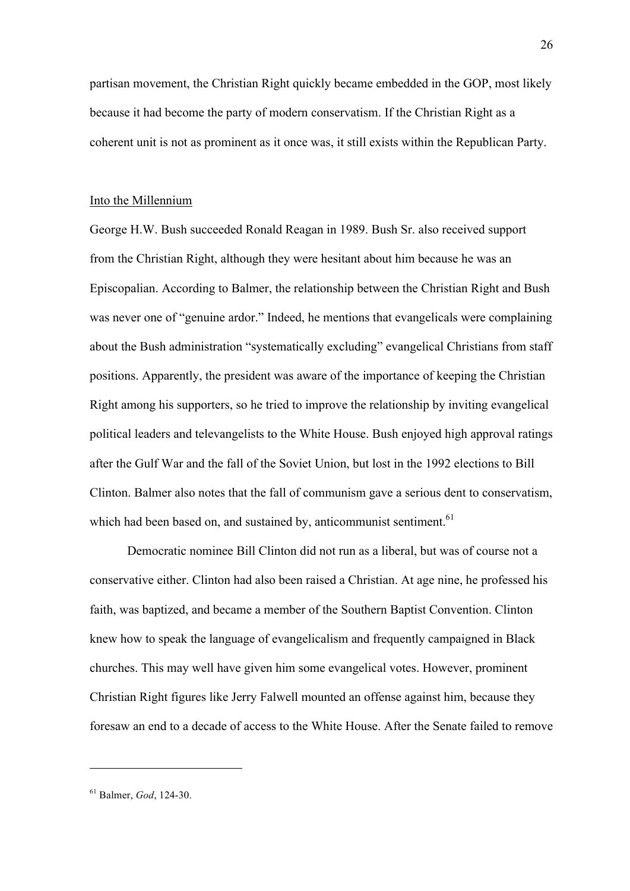partisan movement, the Christian Right quickly became embedded in the GOP, most likely because it had become the party of modern conservatism. If the Christian Right as a coherent unit is not as prominent as it once was, it still exists within the Republican Party.

### Into the Millennium

George H.W. Bush succeeded Ronald Reagan in 1989. Bush Sr. also received support from the Christian Right, although they were hesitant about him because he was an Episcopalian. According to Balmer, the relationship between the Christian Right and Bush was never one of "genuine ardor." Indeed, he mentions that evangelicals were complaining about the Bush administration "systematically excluding" evangelical Christians from staff positions. Apparently, the president was aware of the importance of keeping the Christian Right among his supporters, so he tried to improve the relationship by inviting evangelical political leaders and televangelists to the White House. Bush enjoyed high approval ratings after the Gulf War and the fall of the Soviet Union, but lost in the 1992 elections to Bill Clinton. Balmer also notes that the fall of communism gave a serious dent to conservatism, which had been based on, and sustained by, anticommunist sentiment.<sup>61</sup>

Democratic nominee Bill Clinton did not run as a liberal, but was of course not a conservative either. Clinton had also been raised a Christian. At age nine, he professed his faith, was baptized, and became a member of the Southern Baptist Convention. Clinton knew how to speak the language of evangelicalism and frequently campaigned in Black churches. This may well have given him some evangelical votes. However, prominent Christian Right figures like Jerry Falwell mounted an offense against him, because they foresaw an end to a decade of access to the White House. After the Senate failed to remove

<sup>61</sup> Balmer, *God*, 124-30.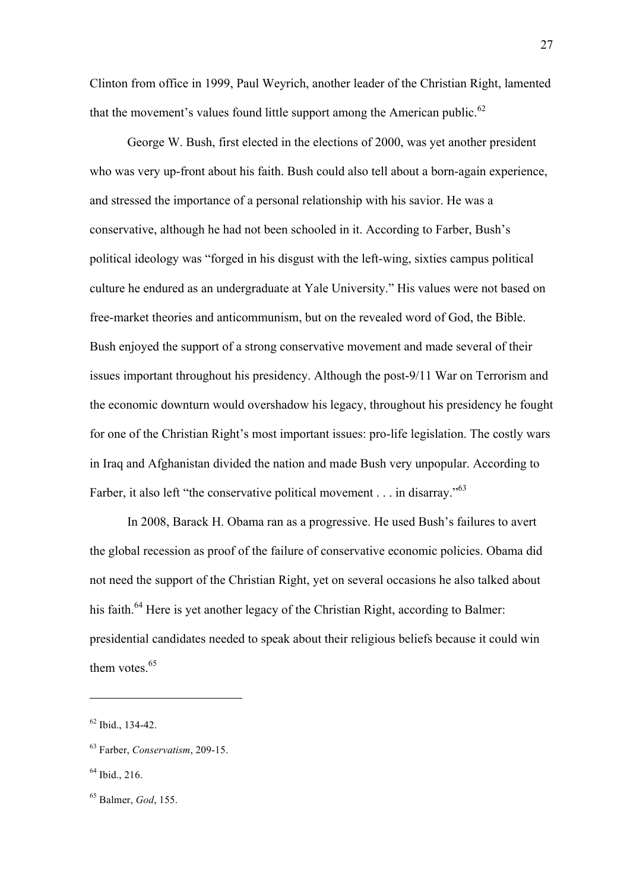Clinton from office in 1999, Paul Weyrich, another leader of the Christian Right, lamented that the movement's values found little support among the American public.<sup>62</sup>

George W. Bush, first elected in the elections of 2000, was yet another president who was very up-front about his faith. Bush could also tell about a born-again experience, and stressed the importance of a personal relationship with his savior. He was a conservative, although he had not been schooled in it. According to Farber, Bush's political ideology was "forged in his disgust with the left-wing, sixties campus political culture he endured as an undergraduate at Yale University." His values were not based on free-market theories and anticommunism, but on the revealed word of God, the Bible. Bush enjoyed the support of a strong conservative movement and made several of their issues important throughout his presidency. Although the post-9/11 War on Terrorism and the economic downturn would overshadow his legacy, throughout his presidency he fought for one of the Christian Right's most important issues: pro-life legislation. The costly wars in Iraq and Afghanistan divided the nation and made Bush very unpopular. According to Farber, it also left "the conservative political movement . . . in disarray."<sup>63</sup>

In 2008, Barack H. Obama ran as a progressive. He used Bush's failures to avert the global recession as proof of the failure of conservative economic policies. Obama did not need the support of the Christian Right, yet on several occasions he also talked about his faith.<sup>64</sup> Here is yet another legacy of the Christian Right, according to Balmer: presidential candidates needed to speak about their religious beliefs because it could win them votes.<sup>65</sup>

 $62$  Ibid., 134-42.

<sup>63</sup> Farber, *Conservatism*, 209-15.

 $64$  Ibid., 216.

<sup>65</sup> Balmer, *God*, 155.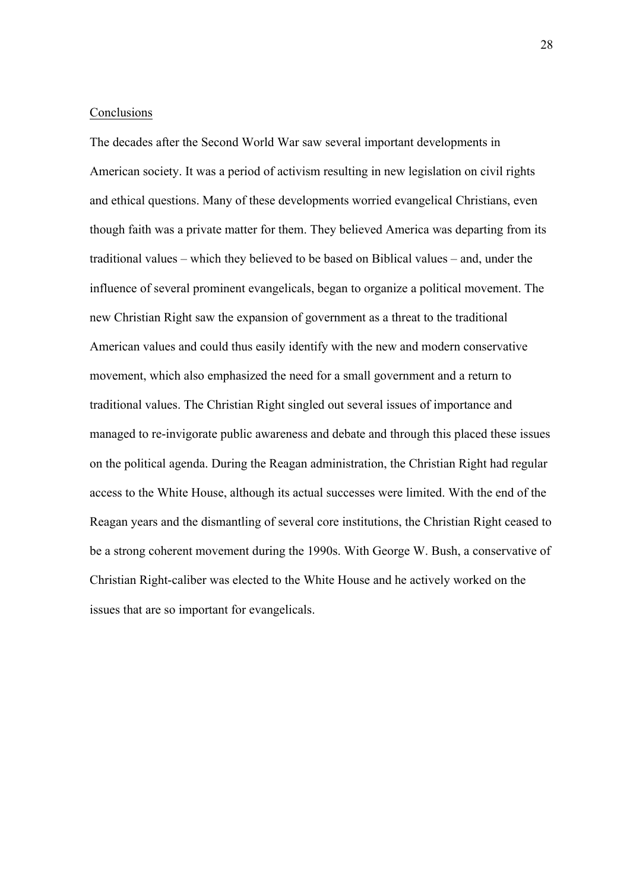#### **Conclusions**

The decades after the Second World War saw several important developments in American society. It was a period of activism resulting in new legislation on civil rights and ethical questions. Many of these developments worried evangelical Christians, even though faith was a private matter for them. They believed America was departing from its traditional values – which they believed to be based on Biblical values – and, under the influence of several prominent evangelicals, began to organize a political movement. The new Christian Right saw the expansion of government as a threat to the traditional American values and could thus easily identify with the new and modern conservative movement, which also emphasized the need for a small government and a return to traditional values. The Christian Right singled out several issues of importance and managed to re-invigorate public awareness and debate and through this placed these issues on the political agenda. During the Reagan administration, the Christian Right had regular access to the White House, although its actual successes were limited. With the end of the Reagan years and the dismantling of several core institutions, the Christian Right ceased to be a strong coherent movement during the 1990s. With George W. Bush, a conservative of Christian Right-caliber was elected to the White House and he actively worked on the issues that are so important for evangelicals.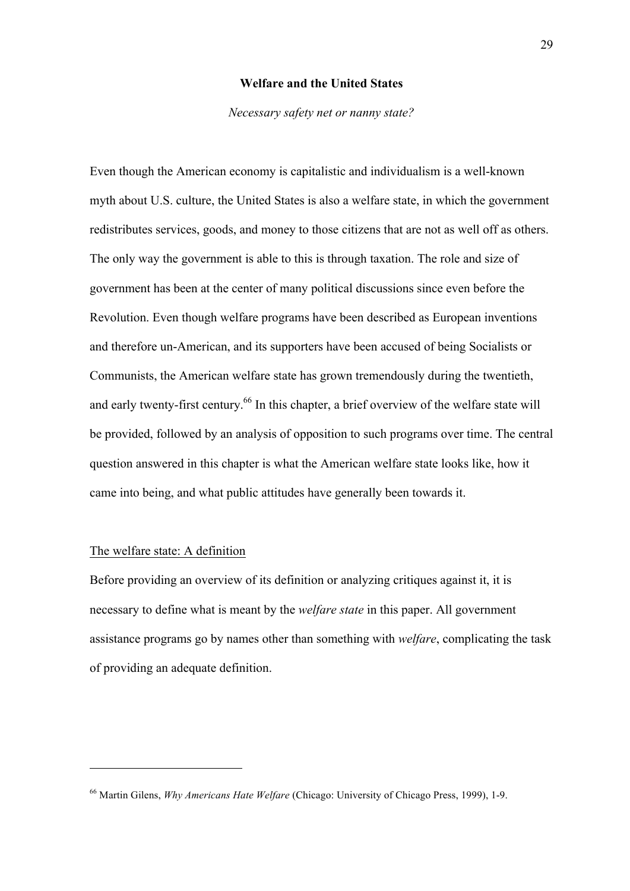#### **Welfare and the United States**

#### *Necessary safety net or nanny state?*

Even though the American economy is capitalistic and individualism is a well-known myth about U.S. culture, the United States is also a welfare state, in which the government redistributes services, goods, and money to those citizens that are not as well off as others. The only way the government is able to this is through taxation. The role and size of government has been at the center of many political discussions since even before the Revolution. Even though welfare programs have been described as European inventions and therefore un-American, and its supporters have been accused of being Socialists or Communists, the American welfare state has grown tremendously during the twentieth, and early twenty-first century.<sup>66</sup> In this chapter, a brief overview of the welfare state will be provided, followed by an analysis of opposition to such programs over time. The central question answered in this chapter is what the American welfare state looks like, how it came into being, and what public attitudes have generally been towards it.

# The welfare state: A definition

 $\overline{a}$ 

Before providing an overview of its definition or analyzing critiques against it, it is necessary to define what is meant by the *welfare state* in this paper. All government assistance programs go by names other than something with *welfare*, complicating the task of providing an adequate definition.

<sup>66</sup> Martin Gilens, *Why Americans Hate Welfare* (Chicago: University of Chicago Press, 1999), 1-9.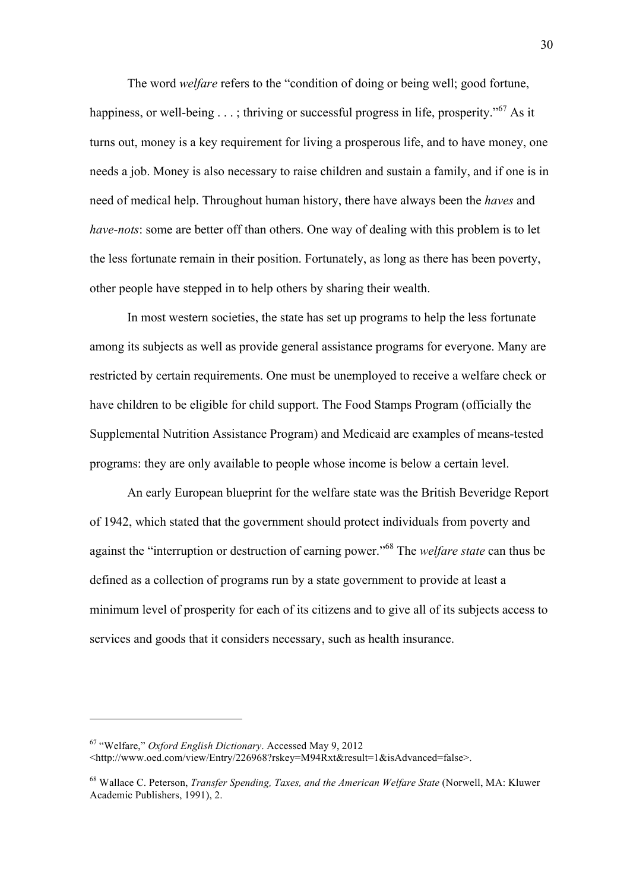The word *welfare* refers to the "condition of doing or being well; good fortune, happiness, or well-being  $\dots$ ; thriving or successful progress in life, prosperity."<sup>67</sup> As it turns out, money is a key requirement for living a prosperous life, and to have money, one needs a job. Money is also necessary to raise children and sustain a family, and if one is in need of medical help. Throughout human history, there have always been the *haves* and *have-nots*: some are better off than others. One way of dealing with this problem is to let the less fortunate remain in their position. Fortunately, as long as there has been poverty, other people have stepped in to help others by sharing their wealth.

In most western societies, the state has set up programs to help the less fortunate among its subjects as well as provide general assistance programs for everyone. Many are restricted by certain requirements. One must be unemployed to receive a welfare check or have children to be eligible for child support. The Food Stamps Program (officially the Supplemental Nutrition Assistance Program) and Medicaid are examples of means-tested programs: they are only available to people whose income is below a certain level.

An early European blueprint for the welfare state was the British Beveridge Report of 1942, which stated that the government should protect individuals from poverty and against the "interruption or destruction of earning power."<sup>68</sup> The *welfare state* can thus be defined as a collection of programs run by a state government to provide at least a minimum level of prosperity for each of its citizens and to give all of its subjects access to services and goods that it considers necessary, such as health insurance.

<sup>67</sup> "Welfare," *Oxford English Dictionary*. Accessed May 9, 2012

<sup>&</sup>lt;http://www.oed.com/view/Entry/226968?rskey=M94Rxt&result=1&isAdvanced=false>.

<sup>68</sup> Wallace C. Peterson, *Transfer Spending, Taxes, and the American Welfare State* (Norwell, MA: Kluwer Academic Publishers, 1991), 2.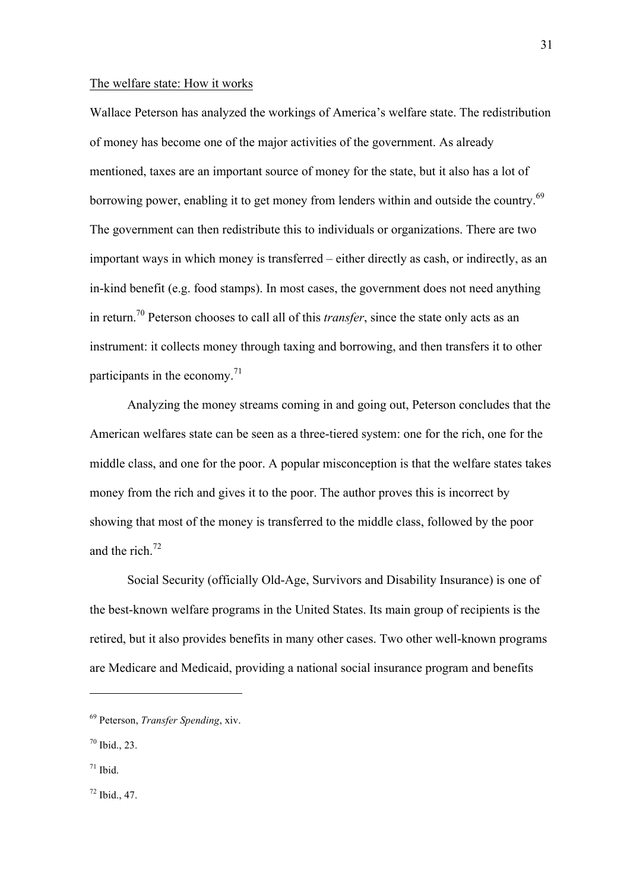#### The welfare state: How it works

Wallace Peterson has analyzed the workings of America's welfare state. The redistribution of money has become one of the major activities of the government. As already mentioned, taxes are an important source of money for the state, but it also has a lot of borrowing power, enabling it to get money from lenders within and outside the country.<sup>69</sup> The government can then redistribute this to individuals or organizations. There are two important ways in which money is transferred – either directly as cash, or indirectly, as an in-kind benefit (e.g. food stamps). In most cases, the government does not need anything in return.70 Peterson chooses to call all of this *transfer*, since the state only acts as an instrument: it collects money through taxing and borrowing, and then transfers it to other participants in the economy. $^{71}$ 

Analyzing the money streams coming in and going out, Peterson concludes that the American welfares state can be seen as a three-tiered system: one for the rich, one for the middle class, and one for the poor. A popular misconception is that the welfare states takes money from the rich and gives it to the poor. The author proves this is incorrect by showing that most of the money is transferred to the middle class, followed by the poor and the rich.<sup>72</sup>

Social Security (officially Old-Age, Survivors and Disability Insurance) is one of the best-known welfare programs in the United States. Its main group of recipients is the retired, but it also provides benefits in many other cases. Two other well-known programs are Medicare and Medicaid, providing a national social insurance program and benefits

 $\overline{a}$ 

 $72$  Ibid., 47.

<sup>69</sup> Peterson, *Transfer Spending*, xiv.

 $70$  Ibid., 23.

 $71$  Ibid.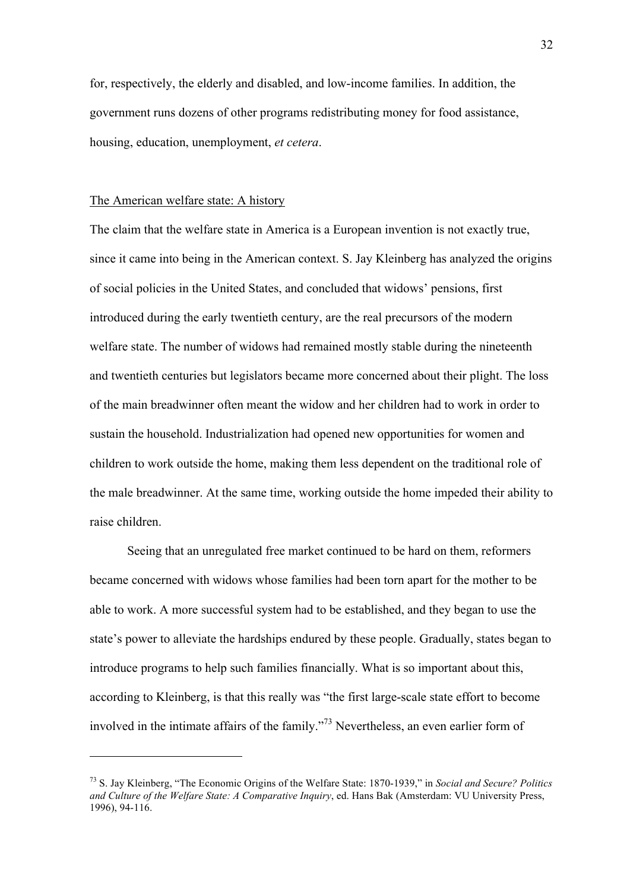for, respectively, the elderly and disabled, and low-income families. In addition, the government runs dozens of other programs redistributing money for food assistance, housing, education, unemployment, *et cetera*.

### The American welfare state: A history

 $\overline{a}$ 

The claim that the welfare state in America is a European invention is not exactly true, since it came into being in the American context. S. Jay Kleinberg has analyzed the origins of social policies in the United States, and concluded that widows' pensions, first introduced during the early twentieth century, are the real precursors of the modern welfare state. The number of widows had remained mostly stable during the nineteenth and twentieth centuries but legislators became more concerned about their plight. The loss of the main breadwinner often meant the widow and her children had to work in order to sustain the household. Industrialization had opened new opportunities for women and children to work outside the home, making them less dependent on the traditional role of the male breadwinner. At the same time, working outside the home impeded their ability to raise children.

Seeing that an unregulated free market continued to be hard on them, reformers became concerned with widows whose families had been torn apart for the mother to be able to work. A more successful system had to be established, and they began to use the state's power to alleviate the hardships endured by these people. Gradually, states began to introduce programs to help such families financially. What is so important about this, according to Kleinberg, is that this really was "the first large-scale state effort to become involved in the intimate affairs of the family."<sup>73</sup> Nevertheless, an even earlier form of

<sup>73</sup> S. Jay Kleinberg, "The Economic Origins of the Welfare State: 1870-1939," in *Social and Secure? Politics and Culture of the Welfare State: A Comparative Inquiry*, ed. Hans Bak (Amsterdam: VU University Press, 1996), 94-116.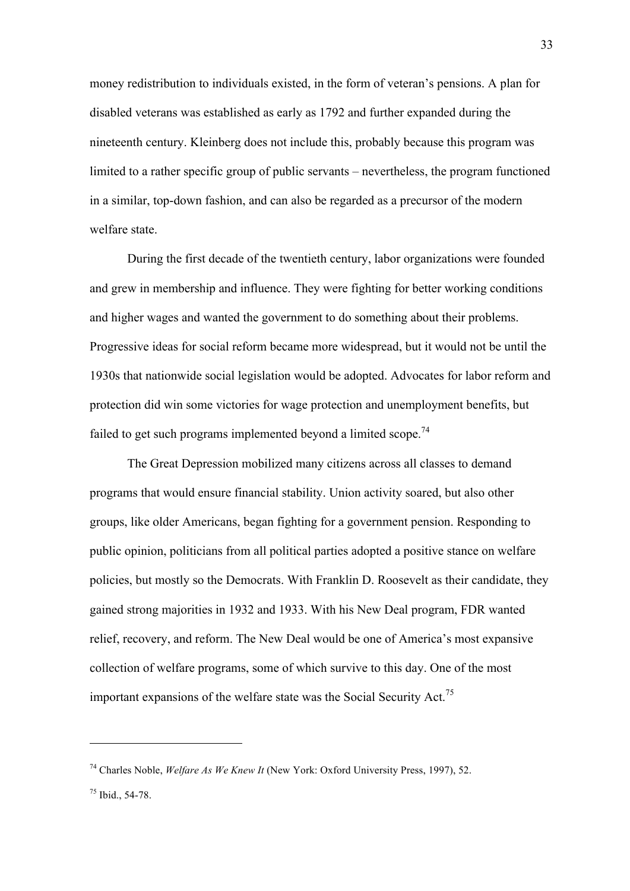money redistribution to individuals existed, in the form of veteran's pensions. A plan for disabled veterans was established as early as 1792 and further expanded during the nineteenth century. Kleinberg does not include this, probably because this program was limited to a rather specific group of public servants – nevertheless, the program functioned in a similar, top-down fashion, and can also be regarded as a precursor of the modern welfare state.

During the first decade of the twentieth century, labor organizations were founded and grew in membership and influence. They were fighting for better working conditions and higher wages and wanted the government to do something about their problems. Progressive ideas for social reform became more widespread, but it would not be until the 1930s that nationwide social legislation would be adopted. Advocates for labor reform and protection did win some victories for wage protection and unemployment benefits, but failed to get such programs implemented beyond a limited scope.<sup>74</sup>

The Great Depression mobilized many citizens across all classes to demand programs that would ensure financial stability. Union activity soared, but also other groups, like older Americans, began fighting for a government pension. Responding to public opinion, politicians from all political parties adopted a positive stance on welfare policies, but mostly so the Democrats. With Franklin D. Roosevelt as their candidate, they gained strong majorities in 1932 and 1933. With his New Deal program, FDR wanted relief, recovery, and reform. The New Deal would be one of America's most expansive collection of welfare programs, some of which survive to this day. One of the most important expansions of the welfare state was the Social Security Act.75

<sup>74</sup> Charles Noble, *Welfare As We Knew It* (New York: Oxford University Press, 1997), 52.

 $75$  Ibid., 54-78.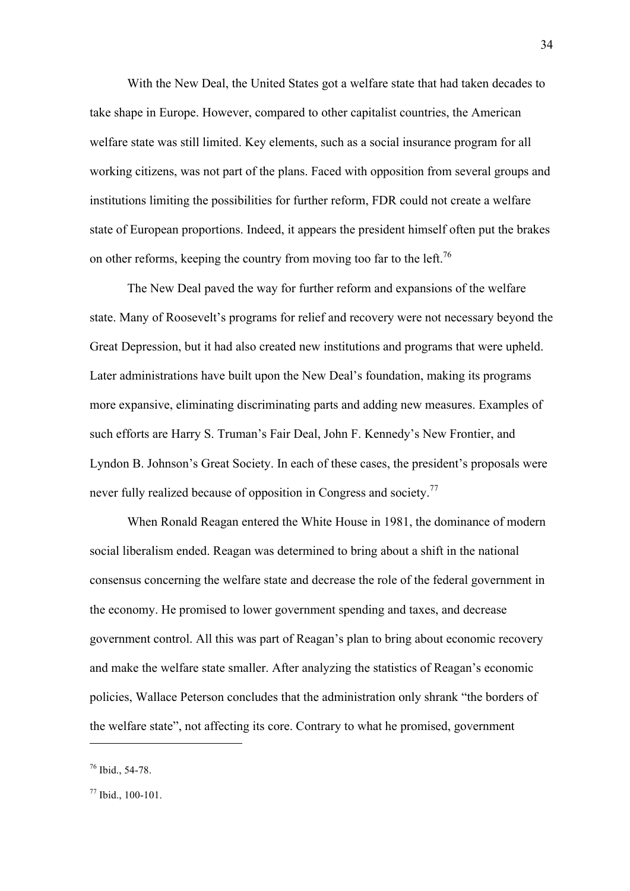With the New Deal, the United States got a welfare state that had taken decades to take shape in Europe. However, compared to other capitalist countries, the American welfare state was still limited. Key elements, such as a social insurance program for all working citizens, was not part of the plans. Faced with opposition from several groups and institutions limiting the possibilities for further reform, FDR could not create a welfare state of European proportions. Indeed, it appears the president himself often put the brakes on other reforms, keeping the country from moving too far to the left.<sup>76</sup>

The New Deal paved the way for further reform and expansions of the welfare state. Many of Roosevelt's programs for relief and recovery were not necessary beyond the Great Depression, but it had also created new institutions and programs that were upheld. Later administrations have built upon the New Deal's foundation, making its programs more expansive, eliminating discriminating parts and adding new measures. Examples of such efforts are Harry S. Truman's Fair Deal, John F. Kennedy's New Frontier, and Lyndon B. Johnson's Great Society. In each of these cases, the president's proposals were never fully realized because of opposition in Congress and society.<sup>77</sup>

When Ronald Reagan entered the White House in 1981, the dominance of modern social liberalism ended. Reagan was determined to bring about a shift in the national consensus concerning the welfare state and decrease the role of the federal government in the economy. He promised to lower government spending and taxes, and decrease government control. All this was part of Reagan's plan to bring about economic recovery and make the welfare state smaller. After analyzing the statistics of Reagan's economic policies, Wallace Peterson concludes that the administration only shrank "the borders of the welfare state", not affecting its core. Contrary to what he promised, government

<sup>76</sup> Ibid., 54-78.

<sup>77</sup> Ibid., 100-101.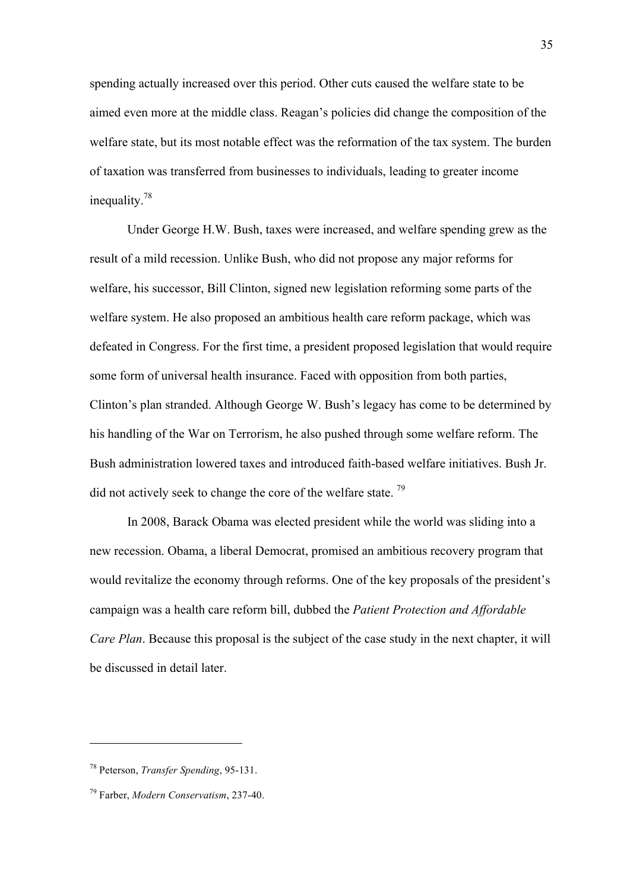spending actually increased over this period. Other cuts caused the welfare state to be aimed even more at the middle class. Reagan's policies did change the composition of the welfare state, but its most notable effect was the reformation of the tax system. The burden of taxation was transferred from businesses to individuals, leading to greater income inequality.78

Under George H.W. Bush, taxes were increased, and welfare spending grew as the result of a mild recession. Unlike Bush, who did not propose any major reforms for welfare, his successor, Bill Clinton, signed new legislation reforming some parts of the welfare system. He also proposed an ambitious health care reform package, which was defeated in Congress. For the first time, a president proposed legislation that would require some form of universal health insurance. Faced with opposition from both parties, Clinton's plan stranded. Although George W. Bush's legacy has come to be determined by his handling of the War on Terrorism, he also pushed through some welfare reform. The Bush administration lowered taxes and introduced faith-based welfare initiatives. Bush Jr. did not actively seek to change the core of the welfare state.  $^{79}$ 

In 2008, Barack Obama was elected president while the world was sliding into a new recession. Obama, a liberal Democrat, promised an ambitious recovery program that would revitalize the economy through reforms. One of the key proposals of the president's campaign was a health care reform bill, dubbed the *Patient Protection and Affordable Care Plan*. Because this proposal is the subject of the case study in the next chapter, it will be discussed in detail later.

<sup>78</sup> Peterson, *Transfer Spending*, 95-131.

<sup>79</sup> Farber, *Modern Conservatism*, 237-40.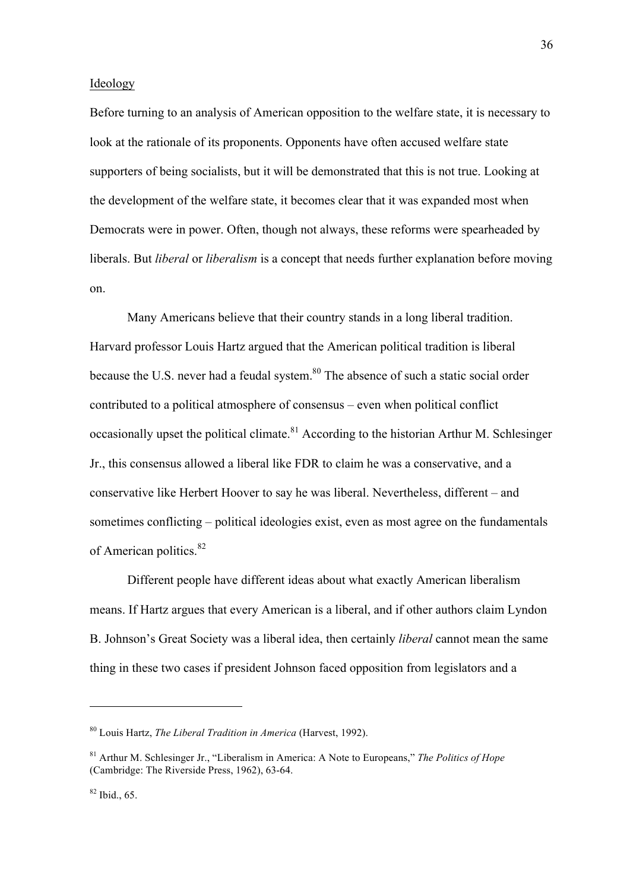### Ideology

Before turning to an analysis of American opposition to the welfare state, it is necessary to look at the rationale of its proponents. Opponents have often accused welfare state supporters of being socialists, but it will be demonstrated that this is not true. Looking at the development of the welfare state, it becomes clear that it was expanded most when Democrats were in power. Often, though not always, these reforms were spearheaded by liberals. But *liberal* or *liberalism* is a concept that needs further explanation before moving on.

Many Americans believe that their country stands in a long liberal tradition. Harvard professor Louis Hartz argued that the American political tradition is liberal because the U.S. never had a feudal system.<sup>80</sup> The absence of such a static social order contributed to a political atmosphere of consensus – even when political conflict occasionally upset the political climate.<sup>81</sup> According to the historian Arthur M. Schlesinger Jr., this consensus allowed a liberal like FDR to claim he was a conservative, and a conservative like Herbert Hoover to say he was liberal. Nevertheless, different – and sometimes conflicting – political ideologies exist, even as most agree on the fundamentals of American politics.<sup>82</sup>

Different people have different ideas about what exactly American liberalism means. If Hartz argues that every American is a liberal, and if other authors claim Lyndon B. Johnson's Great Society was a liberal idea, then certainly *liberal* cannot mean the same thing in these two cases if president Johnson faced opposition from legislators and a

<sup>80</sup> Louis Hartz, *The Liberal Tradition in America* (Harvest, 1992).

<sup>81</sup> Arthur M. Schlesinger Jr., "Liberalism in America: A Note to Europeans," *The Politics of Hope* (Cambridge: The Riverside Press, 1962), 63-64.

 $82$  Ibid., 65.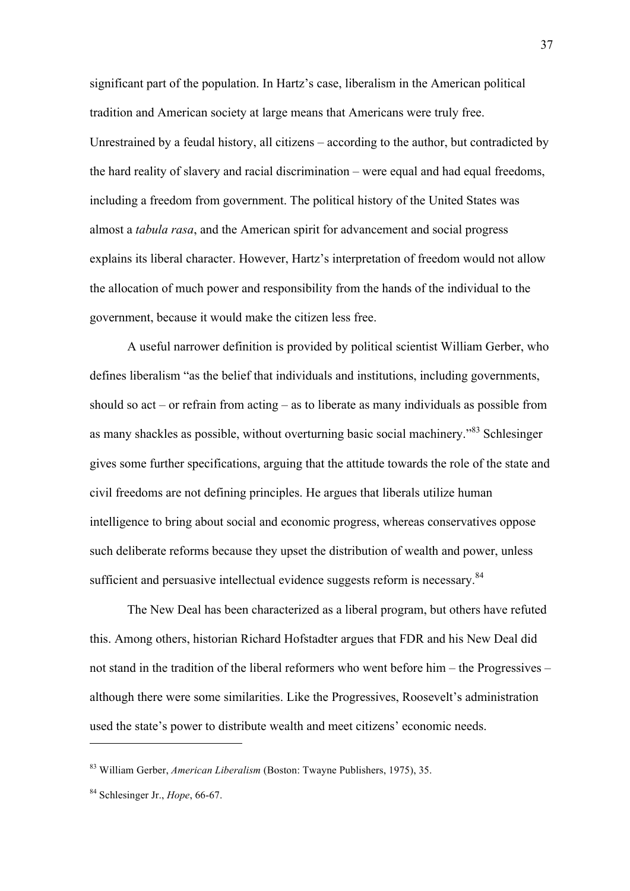significant part of the population. In Hartz's case, liberalism in the American political tradition and American society at large means that Americans were truly free. Unrestrained by a feudal history, all citizens – according to the author, but contradicted by the hard reality of slavery and racial discrimination – were equal and had equal freedoms, including a freedom from government. The political history of the United States was almost a *tabula rasa*, and the American spirit for advancement and social progress explains its liberal character. However, Hartz's interpretation of freedom would not allow the allocation of much power and responsibility from the hands of the individual to the government, because it would make the citizen less free.

A useful narrower definition is provided by political scientist William Gerber, who defines liberalism "as the belief that individuals and institutions, including governments, should so act – or refrain from acting – as to liberate as many individuals as possible from as many shackles as possible, without overturning basic social machinery."<sup>83</sup> Schlesinger gives some further specifications, arguing that the attitude towards the role of the state and civil freedoms are not defining principles. He argues that liberals utilize human intelligence to bring about social and economic progress, whereas conservatives oppose such deliberate reforms because they upset the distribution of wealth and power, unless sufficient and persuasive intellectual evidence suggests reform is necessary.<sup>84</sup>

The New Deal has been characterized as a liberal program, but others have refuted this. Among others, historian Richard Hofstadter argues that FDR and his New Deal did not stand in the tradition of the liberal reformers who went before him – the Progressives – although there were some similarities. Like the Progressives, Roosevelt's administration used the state's power to distribute wealth and meet citizens' economic needs.

<sup>83</sup> William Gerber, *American Liberalism* (Boston: Twayne Publishers, 1975), 35.

<sup>84</sup> Schlesinger Jr., *Hope*, 66-67.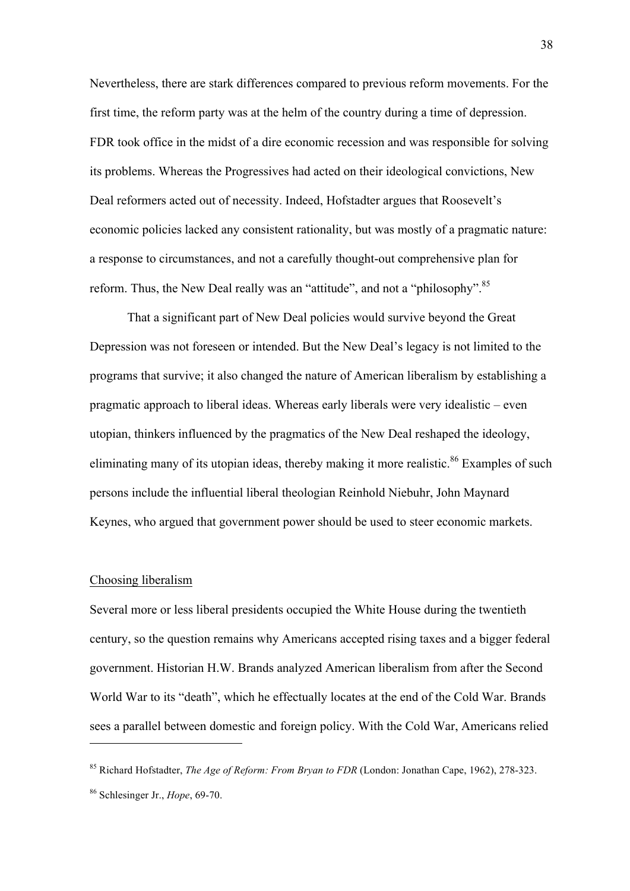Nevertheless, there are stark differences compared to previous reform movements. For the first time, the reform party was at the helm of the country during a time of depression. FDR took office in the midst of a dire economic recession and was responsible for solving its problems. Whereas the Progressives had acted on their ideological convictions, New Deal reformers acted out of necessity. Indeed, Hofstadter argues that Roosevelt's economic policies lacked any consistent rationality, but was mostly of a pragmatic nature: a response to circumstances, and not a carefully thought-out comprehensive plan for reform. Thus, the New Deal really was an "attitude", and not a "philosophy".<sup>85</sup>

That a significant part of New Deal policies would survive beyond the Great Depression was not foreseen or intended. But the New Deal's legacy is not limited to the programs that survive; it also changed the nature of American liberalism by establishing a pragmatic approach to liberal ideas. Whereas early liberals were very idealistic – even utopian, thinkers influenced by the pragmatics of the New Deal reshaped the ideology, eliminating many of its utopian ideas, thereby making it more realistic.<sup>86</sup> Examples of such persons include the influential liberal theologian Reinhold Niebuhr, John Maynard Keynes, who argued that government power should be used to steer economic markets.

# Choosing liberalism

 $\overline{a}$ 

Several more or less liberal presidents occupied the White House during the twentieth century, so the question remains why Americans accepted rising taxes and a bigger federal government. Historian H.W. Brands analyzed American liberalism from after the Second World War to its "death", which he effectually locates at the end of the Cold War. Brands sees a parallel between domestic and foreign policy. With the Cold War, Americans relied

<sup>85</sup> Richard Hofstadter, *The Age of Reform: From Bryan to FDR* (London: Jonathan Cape, 1962), 278-323. <sup>86</sup> Schlesinger Jr., *Hope*, 69-70.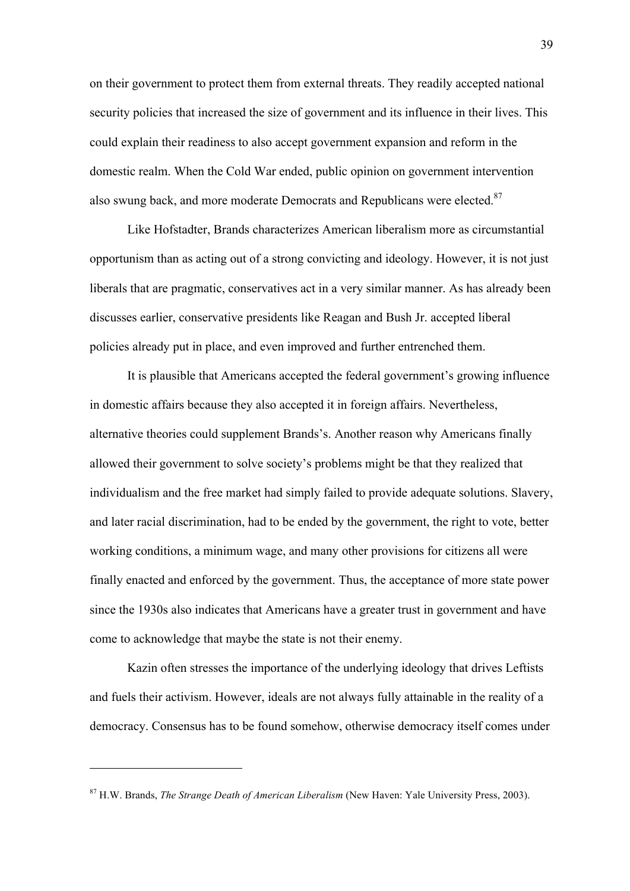on their government to protect them from external threats. They readily accepted national security policies that increased the size of government and its influence in their lives. This could explain their readiness to also accept government expansion and reform in the domestic realm. When the Cold War ended, public opinion on government intervention also swung back, and more moderate Democrats and Republicans were elected.<sup>87</sup>

Like Hofstadter, Brands characterizes American liberalism more as circumstantial opportunism than as acting out of a strong convicting and ideology. However, it is not just liberals that are pragmatic, conservatives act in a very similar manner. As has already been discusses earlier, conservative presidents like Reagan and Bush Jr. accepted liberal policies already put in place, and even improved and further entrenched them.

It is plausible that Americans accepted the federal government's growing influence in domestic affairs because they also accepted it in foreign affairs. Nevertheless, alternative theories could supplement Brands's. Another reason why Americans finally allowed their government to solve society's problems might be that they realized that individualism and the free market had simply failed to provide adequate solutions. Slavery, and later racial discrimination, had to be ended by the government, the right to vote, better working conditions, a minimum wage, and many other provisions for citizens all were finally enacted and enforced by the government. Thus, the acceptance of more state power since the 1930s also indicates that Americans have a greater trust in government and have come to acknowledge that maybe the state is not their enemy.

Kazin often stresses the importance of the underlying ideology that drives Leftists and fuels their activism. However, ideals are not always fully attainable in the reality of a democracy. Consensus has to be found somehow, otherwise democracy itself comes under

<sup>87</sup> H.W. Brands, *The Strange Death of American Liberalism* (New Haven: Yale University Press, 2003).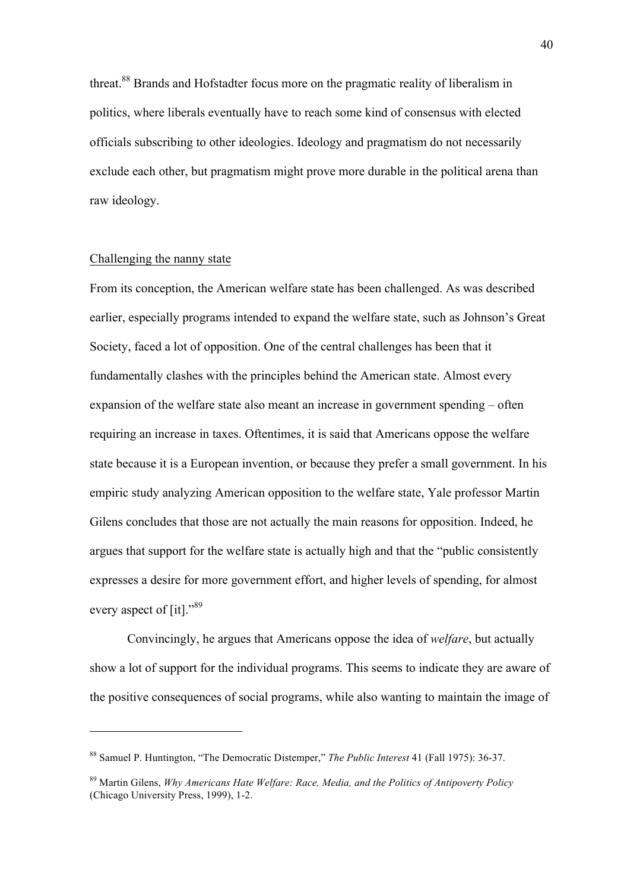threat.88 Brands and Hofstadter focus more on the pragmatic reality of liberalism in politics, where liberals eventually have to reach some kind of consensus with elected officials subscribing to other ideologies. Ideology and pragmatism do not necessarily exclude each other, but pragmatism might prove more durable in the political arena than raw ideology.

### Challenging the nanny state

 $\overline{a}$ 

From its conception, the American welfare state has been challenged. As was described earlier, especially programs intended to expand the welfare state, such as Johnson's Great Society, faced a lot of opposition. One of the central challenges has been that it fundamentally clashes with the principles behind the American state. Almost every expansion of the welfare state also meant an increase in government spending – often requiring an increase in taxes. Oftentimes, it is said that Americans oppose the welfare state because it is a European invention, or because they prefer a small government. In his empiric study analyzing American opposition to the welfare state, Yale professor Martin Gilens concludes that those are not actually the main reasons for opposition. Indeed, he argues that support for the welfare state is actually high and that the "public consistently expresses a desire for more government effort, and higher levels of spending, for almost every aspect of [it]."<sup>89</sup>

Convincingly, he argues that Americans oppose the idea of *welfare*, but actually show a lot of support for the individual programs. This seems to indicate they are aware of the positive consequences of social programs, while also wanting to maintain the image of

<sup>88</sup> Samuel P. Huntington, "The Democratic Distemper," *The Public Interest* 41 (Fall 1975): 36-37.

<sup>89</sup> Martin Gilens, *Why Americans Hate Welfare: Race, Media, and the Politics of Antipoverty Policy* (Chicago University Press, 1999), 1-2.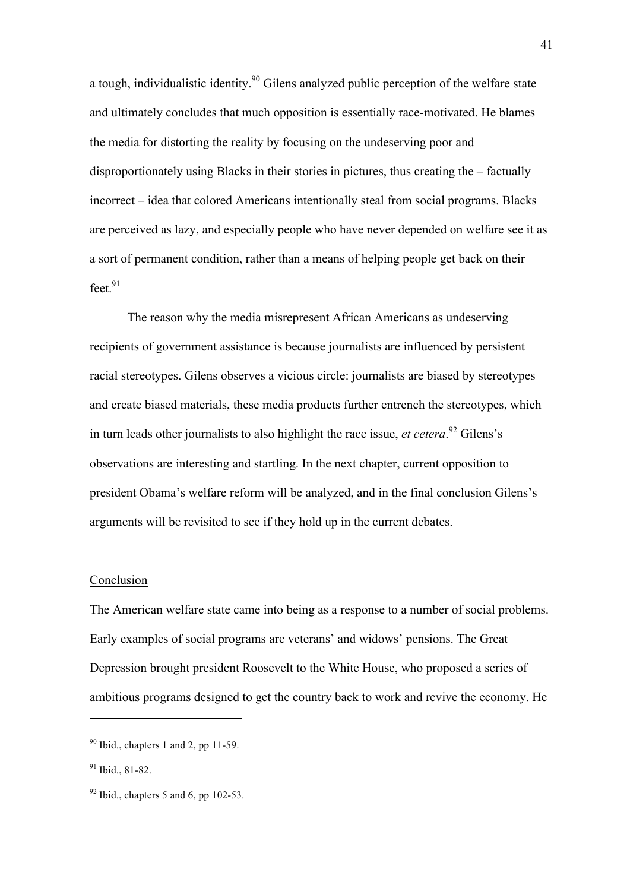a tough, individualistic identity.<sup>90</sup> Gilens analyzed public perception of the welfare state and ultimately concludes that much opposition is essentially race-motivated. He blames the media for distorting the reality by focusing on the undeserving poor and disproportionately using Blacks in their stories in pictures, thus creating the – factually incorrect – idea that colored Americans intentionally steal from social programs. Blacks are perceived as lazy, and especially people who have never depended on welfare see it as a sort of permanent condition, rather than a means of helping people get back on their  $feet.<sup>91</sup>$ 

The reason why the media misrepresent African Americans as undeserving recipients of government assistance is because journalists are influenced by persistent racial stereotypes. Gilens observes a vicious circle: journalists are biased by stereotypes and create biased materials, these media products further entrench the stereotypes, which in turn leads other journalists to also highlight the race issue, *et cetera*. <sup>92</sup> Gilens's observations are interesting and startling. In the next chapter, current opposition to president Obama's welfare reform will be analyzed, and in the final conclusion Gilens's arguments will be revisited to see if they hold up in the current debates.

#### Conclusion

The American welfare state came into being as a response to a number of social problems. Early examples of social programs are veterans' and widows' pensions. The Great Depression brought president Roosevelt to the White House, who proposed a series of ambitious programs designed to get the country back to work and revive the economy. He

 $90$  Ibid., chapters 1 and 2, pp 11-59.

<sup>91</sup> Ibid., 81-82.

 $92$  Ibid., chapters 5 and 6, pp 102-53.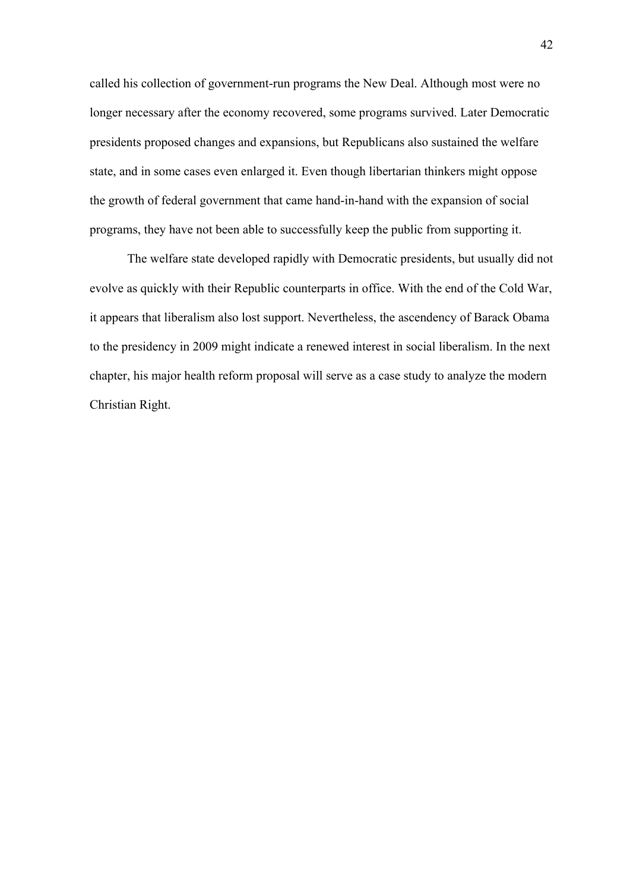called his collection of government-run programs the New Deal. Although most were no longer necessary after the economy recovered, some programs survived. Later Democratic presidents proposed changes and expansions, but Republicans also sustained the welfare state, and in some cases even enlarged it. Even though libertarian thinkers might oppose the growth of federal government that came hand-in-hand with the expansion of social programs, they have not been able to successfully keep the public from supporting it.

The welfare state developed rapidly with Democratic presidents, but usually did not evolve as quickly with their Republic counterparts in office. With the end of the Cold War, it appears that liberalism also lost support. Nevertheless, the ascendency of Barack Obama to the presidency in 2009 might indicate a renewed interest in social liberalism. In the next chapter, his major health reform proposal will serve as a case study to analyze the modern Christian Right.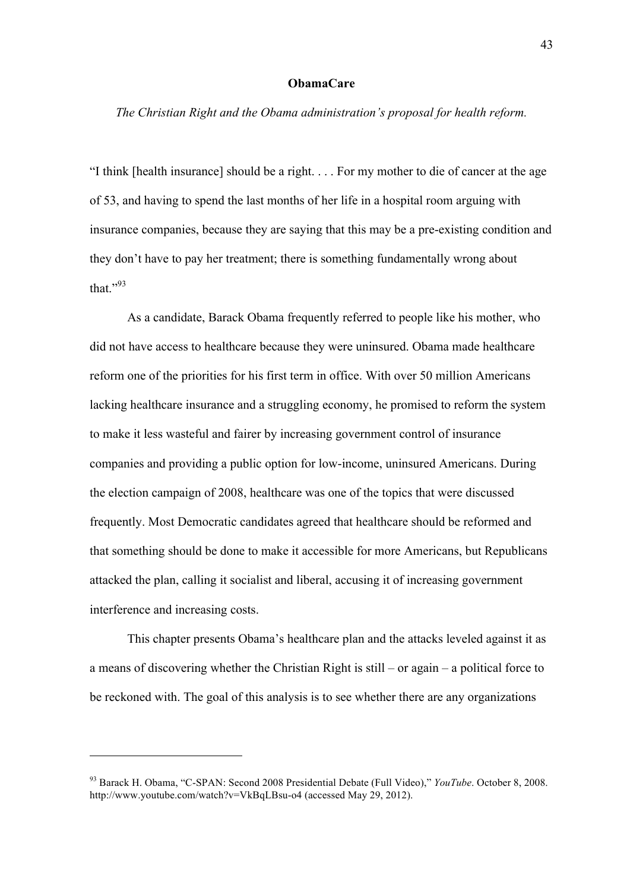### **ObamaCare**

*The Christian Right and the Obama administration's proposal for health reform.*

"I think [health insurance] should be a right. . . . For my mother to die of cancer at the age of 53, and having to spend the last months of her life in a hospital room arguing with insurance companies, because they are saying that this may be a pre-existing condition and they don't have to pay her treatment; there is something fundamentally wrong about that $^{1,93}$ 

As a candidate, Barack Obama frequently referred to people like his mother, who did not have access to healthcare because they were uninsured. Obama made healthcare reform one of the priorities for his first term in office. With over 50 million Americans lacking healthcare insurance and a struggling economy, he promised to reform the system to make it less wasteful and fairer by increasing government control of insurance companies and providing a public option for low-income, uninsured Americans. During the election campaign of 2008, healthcare was one of the topics that were discussed frequently. Most Democratic candidates agreed that healthcare should be reformed and that something should be done to make it accessible for more Americans, but Republicans attacked the plan, calling it socialist and liberal, accusing it of increasing government interference and increasing costs.

This chapter presents Obama's healthcare plan and the attacks leveled against it as a means of discovering whether the Christian Right is still – or again – a political force to be reckoned with. The goal of this analysis is to see whether there are any organizations

<sup>93</sup> Barack H. Obama, "C-SPAN: Second 2008 Presidential Debate (Full Video)," *YouTube*. October 8, 2008. http://www.youtube.com/watch?v=VkBqLBsu-o4 (accessed May 29, 2012).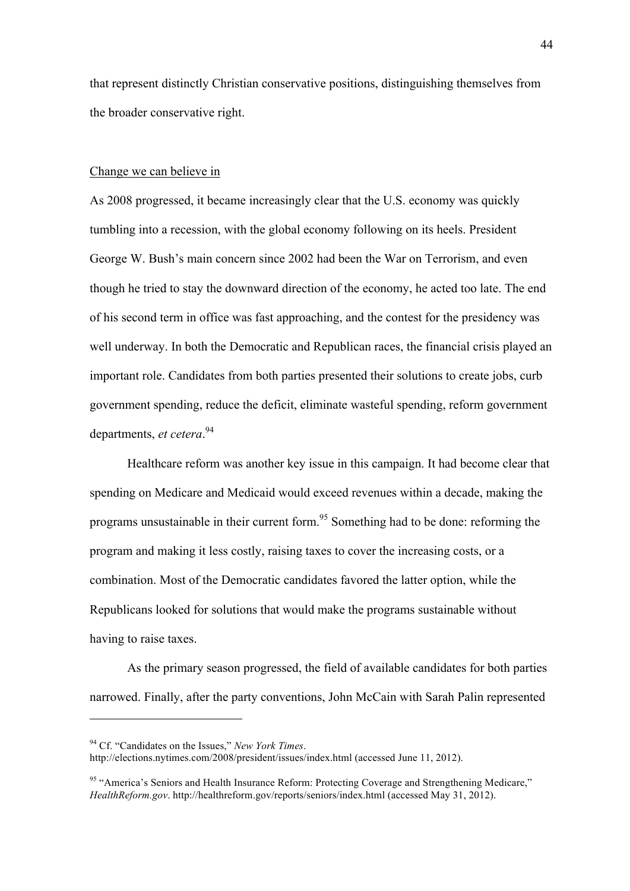that represent distinctly Christian conservative positions, distinguishing themselves from the broader conservative right.

#### Change we can believe in

As 2008 progressed, it became increasingly clear that the U.S. economy was quickly tumbling into a recession, with the global economy following on its heels. President George W. Bush's main concern since 2002 had been the War on Terrorism, and even though he tried to stay the downward direction of the economy, he acted too late. The end of his second term in office was fast approaching, and the contest for the presidency was well underway. In both the Democratic and Republican races, the financial crisis played an important role. Candidates from both parties presented their solutions to create jobs, curb government spending, reduce the deficit, eliminate wasteful spending, reform government departments, *et cetera*. 94

Healthcare reform was another key issue in this campaign. It had become clear that spending on Medicare and Medicaid would exceed revenues within a decade, making the programs unsustainable in their current form.95 Something had to be done: reforming the program and making it less costly, raising taxes to cover the increasing costs, or a combination. Most of the Democratic candidates favored the latter option, while the Republicans looked for solutions that would make the programs sustainable without having to raise taxes.

As the primary season progressed, the field of available candidates for both parties narrowed. Finally, after the party conventions, John McCain with Sarah Palin represented

<sup>94</sup> Cf. "Candidates on the Issues," *New York Times*.

http://elections.nytimes.com/2008/president/issues/index.html (accessed June 11, 2012).

<sup>&</sup>lt;sup>95</sup> "America's Seniors and Health Insurance Reform: Protecting Coverage and Strengthening Medicare," *HealthReform.gov*. http://healthreform.gov/reports/seniors/index.html (accessed May 31, 2012).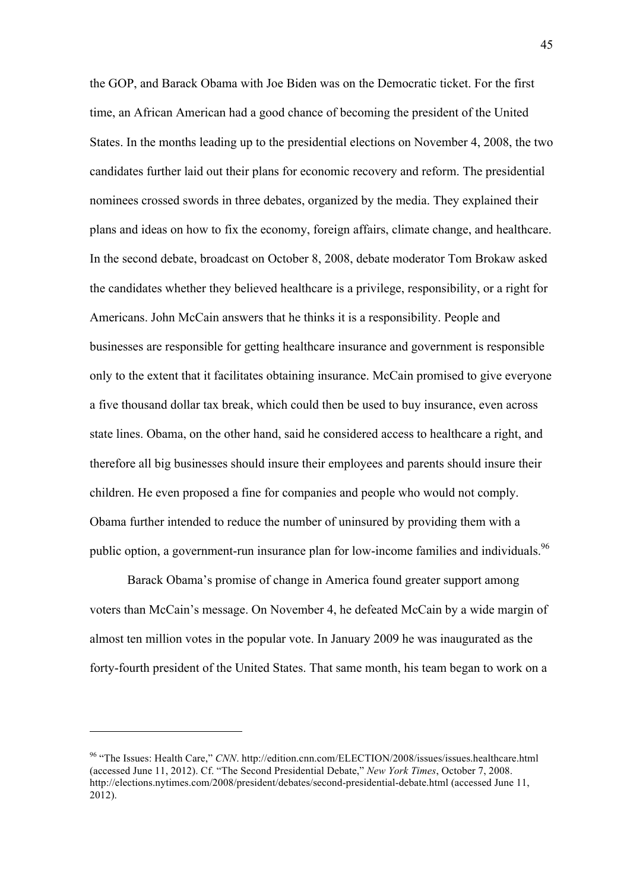the GOP, and Barack Obama with Joe Biden was on the Democratic ticket. For the first time, an African American had a good chance of becoming the president of the United States. In the months leading up to the presidential elections on November 4, 2008, the two candidates further laid out their plans for economic recovery and reform. The presidential nominees crossed swords in three debates, organized by the media. They explained their plans and ideas on how to fix the economy, foreign affairs, climate change, and healthcare. In the second debate, broadcast on October 8, 2008, debate moderator Tom Brokaw asked the candidates whether they believed healthcare is a privilege, responsibility, or a right for Americans. John McCain answers that he thinks it is a responsibility. People and businesses are responsible for getting healthcare insurance and government is responsible only to the extent that it facilitates obtaining insurance. McCain promised to give everyone a five thousand dollar tax break, which could then be used to buy insurance, even across state lines. Obama, on the other hand, said he considered access to healthcare a right, and therefore all big businesses should insure their employees and parents should insure their children. He even proposed a fine for companies and people who would not comply. Obama further intended to reduce the number of uninsured by providing them with a public option, a government-run insurance plan for low-income families and individuals.<sup>96</sup>

Barack Obama's promise of change in America found greater support among voters than McCain's message. On November 4, he defeated McCain by a wide margin of almost ten million votes in the popular vote. In January 2009 he was inaugurated as the forty-fourth president of the United States. That same month, his team began to work on a

<sup>&</sup>lt;sup>96</sup> "The Issues: Health Care," *CNN*. http://edition.cnn.com/ELECTION/2008/issues/issues.healthcare.html (accessed June 11, 2012). Cf. "The Second Presidential Debate," *New York Times*, October 7, 2008. http://elections.nytimes.com/2008/president/debates/second-presidential-debate.html (accessed June 11, 2012).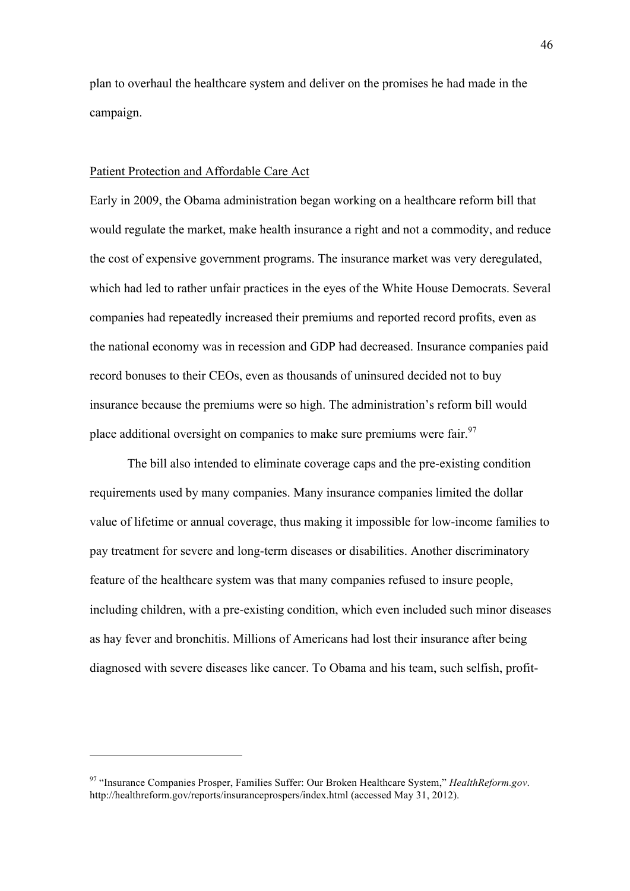plan to overhaul the healthcare system and deliver on the promises he had made in the campaign.

### Patient Protection and Affordable Care Act

 $\overline{a}$ 

Early in 2009, the Obama administration began working on a healthcare reform bill that would regulate the market, make health insurance a right and not a commodity, and reduce the cost of expensive government programs. The insurance market was very deregulated, which had led to rather unfair practices in the eyes of the White House Democrats. Several companies had repeatedly increased their premiums and reported record profits, even as the national economy was in recession and GDP had decreased. Insurance companies paid record bonuses to their CEOs, even as thousands of uninsured decided not to buy insurance because the premiums were so high. The administration's reform bill would place additional oversight on companies to make sure premiums were fair.<sup>97</sup>

The bill also intended to eliminate coverage caps and the pre-existing condition requirements used by many companies. Many insurance companies limited the dollar value of lifetime or annual coverage, thus making it impossible for low-income families to pay treatment for severe and long-term diseases or disabilities. Another discriminatory feature of the healthcare system was that many companies refused to insure people, including children, with a pre-existing condition, which even included such minor diseases as hay fever and bronchitis. Millions of Americans had lost their insurance after being diagnosed with severe diseases like cancer. To Obama and his team, such selfish, profit-

<sup>97</sup> "Insurance Companies Prosper, Families Suffer: Our Broken Healthcare System," *HealthReform.gov*. http://healthreform.gov/reports/insuranceprospers/index.html (accessed May 31, 2012).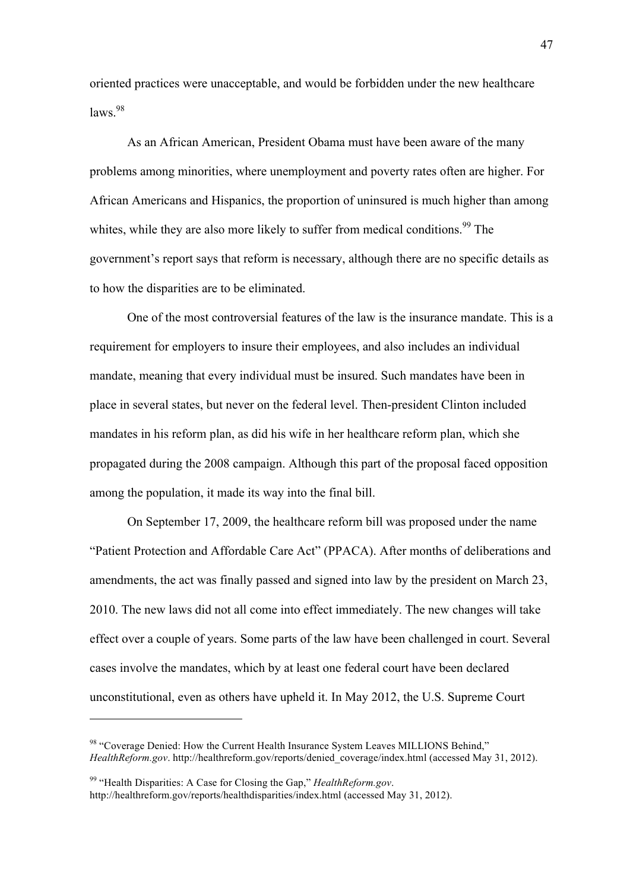oriented practices were unacceptable, and would be forbidden under the new healthcare  $l$ aws<sup>98</sup>

As an African American, President Obama must have been aware of the many problems among minorities, where unemployment and poverty rates often are higher. For African Americans and Hispanics, the proportion of uninsured is much higher than among whites, while they are also more likely to suffer from medical conditions.<sup>99</sup> The government's report says that reform is necessary, although there are no specific details as to how the disparities are to be eliminated.

One of the most controversial features of the law is the insurance mandate. This is a requirement for employers to insure their employees, and also includes an individual mandate, meaning that every individual must be insured. Such mandates have been in place in several states, but never on the federal level. Then-president Clinton included mandates in his reform plan, as did his wife in her healthcare reform plan, which she propagated during the 2008 campaign. Although this part of the proposal faced opposition among the population, it made its way into the final bill.

On September 17, 2009, the healthcare reform bill was proposed under the name "Patient Protection and Affordable Care Act" (PPACA). After months of deliberations and amendments, the act was finally passed and signed into law by the president on March 23, 2010. The new laws did not all come into effect immediately. The new changes will take effect over a couple of years. Some parts of the law have been challenged in court. Several cases involve the mandates, which by at least one federal court have been declared unconstitutional, even as others have upheld it. In May 2012, the U.S. Supreme Court

<sup>98</sup> "Coverage Denied: How the Current Health Insurance System Leaves MILLIONS Behind," *HealthReform.gov*. http://healthreform.gov/reports/denied\_coverage/index.html (accessed May 31, 2012).

<sup>99</sup> "Health Disparities: A Case for Closing the Gap," *HealthReform.gov*. http://healthreform.gov/reports/healthdisparities/index.html (accessed May 31, 2012).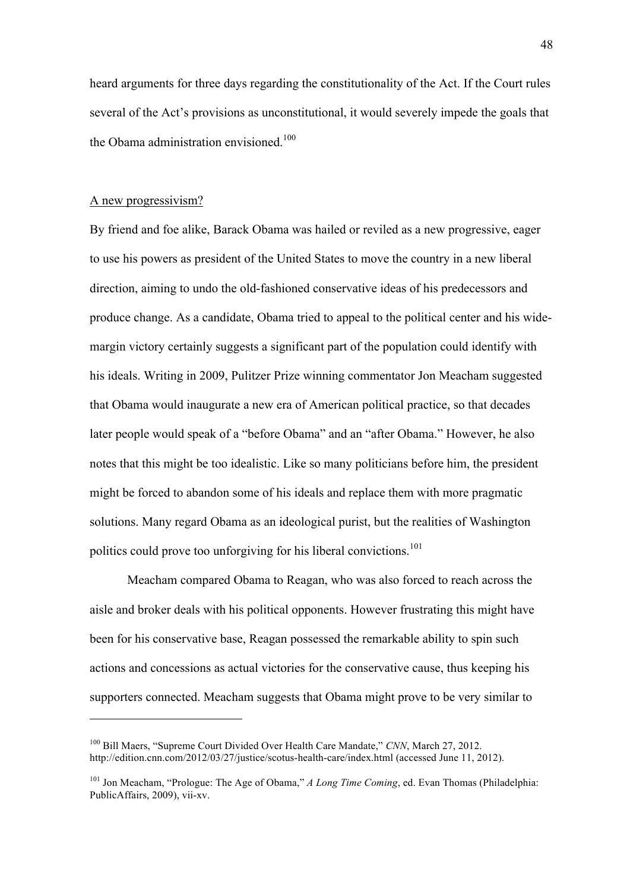heard arguments for three days regarding the constitutionality of the Act. If the Court rules several of the Act's provisions as unconstitutional, it would severely impede the goals that the Obama administration envisioned.<sup>100</sup>

# A new progressivism?

 $\overline{a}$ 

By friend and foe alike, Barack Obama was hailed or reviled as a new progressive, eager to use his powers as president of the United States to move the country in a new liberal direction, aiming to undo the old-fashioned conservative ideas of his predecessors and produce change. As a candidate, Obama tried to appeal to the political center and his widemargin victory certainly suggests a significant part of the population could identify with his ideals. Writing in 2009, Pulitzer Prize winning commentator Jon Meacham suggested that Obama would inaugurate a new era of American political practice, so that decades later people would speak of a "before Obama" and an "after Obama." However, he also notes that this might be too idealistic. Like so many politicians before him, the president might be forced to abandon some of his ideals and replace them with more pragmatic solutions. Many regard Obama as an ideological purist, but the realities of Washington politics could prove too unforgiving for his liberal convictions.<sup>101</sup>

Meacham compared Obama to Reagan, who was also forced to reach across the aisle and broker deals with his political opponents. However frustrating this might have been for his conservative base, Reagan possessed the remarkable ability to spin such actions and concessions as actual victories for the conservative cause, thus keeping his supporters connected. Meacham suggests that Obama might prove to be very similar to

<sup>100</sup> Bill Maers, "Supreme Court Divided Over Health Care Mandate," *CNN*, March 27, 2012. http://edition.cnn.com/2012/03/27/justice/scotus-health-care/index.html (accessed June 11, 2012).

<sup>101</sup> Jon Meacham, "Prologue: The Age of Obama," *A Long Time Coming*, ed. Evan Thomas (Philadelphia: PublicAffairs, 2009), vii-xv.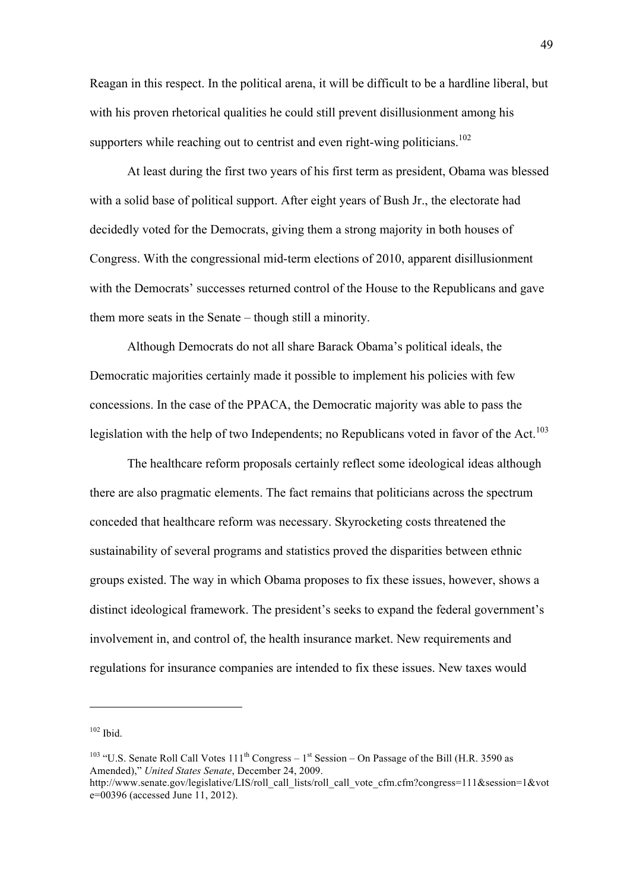Reagan in this respect. In the political arena, it will be difficult to be a hardline liberal, but with his proven rhetorical qualities he could still prevent disillusionment among his supporters while reaching out to centrist and even right-wing politicians.<sup>102</sup>

At least during the first two years of his first term as president, Obama was blessed with a solid base of political support. After eight years of Bush Jr., the electorate had decidedly voted for the Democrats, giving them a strong majority in both houses of Congress. With the congressional mid-term elections of 2010, apparent disillusionment with the Democrats' successes returned control of the House to the Republicans and gave them more seats in the Senate – though still a minority.

Although Democrats do not all share Barack Obama's political ideals, the Democratic majorities certainly made it possible to implement his policies with few concessions. In the case of the PPACA, the Democratic majority was able to pass the legislation with the help of two Independents; no Republicans voted in favor of the Act.<sup>103</sup>

The healthcare reform proposals certainly reflect some ideological ideas although there are also pragmatic elements. The fact remains that politicians across the spectrum conceded that healthcare reform was necessary. Skyrocketing costs threatened the sustainability of several programs and statistics proved the disparities between ethnic groups existed. The way in which Obama proposes to fix these issues, however, shows a distinct ideological framework. The president's seeks to expand the federal government's involvement in, and control of, the health insurance market. New requirements and regulations for insurance companies are intended to fix these issues. New taxes would

 $102$  Ibid.

<sup>&</sup>lt;sup>103</sup> "U.S. Senate Roll Call Votes  $111<sup>th</sup>$  Congress –  $1<sup>st</sup>$  Session – On Passage of the Bill (H.R. 3590 as Amended)," *United States Senate*, December 24, 2009.

http://www.senate.gov/legislative/LIS/roll\_call\_lists/roll\_call\_vote\_cfm.cfm?congress=111&session=1&vot e=00396 (accessed June 11, 2012).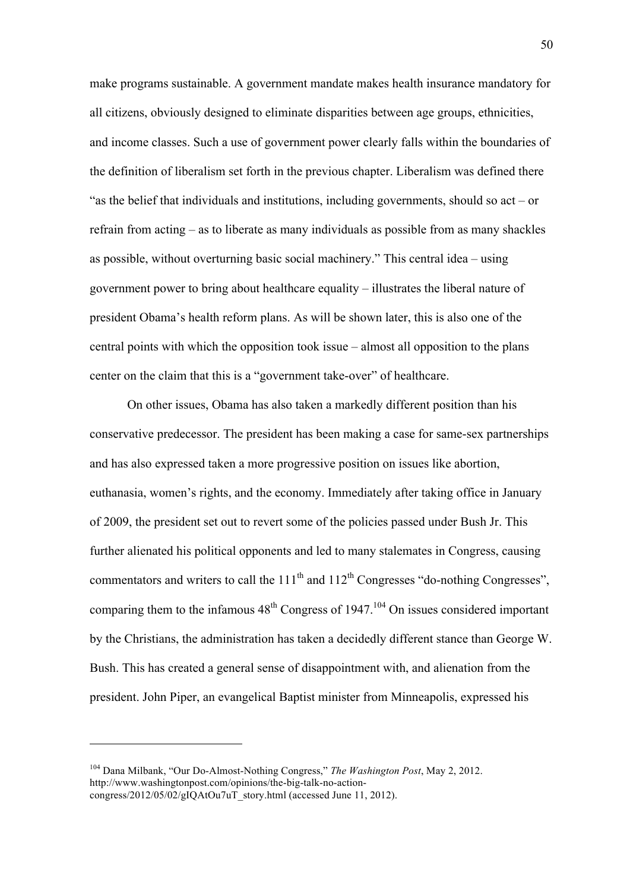make programs sustainable. A government mandate makes health insurance mandatory for all citizens, obviously designed to eliminate disparities between age groups, ethnicities, and income classes. Such a use of government power clearly falls within the boundaries of the definition of liberalism set forth in the previous chapter. Liberalism was defined there "as the belief that individuals and institutions, including governments, should so act – or refrain from acting – as to liberate as many individuals as possible from as many shackles as possible, without overturning basic social machinery." This central idea – using government power to bring about healthcare equality – illustrates the liberal nature of president Obama's health reform plans. As will be shown later, this is also one of the central points with which the opposition took issue – almost all opposition to the plans center on the claim that this is a "government take-over" of healthcare.

On other issues, Obama has also taken a markedly different position than his conservative predecessor. The president has been making a case for same-sex partnerships and has also expressed taken a more progressive position on issues like abortion, euthanasia, women's rights, and the economy. Immediately after taking office in January of 2009, the president set out to revert some of the policies passed under Bush Jr. This further alienated his political opponents and led to many stalemates in Congress, causing commentators and writers to call the  $111<sup>th</sup>$  and  $112<sup>th</sup>$  Congresses "do-nothing Congresses", comparing them to the infamous  $48<sup>th</sup>$  Congress of 1947.<sup>104</sup> On issues considered important by the Christians, the administration has taken a decidedly different stance than George W. Bush. This has created a general sense of disappointment with, and alienation from the president. John Piper, an evangelical Baptist minister from Minneapolis, expressed his

<sup>104</sup> Dana Milbank, "Our Do-Almost-Nothing Congress," *The Washington Post*, May 2, 2012. http://www.washingtonpost.com/opinions/the-big-talk-no-actioncongress/2012/05/02/gIQAtOu7uT\_story.html (accessed June 11, 2012).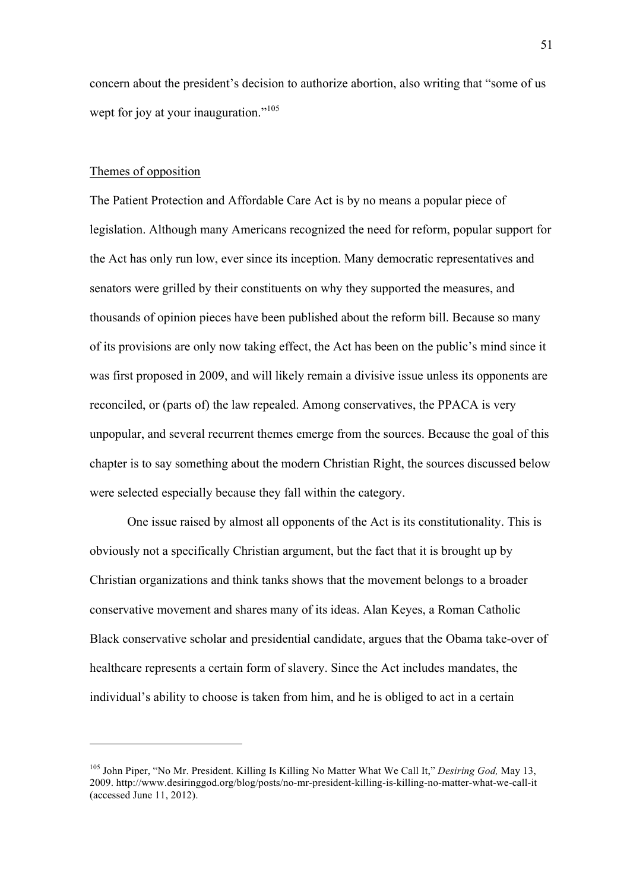concern about the president's decision to authorize abortion, also writing that "some of us wept for joy at your inauguration."<sup>105</sup>

#### Themes of opposition

 $\overline{a}$ 

The Patient Protection and Affordable Care Act is by no means a popular piece of legislation. Although many Americans recognized the need for reform, popular support for the Act has only run low, ever since its inception. Many democratic representatives and senators were grilled by their constituents on why they supported the measures, and thousands of opinion pieces have been published about the reform bill. Because so many of its provisions are only now taking effect, the Act has been on the public's mind since it was first proposed in 2009, and will likely remain a divisive issue unless its opponents are reconciled, or (parts of) the law repealed. Among conservatives, the PPACA is very unpopular, and several recurrent themes emerge from the sources. Because the goal of this chapter is to say something about the modern Christian Right, the sources discussed below were selected especially because they fall within the category.

One issue raised by almost all opponents of the Act is its constitutionality. This is obviously not a specifically Christian argument, but the fact that it is brought up by Christian organizations and think tanks shows that the movement belongs to a broader conservative movement and shares many of its ideas. Alan Keyes, a Roman Catholic Black conservative scholar and presidential candidate, argues that the Obama take-over of healthcare represents a certain form of slavery. Since the Act includes mandates, the individual's ability to choose is taken from him, and he is obliged to act in a certain

<sup>105</sup> John Piper, "No Mr. President. Killing Is Killing No Matter What We Call It," *Desiring God,* May 13, 2009. http://www.desiringgod.org/blog/posts/no-mr-president-killing-is-killing-no-matter-what-we-call-it (accessed June 11, 2012).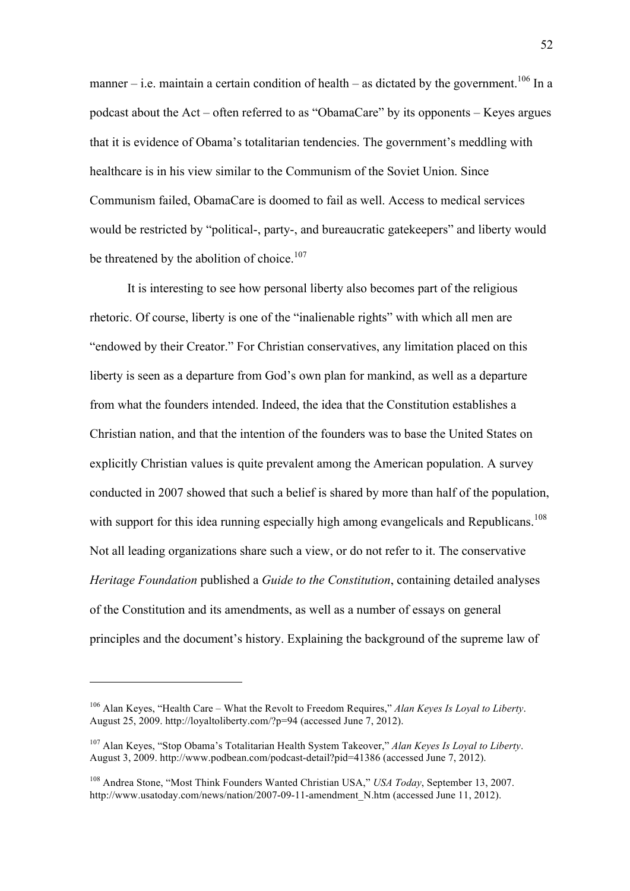manner – i.e. maintain a certain condition of health – as dictated by the government.<sup>106</sup> In a podcast about the Act – often referred to as "ObamaCare" by its opponents – Keyes argues that it is evidence of Obama's totalitarian tendencies. The government's meddling with healthcare is in his view similar to the Communism of the Soviet Union. Since Communism failed, ObamaCare is doomed to fail as well. Access to medical services would be restricted by "political-, party-, and bureaucratic gatekeepers" and liberty would be threatened by the abolition of choice.<sup>107</sup>

It is interesting to see how personal liberty also becomes part of the religious rhetoric. Of course, liberty is one of the "inalienable rights" with which all men are "endowed by their Creator." For Christian conservatives, any limitation placed on this liberty is seen as a departure from God's own plan for mankind, as well as a departure from what the founders intended. Indeed, the idea that the Constitution establishes a Christian nation, and that the intention of the founders was to base the United States on explicitly Christian values is quite prevalent among the American population. A survey conducted in 2007 showed that such a belief is shared by more than half of the population, with support for this idea running especially high among evangelicals and Republicans.<sup>108</sup> Not all leading organizations share such a view, or do not refer to it. The conservative *Heritage Foundation* published a *Guide to the Constitution*, containing detailed analyses of the Constitution and its amendments, as well as a number of essays on general principles and the document's history. Explaining the background of the supreme law of

<sup>106</sup> Alan Keyes, "Health Care – What the Revolt to Freedom Requires," *Alan Keyes Is Loyal to Liberty*. August 25, 2009. http://loyaltoliberty.com/?p=94 (accessed June 7, 2012).

<sup>107</sup> Alan Keyes, "Stop Obama's Totalitarian Health System Takeover," *Alan Keyes Is Loyal to Liberty*. August 3, 2009. http://www.podbean.com/podcast-detail?pid=41386 (accessed June 7, 2012).

<sup>108</sup> Andrea Stone, "Most Think Founders Wanted Christian USA," *USA Today*, September 13, 2007. http://www.usatoday.com/news/nation/2007-09-11-amendment\_N.htm (accessed June 11, 2012).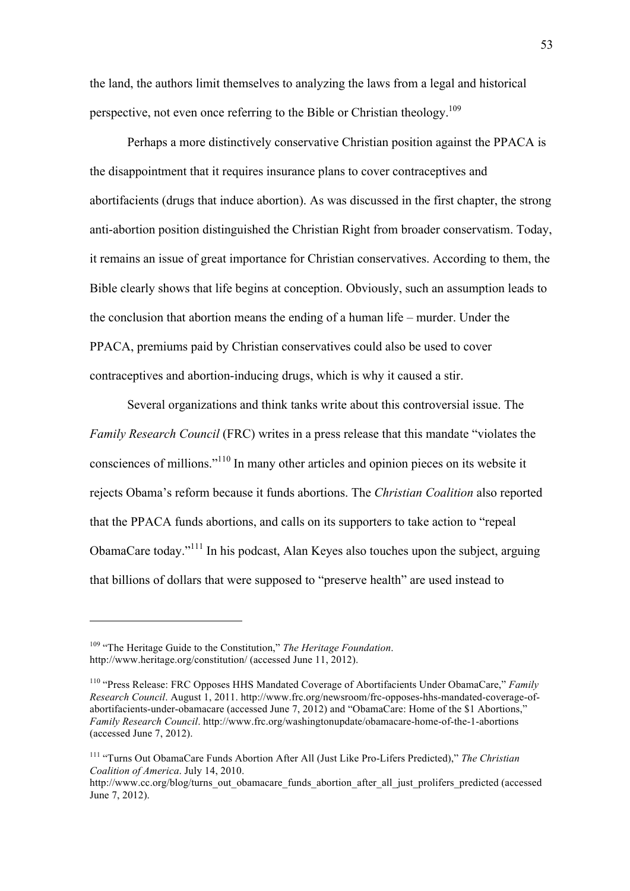the land, the authors limit themselves to analyzing the laws from a legal and historical perspective, not even once referring to the Bible or Christian theology.<sup>109</sup>

Perhaps a more distinctively conservative Christian position against the PPACA is the disappointment that it requires insurance plans to cover contraceptives and abortifacients (drugs that induce abortion). As was discussed in the first chapter, the strong anti-abortion position distinguished the Christian Right from broader conservatism. Today, it remains an issue of great importance for Christian conservatives. According to them, the Bible clearly shows that life begins at conception. Obviously, such an assumption leads to the conclusion that abortion means the ending of a human life – murder. Under the PPACA, premiums paid by Christian conservatives could also be used to cover contraceptives and abortion-inducing drugs, which is why it caused a stir.

Several organizations and think tanks write about this controversial issue. The *Family Research Council* (FRC) writes in a press release that this mandate "violates the consciences of millions."110 In many other articles and opinion pieces on its website it rejects Obama's reform because it funds abortions. The *Christian Coalition* also reported that the PPACA funds abortions, and calls on its supporters to take action to "repeal ObamaCare today."111 In his podcast, Alan Keyes also touches upon the subject, arguing that billions of dollars that were supposed to "preserve health" are used instead to

<sup>109</sup> "The Heritage Guide to the Constitution," *The Heritage Foundation*. http://www.heritage.org/constitution/ (accessed June 11, 2012).

<sup>110</sup> "Press Release: FRC Opposes HHS Mandated Coverage of Abortifacients Under ObamaCare," *Family Research Council*. August 1, 2011. http://www.frc.org/newsroom/frc-opposes-hhs-mandated-coverage-ofabortifacients-under-obamacare (accessed June 7, 2012) and "ObamaCare: Home of the \$1 Abortions," *Family Research Council*. http://www.frc.org/washingtonupdate/obamacare-home-of-the-1-abortions (accessed June 7, 2012).

<sup>111</sup> "Turns Out ObamaCare Funds Abortion After All (Just Like Pro-Lifers Predicted)," *The Christian Coalition of America*. July 14, 2010.

http://www.cc.org/blog/turns\_out\_obamacare\_funds\_abortion\_after\_all\_just\_prolifers\_predicted (accessed June 7, 2012).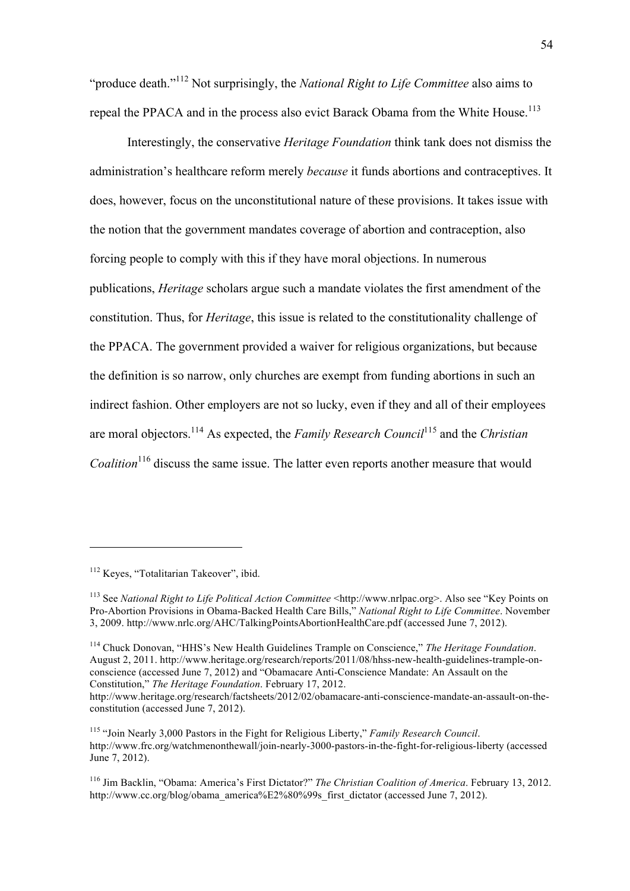"produce death."<sup>112</sup> Not surprisingly, the *National Right to Life Committee* also aims to repeal the PPACA and in the process also evict Barack Obama from the White House.<sup>113</sup>

Interestingly, the conservative *Heritage Foundation* think tank does not dismiss the administration's healthcare reform merely *because* it funds abortions and contraceptives. It does, however, focus on the unconstitutional nature of these provisions. It takes issue with the notion that the government mandates coverage of abortion and contraception, also forcing people to comply with this if they have moral objections. In numerous publications, *Heritage* scholars argue such a mandate violates the first amendment of the constitution. Thus, for *Heritage*, this issue is related to the constitutionality challenge of the PPACA. The government provided a waiver for religious organizations, but because the definition is so narrow, only churches are exempt from funding abortions in such an indirect fashion. Other employers are not so lucky, even if they and all of their employees are moral objectors.114 As expected, the *Family Research Council*<sup>115</sup> and the *Christian Coalition*<sup>116</sup> discuss the same issue. The latter even reports another measure that would

 $\overline{a}$ 

<sup>114</sup> Chuck Donovan, "HHS's New Health Guidelines Trample on Conscience," *The Heritage Foundation*. August 2, 2011. http://www.heritage.org/research/reports/2011/08/hhss-new-health-guidelines-trample-onconscience (accessed June 7, 2012) and "Obamacare Anti-Conscience Mandate: An Assault on the Constitution," *The Heritage Foundation*. February 17, 2012.

<sup>112</sup> Keyes, "Totalitarian Takeover", ibid.

<sup>113</sup> See *National Right to Life Political Action Committee* <http://www.nrlpac.org>. Also see "Key Points on Pro-Abortion Provisions in Obama-Backed Health Care Bills," *National Right to Life Committee*. November 3, 2009. http://www.nrlc.org/AHC/TalkingPointsAbortionHealthCare.pdf (accessed June 7, 2012).

http://www.heritage.org/research/factsheets/2012/02/obamacare-anti-conscience-mandate-an-assault-on-theconstitution (accessed June 7, 2012).

<sup>115</sup> "Join Nearly 3,000 Pastors in the Fight for Religious Liberty," *Family Research Council*. http://www.frc.org/watchmenonthewall/join-nearly-3000-pastors-in-the-fight-for-religious-liberty (accessed June 7, 2012).

<sup>116</sup> Jim Backlin, "Obama: America's First Dictator?" *The Christian Coalition of America*. February 13, 2012. http://www.cc.org/blog/obama\_america%E2%80%99s\_first\_dictator (accessed June 7, 2012).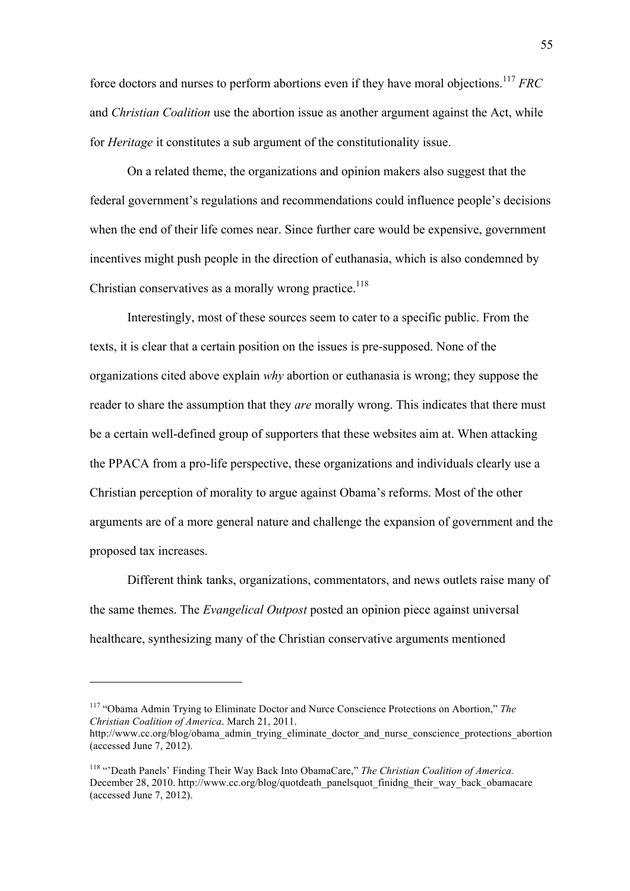force doctors and nurses to perform abortions even if they have moral objections.<sup>117</sup> *FRC* and *Christian Coalition* use the abortion issue as another argument against the Act, while for *Heritage* it constitutes a sub argument of the constitutionality issue.

On a related theme, the organizations and opinion makers also suggest that the federal government's regulations and recommendations could influence people's decisions when the end of their life comes near. Since further care would be expensive, government incentives might push people in the direction of euthanasia, which is also condemned by Christian conservatives as a morally wrong practice.<sup>118</sup>

Interestingly, most of these sources seem to cater to a specific public. From the texts, it is clear that a certain position on the issues is pre-supposed. None of the organizations cited above explain *why* abortion or euthanasia is wrong; they suppose the reader to share the assumption that they *are* morally wrong. This indicates that there must be a certain well-defined group of supporters that these websites aim at. When attacking the PPACA from a pro-life perspective, these organizations and individuals clearly use a Christian perception of morality to argue against Obama's reforms. Most of the other arguments are of a more general nature and challenge the expansion of government and the proposed tax increases.

Different think tanks, organizations, commentators, and news outlets raise many of the same themes. The *Evangelical Outpost* posted an opinion piece against universal healthcare, synthesizing many of the Christian conservative arguments mentioned

<sup>117</sup> "Obama Admin Trying to Eliminate Doctor and Nurce Conscience Protections on Abortion," *The Christian Coalition of America*. March 21, 2011.

http://www.cc.org/blog/obama\_admin\_trying\_eliminate\_doctor\_and\_nurse\_conscience\_protections\_abortion (accessed June 7, 2012).

<sup>&</sup>lt;sup>118</sup> "Death Panels' Finding Their Way Back Into ObamaCare," *The Christian Coalition of America*. December 28, 2010. http://www.cc.org/blog/quotdeath\_panelsquot\_finidng\_their\_way\_back\_obamacare (accessed June 7, 2012).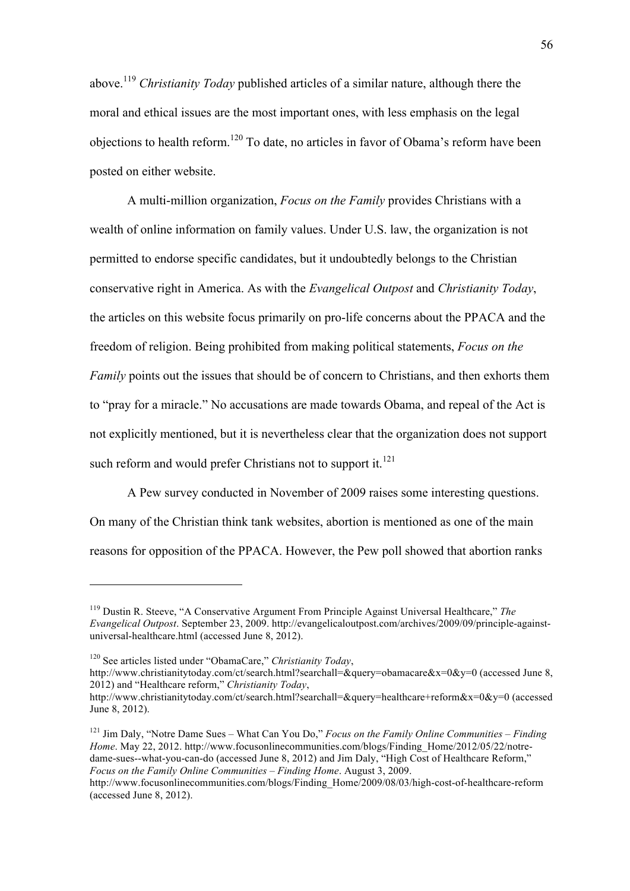above.<sup>119</sup> *Christianity Today* published articles of a similar nature, although there the moral and ethical issues are the most important ones, with less emphasis on the legal objections to health reform.<sup>120</sup> To date, no articles in favor of Obama's reform have been posted on either website.

A multi-million organization, *Focus on the Family* provides Christians with a wealth of online information on family values. Under U.S. law, the organization is not permitted to endorse specific candidates, but it undoubtedly belongs to the Christian conservative right in America. As with the *Evangelical Outpost* and *Christianity Today*, the articles on this website focus primarily on pro-life concerns about the PPACA and the freedom of religion. Being prohibited from making political statements, *Focus on the Family* points out the issues that should be of concern to Christians, and then exhorts them to "pray for a miracle." No accusations are made towards Obama, and repeal of the Act is not explicitly mentioned, but it is nevertheless clear that the organization does not support such reform and would prefer Christians not to support it.<sup>121</sup>

A Pew survey conducted in November of 2009 raises some interesting questions. On many of the Christian think tank websites, abortion is mentioned as one of the main reasons for opposition of the PPACA. However, the Pew poll showed that abortion ranks

<sup>119</sup> Dustin R. Steeve, "A Conservative Argument From Principle Against Universal Healthcare," *The Evangelical Outpost*. September 23, 2009. http://evangelicaloutpost.com/archives/2009/09/principle-againstuniversal-healthcare.html (accessed June 8, 2012).

<sup>120</sup> See articles listed under "ObamaCare," *Christianity Today*,

http://www.christianitytoday.com/ct/search.html?searchall=&query=obamacare&x=0&y=0 (accessed June 8, 2012) and "Healthcare reform," *Christianity Today*,

http://www.christianitytoday.com/ct/search.html?searchall=&query=healthcare+reform&x=0&y=0 (accessed June 8, 2012).

<sup>121</sup> Jim Daly, "Notre Dame Sues – What Can You Do," *Focus on the Family Online Communities – Finding Home*. May 22, 2012. http://www.focusonlinecommunities.com/blogs/Finding\_Home/2012/05/22/notredame-sues--what-you-can-do (accessed June 8, 2012) and Jim Daly, "High Cost of Healthcare Reform," *Focus on the Family Online Communities – Finding Home*. August 3, 2009.

http://www.focusonlinecommunities.com/blogs/Finding\_Home/2009/08/03/high-cost-of-healthcare-reform (accessed June 8, 2012).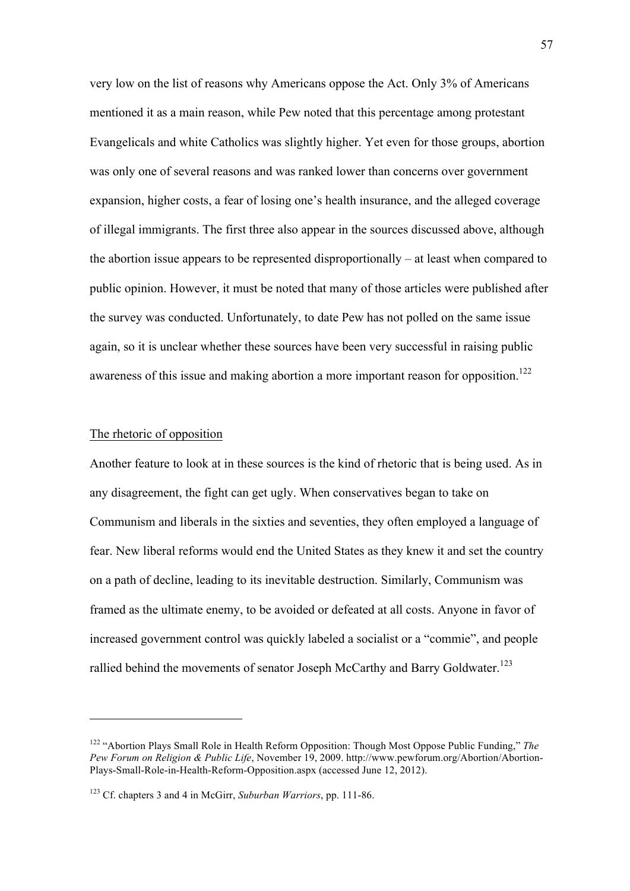very low on the list of reasons why Americans oppose the Act. Only 3% of Americans mentioned it as a main reason, while Pew noted that this percentage among protestant Evangelicals and white Catholics was slightly higher. Yet even for those groups, abortion was only one of several reasons and was ranked lower than concerns over government expansion, higher costs, a fear of losing one's health insurance, and the alleged coverage of illegal immigrants. The first three also appear in the sources discussed above, although the abortion issue appears to be represented disproportionally – at least when compared to public opinion. However, it must be noted that many of those articles were published after the survey was conducted. Unfortunately, to date Pew has not polled on the same issue again, so it is unclear whether these sources have been very successful in raising public awareness of this issue and making abortion a more important reason for opposition.<sup>122</sup>

## The rhetoric of opposition

 $\overline{a}$ 

Another feature to look at in these sources is the kind of rhetoric that is being used. As in any disagreement, the fight can get ugly. When conservatives began to take on Communism and liberals in the sixties and seventies, they often employed a language of fear. New liberal reforms would end the United States as they knew it and set the country on a path of decline, leading to its inevitable destruction. Similarly, Communism was framed as the ultimate enemy, to be avoided or defeated at all costs. Anyone in favor of increased government control was quickly labeled a socialist or a "commie", and people rallied behind the movements of senator Joseph McCarthy and Barry Goldwater.<sup>123</sup>

<sup>122</sup> "Abortion Plays Small Role in Health Reform Opposition: Though Most Oppose Public Funding," *The Pew Forum on Religion & Public Life*, November 19, 2009. http://www.pewforum.org/Abortion/Abortion-Plays-Small-Role-in-Health-Reform-Opposition.aspx (accessed June 12, 2012).

<sup>123</sup> Cf. chapters 3 and 4 in McGirr, *Suburban Warriors*, pp. 111-86.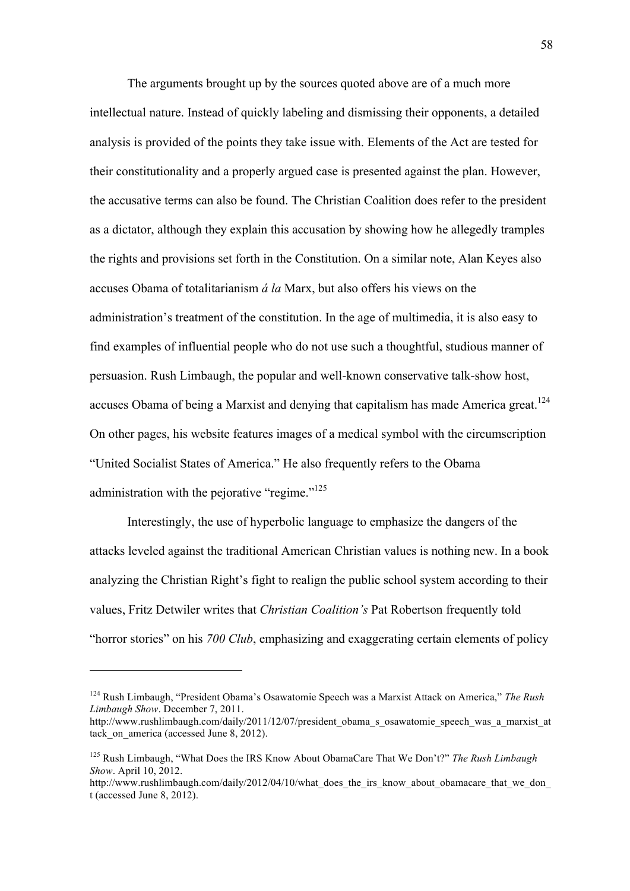The arguments brought up by the sources quoted above are of a much more intellectual nature. Instead of quickly labeling and dismissing their opponents, a detailed analysis is provided of the points they take issue with. Elements of the Act are tested for their constitutionality and a properly argued case is presented against the plan. However, the accusative terms can also be found. The Christian Coalition does refer to the president as a dictator, although they explain this accusation by showing how he allegedly tramples the rights and provisions set forth in the Constitution. On a similar note, Alan Keyes also accuses Obama of totalitarianism *á la* Marx, but also offers his views on the administration's treatment of the constitution. In the age of multimedia, it is also easy to find examples of influential people who do not use such a thoughtful, studious manner of persuasion. Rush Limbaugh, the popular and well-known conservative talk-show host, accuses Obama of being a Marxist and denying that capitalism has made America great.<sup>124</sup> On other pages, his website features images of a medical symbol with the circumscription "United Socialist States of America." He also frequently refers to the Obama administration with the pejorative "regime."<sup>125</sup>

Interestingly, the use of hyperbolic language to emphasize the dangers of the attacks leveled against the traditional American Christian values is nothing new. In a book analyzing the Christian Right's fight to realign the public school system according to their values, Fritz Detwiler writes that *Christian Coalition's* Pat Robertson frequently told "horror stories" on his *700 Club*, emphasizing and exaggerating certain elements of policy

<sup>124</sup> Rush Limbaugh, "President Obama's Osawatomie Speech was a Marxist Attack on America," *The Rush Limbaugh Show*. December 7, 2011.

http://www.rushlimbaugh.com/daily/2011/12/07/president\_obama\_s\_osawatomie\_speech\_was\_a\_marxist\_at tack on america (accessed June 8, 2012).

<sup>125</sup> Rush Limbaugh, "What Does the IRS Know About ObamaCare That We Don't?" *The Rush Limbaugh Show*. April 10, 2012.

http://www.rushlimbaugh.com/daily/2012/04/10/what does the irs know about obamacare that we don t (accessed June 8, 2012).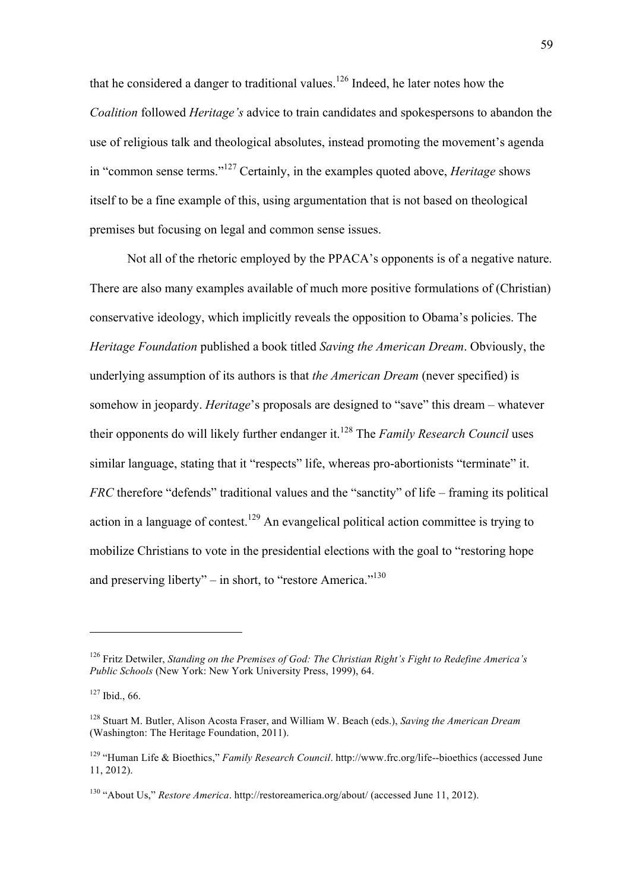that he considered a danger to traditional values.<sup>126</sup> Indeed, he later notes how the *Coalition* followed *Heritage's* advice to train candidates and spokespersons to abandon the use of religious talk and theological absolutes, instead promoting the movement's agenda in "common sense terms."<sup>127</sup> Certainly, in the examples quoted above, *Heritage* shows itself to be a fine example of this, using argumentation that is not based on theological premises but focusing on legal and common sense issues.

Not all of the rhetoric employed by the PPACA's opponents is of a negative nature. There are also many examples available of much more positive formulations of (Christian) conservative ideology, which implicitly reveals the opposition to Obama's policies. The *Heritage Foundation* published a book titled *Saving the American Dream*. Obviously, the underlying assumption of its authors is that *the American Dream* (never specified) is somehow in jeopardy. *Heritage*'s proposals are designed to "save" this dream – whatever their opponents do will likely further endanger it.<sup>128</sup> The *Family Research Council* uses similar language, stating that it "respects" life, whereas pro-abortionists "terminate" it. *FRC* therefore "defends" traditional values and the "sanctity" of life – framing its political action in a language of contest.<sup>129</sup> An evangelical political action committee is trying to mobilize Christians to vote in the presidential elections with the goal to "restoring hope and preserving liberty" – in short, to "restore America."<sup>130</sup>

<sup>126</sup> Fritz Detwiler, *Standing on the Premises of God: The Christian Right's Fight to Redefine America's Public Schools* (New York: New York University Press, 1999), 64.

 $127$  Ibid., 66.

<sup>128</sup> Stuart M. Butler, Alison Acosta Fraser, and William W. Beach (eds.), *Saving the American Dream* (Washington: The Heritage Foundation, 2011).

<sup>129</sup> "Human Life & Bioethics," *Family Research Council*. http://www.frc.org/life--bioethics (accessed June 11, 2012).

<sup>130</sup> "About Us," *Restore America*. http://restoreamerica.org/about/ (accessed June 11, 2012).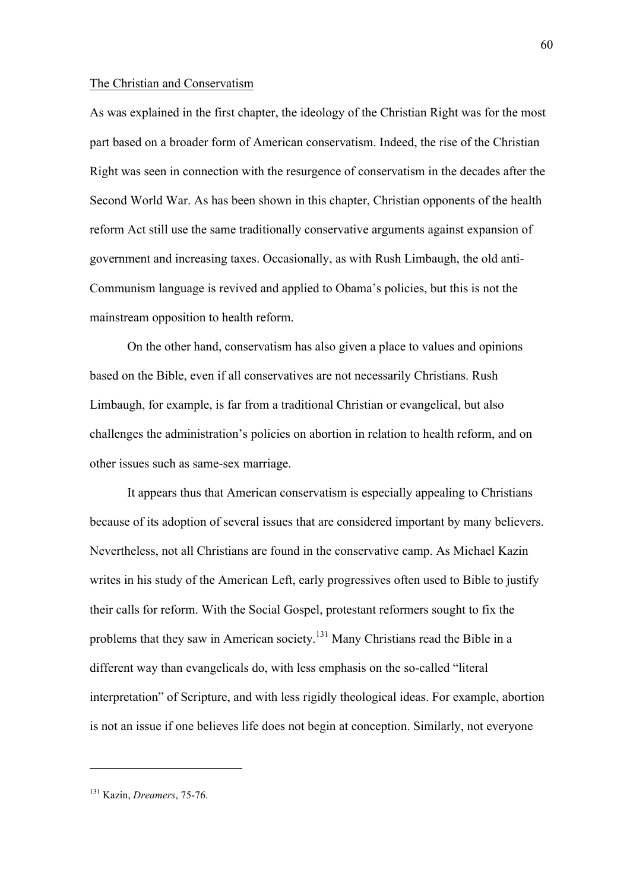### The Christian and Conservatism

As was explained in the first chapter, the ideology of the Christian Right was for the most part based on a broader form of American conservatism. Indeed, the rise of the Christian Right was seen in connection with the resurgence of conservatism in the decades after the Second World War. As has been shown in this chapter, Christian opponents of the health reform Act still use the same traditionally conservative arguments against expansion of government and increasing taxes. Occasionally, as with Rush Limbaugh, the old anti-Communism language is revived and applied to Obama's policies, but this is not the mainstream opposition to health reform.

On the other hand, conservatism has also given a place to values and opinions based on the Bible, even if all conservatives are not necessarily Christians. Rush Limbaugh, for example, is far from a traditional Christian or evangelical, but also challenges the administration's policies on abortion in relation to health reform, and on other issues such as same-sex marriage.

It appears thus that American conservatism is especially appealing to Christians because of its adoption of several issues that are considered important by many believers. Nevertheless, not all Christians are found in the conservative camp. As Michael Kazin writes in his study of the American Left, early progressives often used to Bible to justify their calls for reform. With the Social Gospel, protestant reformers sought to fix the problems that they saw in American society.<sup>131</sup> Many Christians read the Bible in a different way than evangelicals do, with less emphasis on the so-called "literal interpretation" of Scripture, and with less rigidly theological ideas. For example, abortion is not an issue if one believes life does not begin at conception. Similarly, not everyone

<sup>131</sup> Kazin, *Dreamers*, 75-76.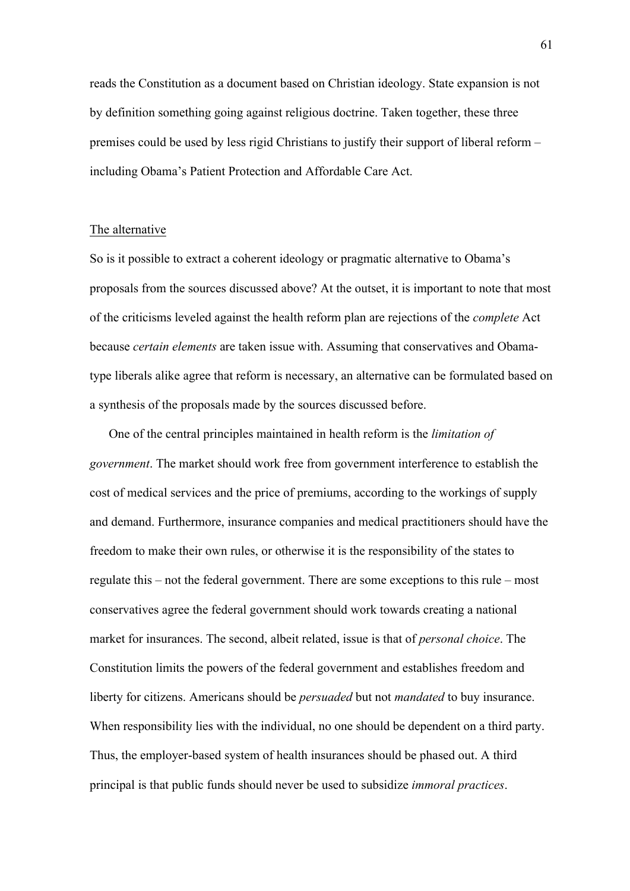reads the Constitution as a document based on Christian ideology. State expansion is not by definition something going against religious doctrine. Taken together, these three premises could be used by less rigid Christians to justify their support of liberal reform – including Obama's Patient Protection and Affordable Care Act.

### The alternative

So is it possible to extract a coherent ideology or pragmatic alternative to Obama's proposals from the sources discussed above? At the outset, it is important to note that most of the criticisms leveled against the health reform plan are rejections of the *complete* Act because *certain elements* are taken issue with. Assuming that conservatives and Obamatype liberals alike agree that reform is necessary, an alternative can be formulated based on a synthesis of the proposals made by the sources discussed before.

One of the central principles maintained in health reform is the *limitation of government*. The market should work free from government interference to establish the cost of medical services and the price of premiums, according to the workings of supply and demand. Furthermore, insurance companies and medical practitioners should have the freedom to make their own rules, or otherwise it is the responsibility of the states to regulate this – not the federal government. There are some exceptions to this rule – most conservatives agree the federal government should work towards creating a national market for insurances. The second, albeit related, issue is that of *personal choice*. The Constitution limits the powers of the federal government and establishes freedom and liberty for citizens. Americans should be *persuaded* but not *mandated* to buy insurance. When responsibility lies with the individual, no one should be dependent on a third party. Thus, the employer-based system of health insurances should be phased out. A third principal is that public funds should never be used to subsidize *immoral practices*.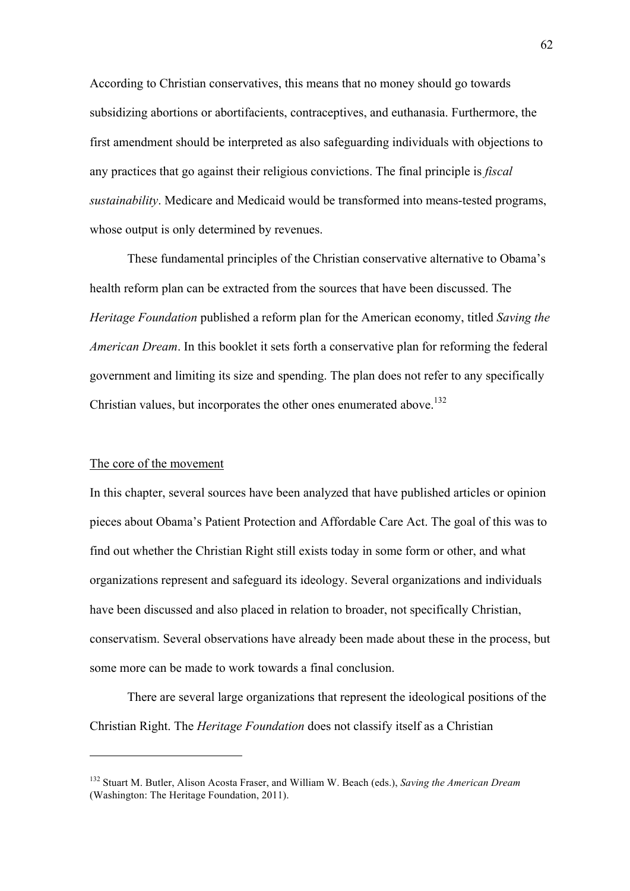According to Christian conservatives, this means that no money should go towards subsidizing abortions or abortifacients, contraceptives, and euthanasia. Furthermore, the first amendment should be interpreted as also safeguarding individuals with objections to any practices that go against their religious convictions. The final principle is *fiscal sustainability*. Medicare and Medicaid would be transformed into means-tested programs, whose output is only determined by revenues.

These fundamental principles of the Christian conservative alternative to Obama's health reform plan can be extracted from the sources that have been discussed. The *Heritage Foundation* published a reform plan for the American economy, titled *Saving the American Dream*. In this booklet it sets forth a conservative plan for reforming the federal government and limiting its size and spending. The plan does not refer to any specifically Christian values, but incorporates the other ones enumerated above.<sup>132</sup>

## The core of the movement

 $\overline{a}$ 

In this chapter, several sources have been analyzed that have published articles or opinion pieces about Obama's Patient Protection and Affordable Care Act. The goal of this was to find out whether the Christian Right still exists today in some form or other, and what organizations represent and safeguard its ideology. Several organizations and individuals have been discussed and also placed in relation to broader, not specifically Christian, conservatism. Several observations have already been made about these in the process, but some more can be made to work towards a final conclusion.

There are several large organizations that represent the ideological positions of the Christian Right. The *Heritage Foundation* does not classify itself as a Christian

<sup>132</sup> Stuart M. Butler, Alison Acosta Fraser, and William W. Beach (eds.), *Saving the American Dream* (Washington: The Heritage Foundation, 2011).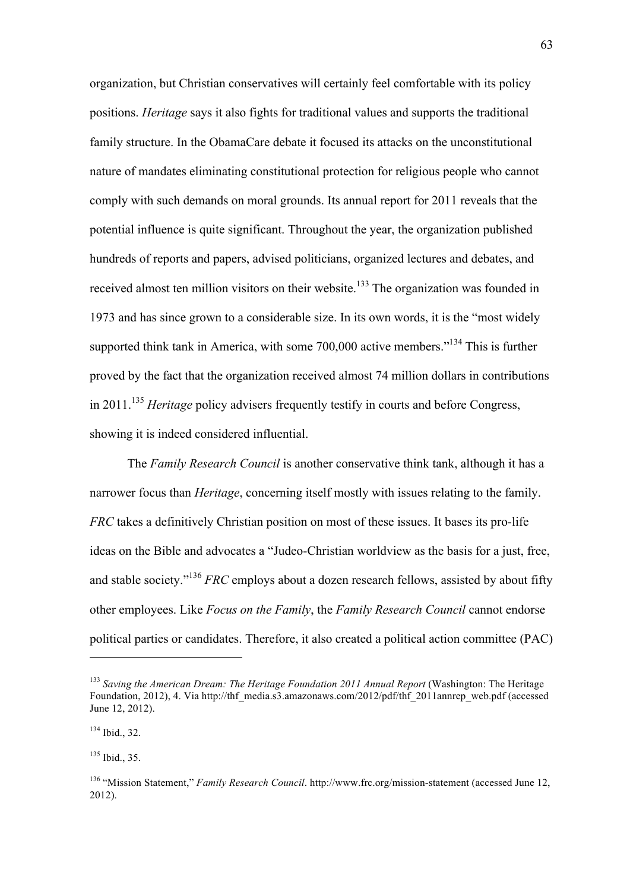organization, but Christian conservatives will certainly feel comfortable with its policy positions. *Heritage* says it also fights for traditional values and supports the traditional family structure. In the ObamaCare debate it focused its attacks on the unconstitutional nature of mandates eliminating constitutional protection for religious people who cannot comply with such demands on moral grounds. Its annual report for 2011 reveals that the potential influence is quite significant. Throughout the year, the organization published hundreds of reports and papers, advised politicians, organized lectures and debates, and received almost ten million visitors on their website.<sup>133</sup> The organization was founded in 1973 and has since grown to a considerable size. In its own words, it is the "most widely supported think tank in America, with some 700,000 active members."<sup>134</sup> This is further proved by the fact that the organization received almost 74 million dollars in contributions in 2011.<sup>135</sup> *Heritage* policy advisers frequently testify in courts and before Congress, showing it is indeed considered influential.

The *Family Research Council* is another conservative think tank, although it has a narrower focus than *Heritage*, concerning itself mostly with issues relating to the family. *FRC* takes a definitively Christian position on most of these issues. It bases its pro-life ideas on the Bible and advocates a "Judeo-Christian worldview as the basis for a just, free, and stable society."136 *FRC* employs about a dozen research fellows, assisted by about fifty other employees. Like *Focus on the Family*, the *Family Research Council* cannot endorse political parties or candidates. Therefore, it also created a political action committee (PAC)

<sup>&</sup>lt;sup>133</sup> Saving the American Dream: The Heritage Foundation 2011 Annual Report (Washington: The Heritage Foundation, 2012), 4. Via http://thf\_media.s3.amazonaws.com/2012/pdf/thf\_2011annrep\_web.pdf (accessed June 12, 2012).

<sup>134</sup> Ibid., 32.

 $135$  Ibid., 35.

<sup>136</sup> "Mission Statement," *Family Research Council*. http://www.frc.org/mission-statement (accessed June 12, 2012).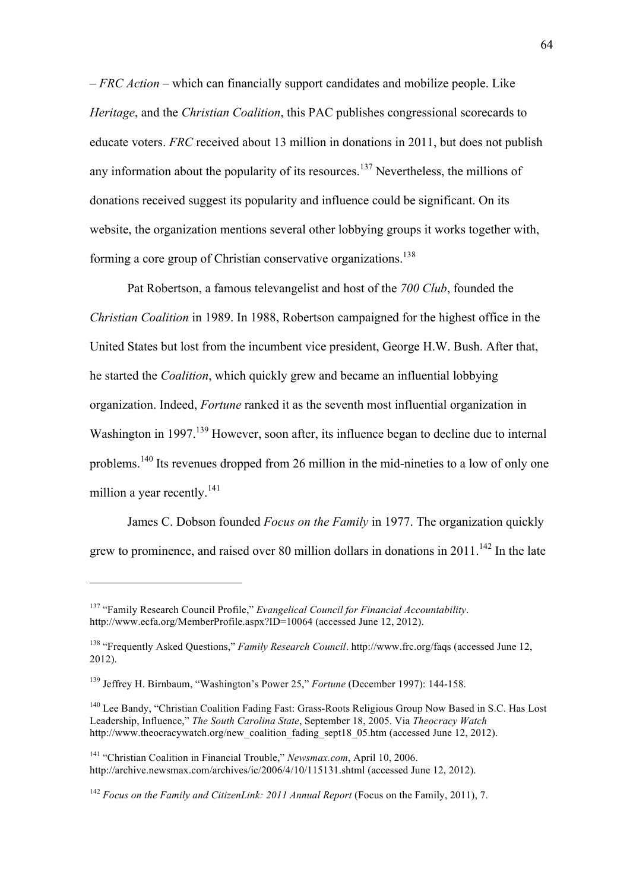– *FRC Action –* which can financially support candidates and mobilize people. Like *Heritage*, and the *Christian Coalition*, this PAC publishes congressional scorecards to educate voters. *FRC* received about 13 million in donations in 2011, but does not publish any information about the popularity of its resources.<sup>137</sup> Nevertheless, the millions of donations received suggest its popularity and influence could be significant. On its website, the organization mentions several other lobbying groups it works together with, forming a core group of Christian conservative organizations.<sup>138</sup>

Pat Robertson, a famous televangelist and host of the *700 Club*, founded the *Christian Coalition* in 1989. In 1988, Robertson campaigned for the highest office in the United States but lost from the incumbent vice president, George H.W. Bush. After that, he started the *Coalition*, which quickly grew and became an influential lobbying organization. Indeed, *Fortune* ranked it as the seventh most influential organization in Washington in 1997.<sup>139</sup> However, soon after, its influence began to decline due to internal problems.<sup>140</sup> Its revenues dropped from 26 million in the mid-nineties to a low of only one million a year recently.<sup>141</sup>

James C. Dobson founded *Focus on the Family* in 1977. The organization quickly grew to prominence, and raised over 80 million dollars in donations in  $2011$ <sup>142</sup>. In the late

<sup>137</sup> "Family Research Council Profile," *Evangelical Council for Financial Accountability*. http://www.ecfa.org/MemberProfile.aspx?ID=10064 (accessed June 12, 2012).

<sup>138</sup> "Frequently Asked Questions," *Family Research Council*. http://www.frc.org/faqs (accessed June 12, 2012).

<sup>139</sup> Jeffrey H. Birnbaum, "Washington's Power 25," *Fortune* (December 1997): 144-158.

<sup>&</sup>lt;sup>140</sup> Lee Bandy, "Christian Coalition Fading Fast: Grass-Roots Religious Group Now Based in S.C. Has Lost Leadership, Influence," *The South Carolina State*, September 18, 2005. Via *Theocracy Watch* http://www.theocracywatch.org/new\_coalition\_fading\_sept18\_05.htm (accessed June 12, 2012).

<sup>141</sup> "Christian Coalition in Financial Trouble," *Newsmax.com*, April 10, 2006. http://archive.newsmax.com/archives/ic/2006/4/10/115131.shtml (accessed June 12, 2012).

<sup>142</sup> *Focus on the Family and CitizenLink: 2011 Annual Report* (Focus on the Family, 2011), 7.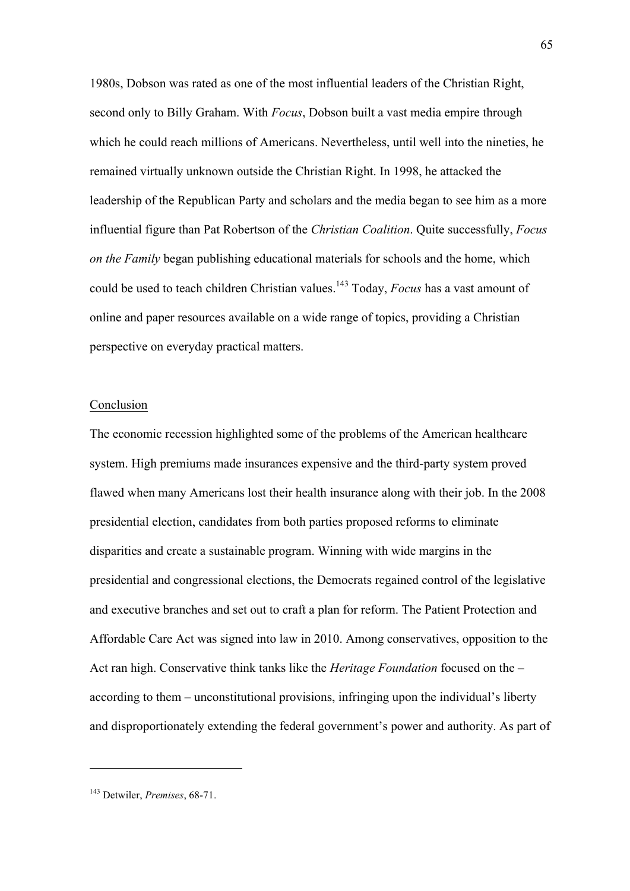1980s, Dobson was rated as one of the most influential leaders of the Christian Right, second only to Billy Graham. With *Focus*, Dobson built a vast media empire through which he could reach millions of Americans. Nevertheless, until well into the nineties, he remained virtually unknown outside the Christian Right. In 1998, he attacked the leadership of the Republican Party and scholars and the media began to see him as a more influential figure than Pat Robertson of the *Christian Coalition*. Quite successfully, *Focus on the Family* began publishing educational materials for schools and the home, which could be used to teach children Christian values.143 Today, *Focus* has a vast amount of online and paper resources available on a wide range of topics, providing a Christian perspective on everyday practical matters.

### Conclusion

The economic recession highlighted some of the problems of the American healthcare system. High premiums made insurances expensive and the third-party system proved flawed when many Americans lost their health insurance along with their job. In the 2008 presidential election, candidates from both parties proposed reforms to eliminate disparities and create a sustainable program. Winning with wide margins in the presidential and congressional elections, the Democrats regained control of the legislative and executive branches and set out to craft a plan for reform. The Patient Protection and Affordable Care Act was signed into law in 2010. Among conservatives, opposition to the Act ran high. Conservative think tanks like the *Heritage Foundation* focused on the – according to them – unconstitutional provisions, infringing upon the individual's liberty and disproportionately extending the federal government's power and authority. As part of

<sup>143</sup> Detwiler, *Premises*, 68-71.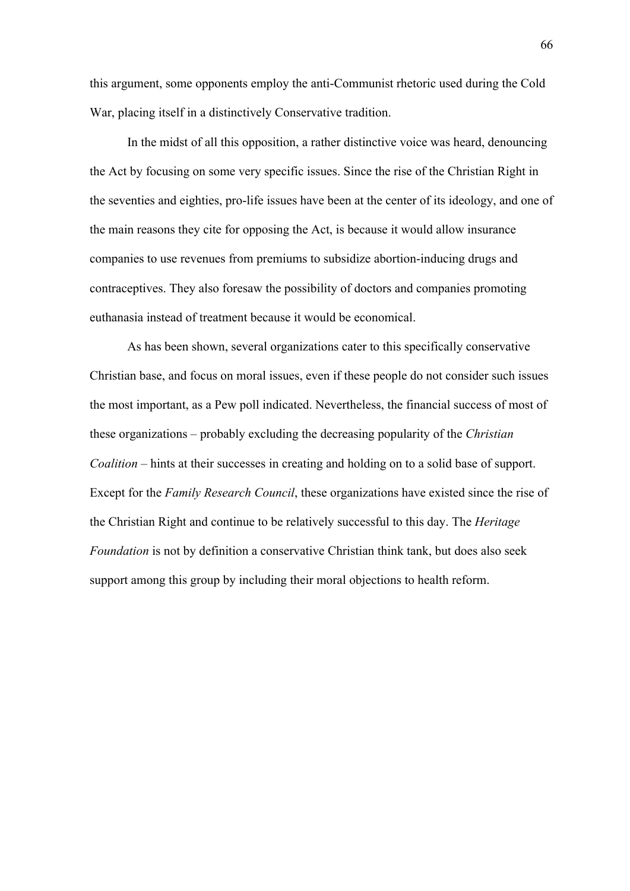this argument, some opponents employ the anti-Communist rhetoric used during the Cold War, placing itself in a distinctively Conservative tradition.

In the midst of all this opposition, a rather distinctive voice was heard, denouncing the Act by focusing on some very specific issues. Since the rise of the Christian Right in the seventies and eighties, pro-life issues have been at the center of its ideology, and one of the main reasons they cite for opposing the Act, is because it would allow insurance companies to use revenues from premiums to subsidize abortion-inducing drugs and contraceptives. They also foresaw the possibility of doctors and companies promoting euthanasia instead of treatment because it would be economical.

As has been shown, several organizations cater to this specifically conservative Christian base, and focus on moral issues, even if these people do not consider such issues the most important, as a Pew poll indicated. Nevertheless, the financial success of most of these organizations – probably excluding the decreasing popularity of the *Christian Coalition* – hints at their successes in creating and holding on to a solid base of support. Except for the *Family Research Council*, these organizations have existed since the rise of the Christian Right and continue to be relatively successful to this day. The *Heritage Foundation* is not by definition a conservative Christian think tank, but does also seek support among this group by including their moral objections to health reform.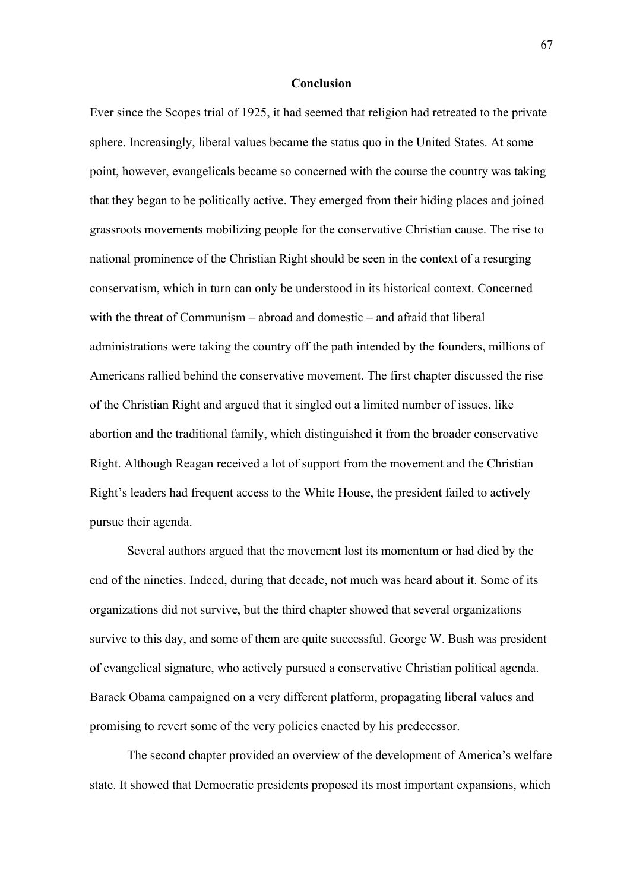### **Conclusion**

Ever since the Scopes trial of 1925, it had seemed that religion had retreated to the private sphere. Increasingly, liberal values became the status quo in the United States. At some point, however, evangelicals became so concerned with the course the country was taking that they began to be politically active. They emerged from their hiding places and joined grassroots movements mobilizing people for the conservative Christian cause. The rise to national prominence of the Christian Right should be seen in the context of a resurging conservatism, which in turn can only be understood in its historical context. Concerned with the threat of Communism – abroad and domestic – and afraid that liberal administrations were taking the country off the path intended by the founders, millions of Americans rallied behind the conservative movement. The first chapter discussed the rise of the Christian Right and argued that it singled out a limited number of issues, like abortion and the traditional family, which distinguished it from the broader conservative Right. Although Reagan received a lot of support from the movement and the Christian Right's leaders had frequent access to the White House, the president failed to actively pursue their agenda.

Several authors argued that the movement lost its momentum or had died by the end of the nineties. Indeed, during that decade, not much was heard about it. Some of its organizations did not survive, but the third chapter showed that several organizations survive to this day, and some of them are quite successful. George W. Bush was president of evangelical signature, who actively pursued a conservative Christian political agenda. Barack Obama campaigned on a very different platform, propagating liberal values and promising to revert some of the very policies enacted by his predecessor.

The second chapter provided an overview of the development of America's welfare state. It showed that Democratic presidents proposed its most important expansions, which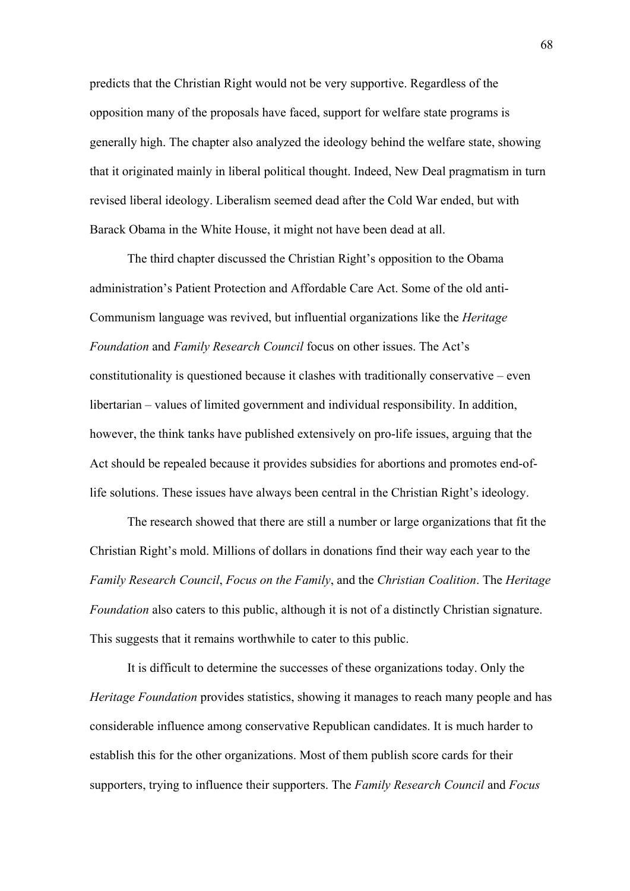predicts that the Christian Right would not be very supportive. Regardless of the opposition many of the proposals have faced, support for welfare state programs is generally high. The chapter also analyzed the ideology behind the welfare state, showing that it originated mainly in liberal political thought. Indeed, New Deal pragmatism in turn revised liberal ideology. Liberalism seemed dead after the Cold War ended, but with Barack Obama in the White House, it might not have been dead at all.

The third chapter discussed the Christian Right's opposition to the Obama administration's Patient Protection and Affordable Care Act. Some of the old anti-Communism language was revived, but influential organizations like the *Heritage Foundation* and *Family Research Council* focus on other issues. The Act's constitutionality is questioned because it clashes with traditionally conservative – even libertarian – values of limited government and individual responsibility. In addition, however, the think tanks have published extensively on pro-life issues, arguing that the Act should be repealed because it provides subsidies for abortions and promotes end-oflife solutions. These issues have always been central in the Christian Right's ideology.

The research showed that there are still a number or large organizations that fit the Christian Right's mold. Millions of dollars in donations find their way each year to the *Family Research Council*, *Focus on the Family*, and the *Christian Coalition*. The *Heritage Foundation* also caters to this public, although it is not of a distinctly Christian signature. This suggests that it remains worthwhile to cater to this public.

It is difficult to determine the successes of these organizations today. Only the *Heritage Foundation* provides statistics, showing it manages to reach many people and has considerable influence among conservative Republican candidates. It is much harder to establish this for the other organizations. Most of them publish score cards for their supporters, trying to influence their supporters. The *Family Research Council* and *Focus*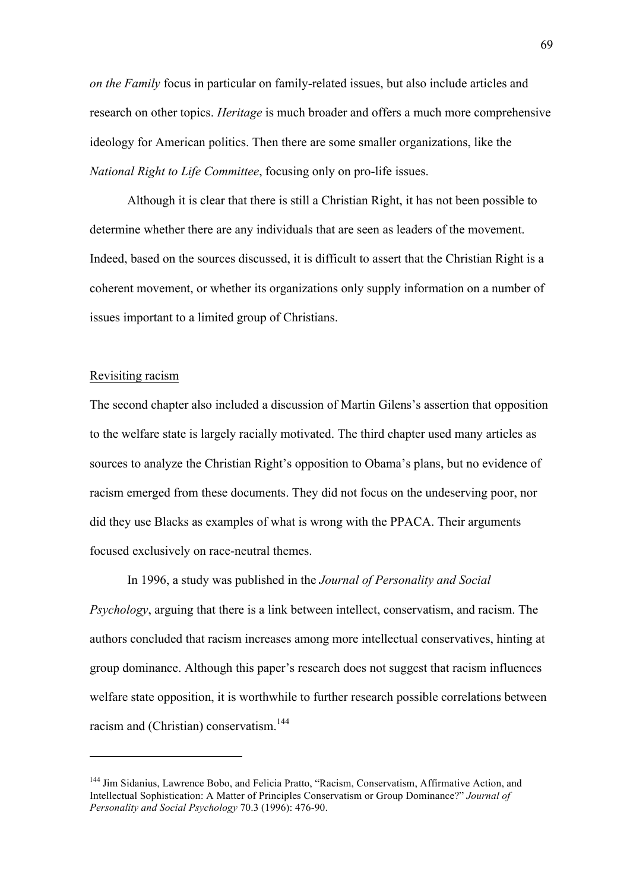*on the Family* focus in particular on family-related issues, but also include articles and research on other topics. *Heritage* is much broader and offers a much more comprehensive ideology for American politics. Then there are some smaller organizations, like the *National Right to Life Committee*, focusing only on pro-life issues.

Although it is clear that there is still a Christian Right, it has not been possible to determine whether there are any individuals that are seen as leaders of the movement. Indeed, based on the sources discussed, it is difficult to assert that the Christian Right is a coherent movement, or whether its organizations only supply information on a number of issues important to a limited group of Christians.

## Revisiting racism

 $\overline{a}$ 

The second chapter also included a discussion of Martin Gilens's assertion that opposition to the welfare state is largely racially motivated. The third chapter used many articles as sources to analyze the Christian Right's opposition to Obama's plans, but no evidence of racism emerged from these documents. They did not focus on the undeserving poor, nor did they use Blacks as examples of what is wrong with the PPACA. Their arguments focused exclusively on race-neutral themes.

In 1996, a study was published in the *Journal of Personality and Social Psychology*, arguing that there is a link between intellect, conservatism, and racism. The authors concluded that racism increases among more intellectual conservatives, hinting at group dominance. Although this paper's research does not suggest that racism influences welfare state opposition, it is worthwhile to further research possible correlations between racism and (Christian) conservatism.<sup>144</sup>

<sup>&</sup>lt;sup>144</sup> Jim Sidanius, Lawrence Bobo, and Felicia Pratto, "Racism, Conservatism, Affirmative Action, and Intellectual Sophistication: A Matter of Principles Conservatism or Group Dominance?" *Journal of Personality and Social Psychology* 70.3 (1996): 476-90.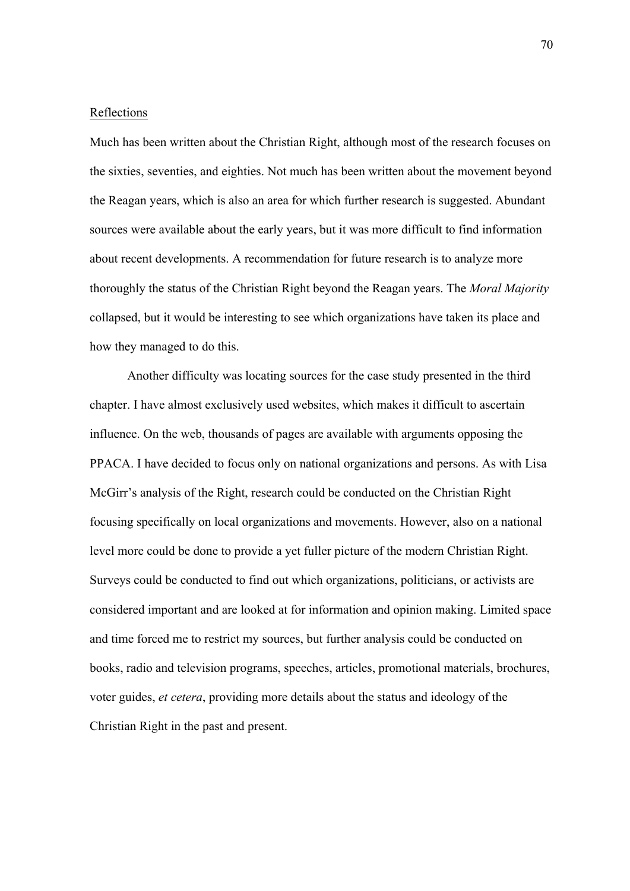#### Reflections

Much has been written about the Christian Right, although most of the research focuses on the sixties, seventies, and eighties. Not much has been written about the movement beyond the Reagan years, which is also an area for which further research is suggested. Abundant sources were available about the early years, but it was more difficult to find information about recent developments. A recommendation for future research is to analyze more thoroughly the status of the Christian Right beyond the Reagan years. The *Moral Majority* collapsed, but it would be interesting to see which organizations have taken its place and how they managed to do this.

Another difficulty was locating sources for the case study presented in the third chapter. I have almost exclusively used websites, which makes it difficult to ascertain influence. On the web, thousands of pages are available with arguments opposing the PPACA. I have decided to focus only on national organizations and persons. As with Lisa McGirr's analysis of the Right, research could be conducted on the Christian Right focusing specifically on local organizations and movements. However, also on a national level more could be done to provide a yet fuller picture of the modern Christian Right. Surveys could be conducted to find out which organizations, politicians, or activists are considered important and are looked at for information and opinion making. Limited space and time forced me to restrict my sources, but further analysis could be conducted on books, radio and television programs, speeches, articles, promotional materials, brochures, voter guides, *et cetera*, providing more details about the status and ideology of the Christian Right in the past and present.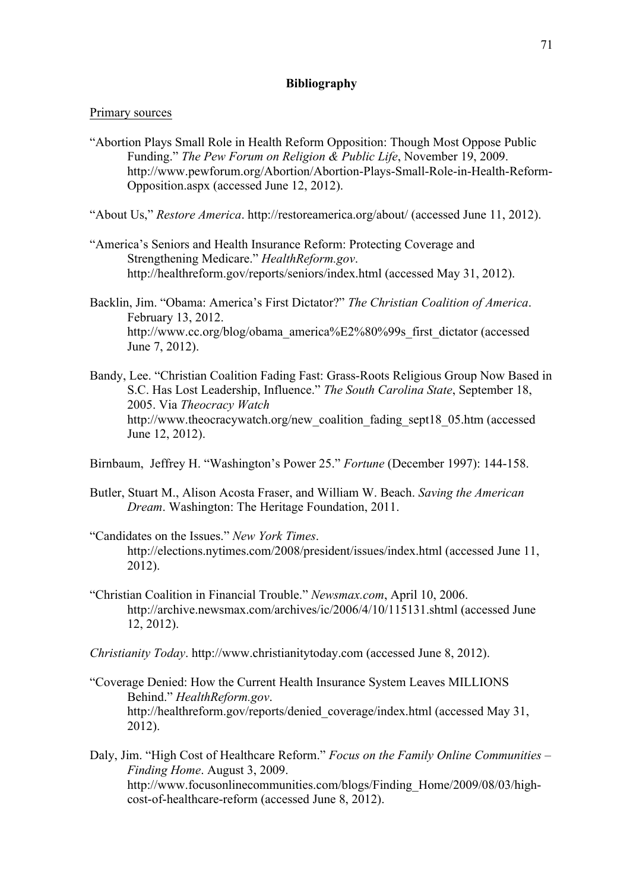## **Bibliography**

#### Primary sources

"Abortion Plays Small Role in Health Reform Opposition: Though Most Oppose Public Funding." *The Pew Forum on Religion & Public Life*, November 19, 2009. http://www.pewforum.org/Abortion/Abortion-Plays-Small-Role-in-Health-Reform-Opposition.aspx (accessed June 12, 2012).

"About Us," *Restore America*. http://restoreamerica.org/about/ (accessed June 11, 2012).

- "America's Seniors and Health Insurance Reform: Protecting Coverage and Strengthening Medicare." *HealthReform.gov*. http://healthreform.gov/reports/seniors/index.html (accessed May 31, 2012).
- Backlin, Jim. "Obama: America's First Dictator?" *The Christian Coalition of America*. February 13, 2012. http://www.cc.org/blog/obama\_america%E2%80%99s\_first\_dictator (accessed June 7, 2012).
- Bandy, Lee. "Christian Coalition Fading Fast: Grass-Roots Religious Group Now Based in S.C. Has Lost Leadership, Influence." *The South Carolina State*, September 18, 2005. Via *Theocracy Watch* http://www.theocracywatch.org/new\_coalition\_fading\_sept18\_05.htm (accessed June 12, 2012).

Birnbaum, Jeffrey H. "Washington's Power 25." *Fortune* (December 1997): 144-158.

- Butler, Stuart M., Alison Acosta Fraser, and William W. Beach. *Saving the American Dream*. Washington: The Heritage Foundation, 2011.
- "Candidates on the Issues." *New York Times*. http://elections.nytimes.com/2008/president/issues/index.html (accessed June 11, 2012).
- "Christian Coalition in Financial Trouble." *Newsmax.com*, April 10, 2006. http://archive.newsmax.com/archives/ic/2006/4/10/115131.shtml (accessed June 12, 2012).
- *Christianity Today*. http://www.christianitytoday.com (accessed June 8, 2012).
- "Coverage Denied: How the Current Health Insurance System Leaves MILLIONS Behind." *HealthReform.gov*. http://healthreform.gov/reports/denied\_coverage/index.html (accessed May 31, 2012).
- Daly, Jim. "High Cost of Healthcare Reform." *Focus on the Family Online Communities – Finding Home*. August 3, 2009. http://www.focusonlinecommunities.com/blogs/Finding\_Home/2009/08/03/highcost-of-healthcare-reform (accessed June 8, 2012).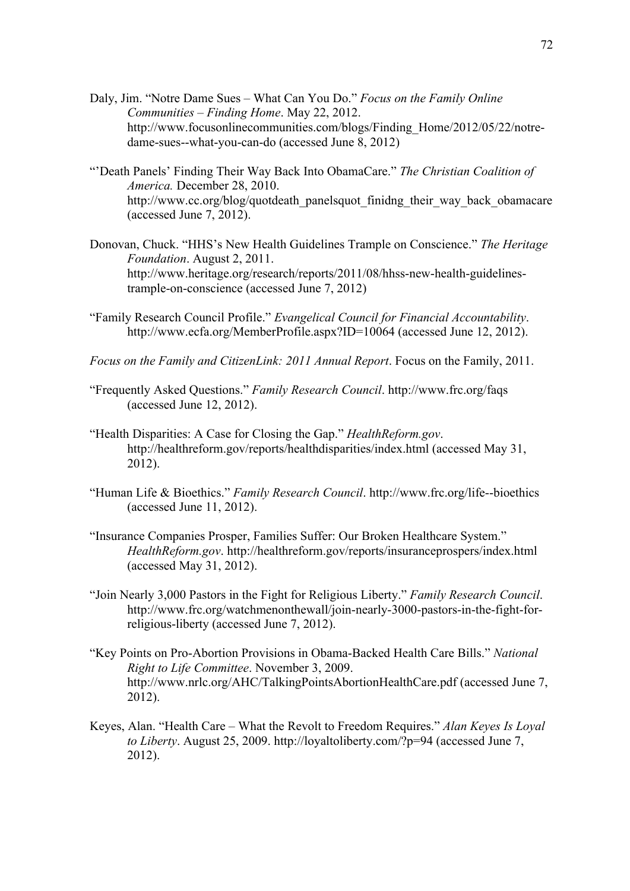- Daly, Jim. "Notre Dame Sues What Can You Do." *Focus on the Family Online Communities – Finding Home*. May 22, 2012. http://www.focusonlinecommunities.com/blogs/Finding\_Home/2012/05/22/notredame-sues--what-you-can-do (accessed June 8, 2012)
- "'Death Panels' Finding Their Way Back Into ObamaCare." *The Christian Coalition of America.* December 28, 2010. http://www.cc.org/blog/quotdeath\_panelsquot\_finidng\_their\_way\_back\_obamacare (accessed June 7, 2012).
- Donovan, Chuck. "HHS's New Health Guidelines Trample on Conscience." *The Heritage Foundation*. August 2, 2011. http://www.heritage.org/research/reports/2011/08/hhss-new-health-guidelinestrample-on-conscience (accessed June 7, 2012)
- "Family Research Council Profile." *Evangelical Council for Financial Accountability*. http://www.ecfa.org/MemberProfile.aspx?ID=10064 (accessed June 12, 2012).
- *Focus on the Family and CitizenLink: 2011 Annual Report*. Focus on the Family, 2011.
- "Frequently Asked Questions." *Family Research Council*. http://www.frc.org/faqs (accessed June 12, 2012).
- "Health Disparities: A Case for Closing the Gap." *HealthReform.gov*. http://healthreform.gov/reports/healthdisparities/index.html (accessed May 31, 2012).
- "Human Life & Bioethics." *Family Research Council*. http://www.frc.org/life--bioethics (accessed June 11, 2012).
- "Insurance Companies Prosper, Families Suffer: Our Broken Healthcare System." *HealthReform.gov*. http://healthreform.gov/reports/insuranceprospers/index.html (accessed May 31, 2012).
- "Join Nearly 3,000 Pastors in the Fight for Religious Liberty." *Family Research Council*. http://www.frc.org/watchmenonthewall/join-nearly-3000-pastors-in-the-fight-forreligious-liberty (accessed June 7, 2012).
- "Key Points on Pro-Abortion Provisions in Obama-Backed Health Care Bills." *National Right to Life Committee*. November 3, 2009. http://www.nrlc.org/AHC/TalkingPointsAbortionHealthCare.pdf (accessed June 7, 2012).
- Keyes, Alan. "Health Care What the Revolt to Freedom Requires." *Alan Keyes Is Loyal to Liberty*. August 25, 2009. http://loyaltoliberty.com/?p=94 (accessed June 7, 2012).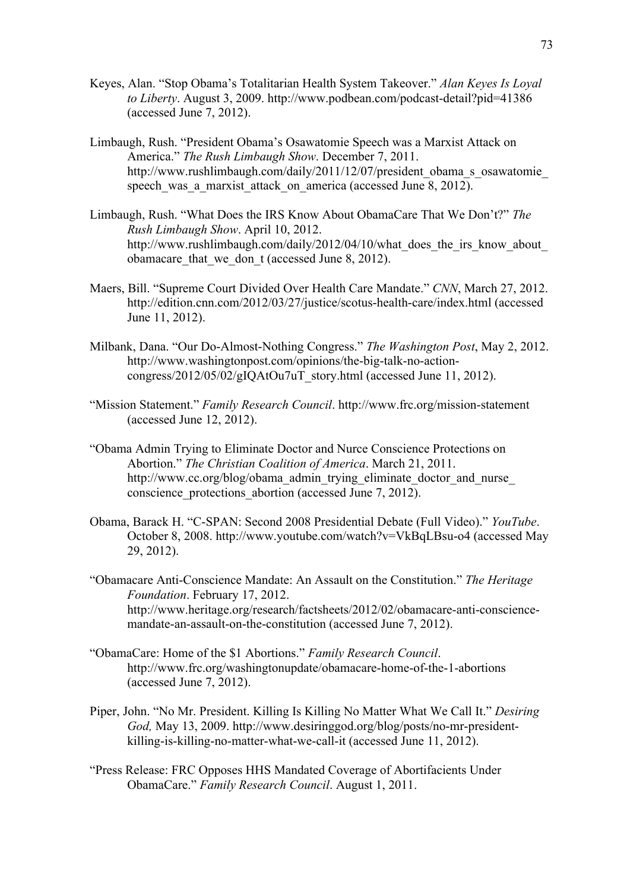- Keyes, Alan. "Stop Obama's Totalitarian Health System Takeover." *Alan Keyes Is Loyal to Liberty*. August 3, 2009. http://www.podbean.com/podcast-detail?pid=41386 (accessed June 7, 2012).
- Limbaugh, Rush. "President Obama's Osawatomie Speech was a Marxist Attack on America." *The Rush Limbaugh Show*. December 7, 2011. http://www.rushlimbaugh.com/daily/2011/12/07/president\_obama\_s\_osawatomie speech was a marxist attack on america (accessed June 8, 2012).
- Limbaugh, Rush. "What Does the IRS Know About ObamaCare That We Don't?" *The Rush Limbaugh Show*. April 10, 2012. http://www.rushlimbaugh.com/daily/2012/04/10/what\_does\_the\_irs\_know\_about obamacare that we don t (accessed June 8, 2012).
- Maers, Bill. "Supreme Court Divided Over Health Care Mandate." *CNN*, March 27, 2012. http://edition.cnn.com/2012/03/27/justice/scotus-health-care/index.html (accessed June 11, 2012).
- Milbank, Dana. "Our Do-Almost-Nothing Congress." *The Washington Post*, May 2, 2012. http://www.washingtonpost.com/opinions/the-big-talk-no-actioncongress/2012/05/02/gIQAtOu7uT\_story.html (accessed June 11, 2012).
- "Mission Statement." *Family Research Council*. http://www.frc.org/mission-statement (accessed June 12, 2012).
- "Obama Admin Trying to Eliminate Doctor and Nurce Conscience Protections on Abortion." *The Christian Coalition of America*. March 21, 2011. http://www.cc.org/blog/obama\_admin\_trying\_eliminate\_doctor\_and\_nurse conscience protections abortion (accessed June 7, 2012).
- Obama, Barack H. "C-SPAN: Second 2008 Presidential Debate (Full Video)." *YouTube*. October 8, 2008. http://www.youtube.com/watch?v=VkBqLBsu-o4 (accessed May 29, 2012).
- "Obamacare Anti-Conscience Mandate: An Assault on the Constitution." *The Heritage Foundation*. February 17, 2012. http://www.heritage.org/research/factsheets/2012/02/obamacare-anti-consciencemandate-an-assault-on-the-constitution (accessed June 7, 2012).
- "ObamaCare: Home of the \$1 Abortions." *Family Research Council*. http://www.frc.org/washingtonupdate/obamacare-home-of-the-1-abortions (accessed June 7, 2012).
- Piper, John. "No Mr. President. Killing Is Killing No Matter What We Call It." *Desiring God,* May 13, 2009. http://www.desiringgod.org/blog/posts/no-mr-presidentkilling-is-killing-no-matter-what-we-call-it (accessed June 11, 2012).
- "Press Release: FRC Opposes HHS Mandated Coverage of Abortifacients Under ObamaCare." *Family Research Council*. August 1, 2011.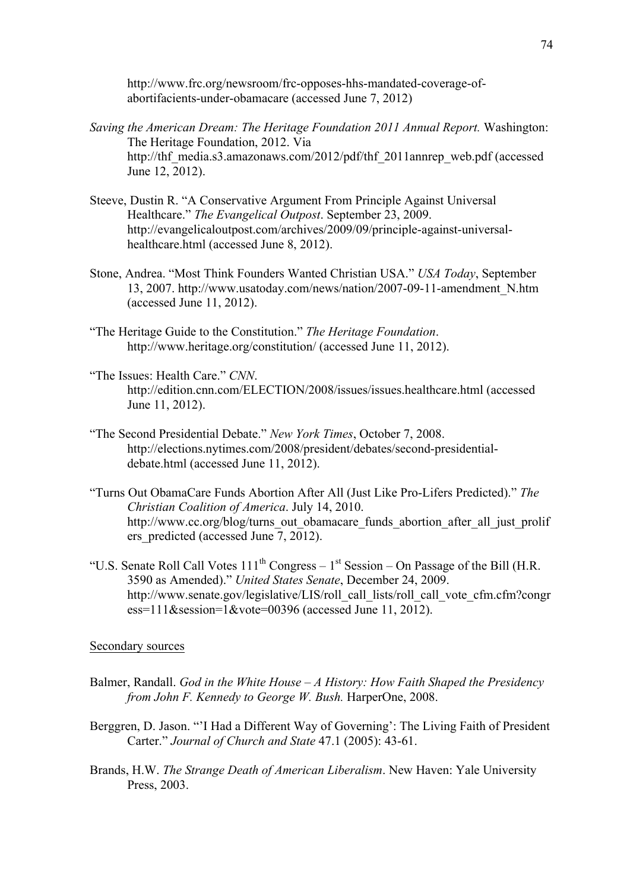http://www.frc.org/newsroom/frc-opposes-hhs-mandated-coverage-ofabortifacients-under-obamacare (accessed June 7, 2012)

- *Saving the American Dream: The Heritage Foundation 2011 Annual Report.* Washington: The Heritage Foundation, 2012. Via http://thf\_media.s3.amazonaws.com/2012/pdf/thf\_2011annrep\_web.pdf (accessed June 12, 2012).
- Steeve, Dustin R. "A Conservative Argument From Principle Against Universal Healthcare." *The Evangelical Outpost*. September 23, 2009. http://evangelicaloutpost.com/archives/2009/09/principle-against-universalhealthcare.html (accessed June 8, 2012).
- Stone, Andrea. "Most Think Founders Wanted Christian USA." *USA Today*, September 13, 2007. http://www.usatoday.com/news/nation/2007-09-11-amendment\_N.htm (accessed June 11, 2012).
- "The Heritage Guide to the Constitution." *The Heritage Foundation*. http://www.heritage.org/constitution/ (accessed June 11, 2012).
- "The Issues: Health Care." *CNN*. http://edition.cnn.com/ELECTION/2008/issues/issues.healthcare.html (accessed June 11, 2012).
- "The Second Presidential Debate." *New York Times*, October 7, 2008. http://elections.nytimes.com/2008/president/debates/second-presidentialdebate.html (accessed June 11, 2012).
- "Turns Out ObamaCare Funds Abortion After All (Just Like Pro-Lifers Predicted)." *The Christian Coalition of America*. July 14, 2010. http://www.cc.org/blog/turns\_out\_obamacare\_funds\_abortion\_after\_all\_just\_prolif ers predicted (accessed June 7, 2012).
- "U.S. Senate Roll Call Votes  $111<sup>th</sup> Congress 1<sup>st</sup> Session On Passage of the Bill (H.R.$ 3590 as Amended)." *United States Senate*, December 24, 2009. http://www.senate.gov/legislative/LIS/roll\_call\_lists/roll\_call\_vote\_cfm.cfm?congr ess=111&session=1&vote=00396 (accessed June 11, 2012).

## Secondary sources

- Balmer, Randall. *God in the White House – A History: How Faith Shaped the Presidency from John F. Kennedy to George W. Bush.* HarperOne, 2008.
- Berggren, D. Jason. "'I Had a Different Way of Governing': The Living Faith of President Carter." *Journal of Church and State* 47.1 (2005): 43-61.
- Brands, H.W. *The Strange Death of American Liberalism*. New Haven: Yale University Press, 2003.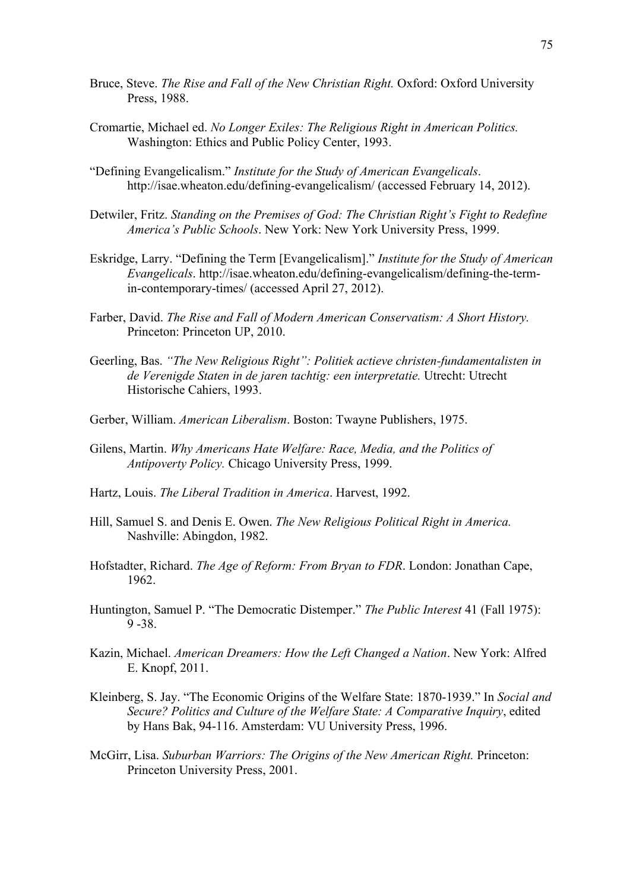- Bruce, Steve. *The Rise and Fall of the New Christian Right.* Oxford: Oxford University Press, 1988.
- Cromartie, Michael ed. *No Longer Exiles: The Religious Right in American Politics.* Washington: Ethics and Public Policy Center, 1993.
- "Defining Evangelicalism." *Institute for the Study of American Evangelicals*. http://isae.wheaton.edu/defining-evangelicalism/ (accessed February 14, 2012).
- Detwiler, Fritz. *Standing on the Premises of God: The Christian Right's Fight to Redefine America's Public Schools*. New York: New York University Press, 1999.
- Eskridge, Larry. "Defining the Term [Evangelicalism]." *Institute for the Study of American Evangelicals*. http://isae.wheaton.edu/defining-evangelicalism/defining-the-termin-contemporary-times/ (accessed April 27, 2012).
- Farber, David. *The Rise and Fall of Modern American Conservatism: A Short History.*  Princeton: Princeton UP, 2010.
- Geerling, Bas. *"The New Religious Right": Politiek actieve christen-fundamentalisten in de Verenigde Staten in de jaren tachtig: een interpretatie.* Utrecht: Utrecht Historische Cahiers, 1993.
- Gerber, William. *American Liberalism*. Boston: Twayne Publishers, 1975.
- Gilens, Martin. *Why Americans Hate Welfare: Race, Media, and the Politics of Antipoverty Policy.* Chicago University Press, 1999.
- Hartz, Louis. *The Liberal Tradition in America*. Harvest, 1992.
- Hill, Samuel S. and Denis E. Owen. *The New Religious Political Right in America.* Nashville: Abingdon, 1982.
- Hofstadter, Richard. *The Age of Reform: From Bryan to FDR*. London: Jonathan Cape, 1962.
- Huntington, Samuel P. "The Democratic Distemper." *The Public Interest* 41 (Fall 1975): 9 -38.
- Kazin, Michael. *American Dreamers: How the Left Changed a Nation*. New York: Alfred E. Knopf, 2011.
- Kleinberg, S. Jay. "The Economic Origins of the Welfare State: 1870-1939." In *Social and Secure? Politics and Culture of the Welfare State: A Comparative Inquiry*, edited by Hans Bak, 94-116. Amsterdam: VU University Press, 1996.
- McGirr, Lisa. *Suburban Warriors: The Origins of the New American Right.* Princeton: Princeton University Press, 2001.